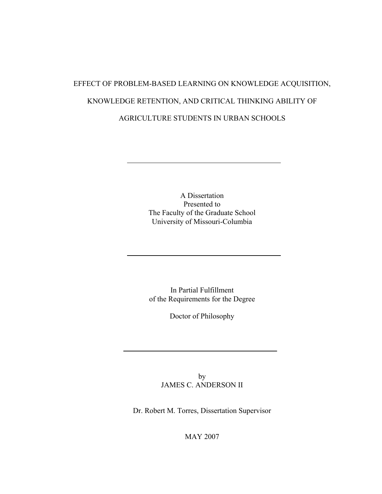# EFFECT OF PROBLEM-BASED LEARNING ON KNOWLEDGE ACQUISITION, KNOWLEDGE RETENTION, AND CRITICAL THINKING ABILITY OF AGRICULTURE STUDENTS IN URBAN SCHOOLS

A Dissertation Presented to The Faculty of the Graduate School University of Missouri-Columbia

In Partial Fulfillment of the Requirements for the Degree

Doctor of Philosophy

by JAMES C. ANDERSON II

Dr. Robert M. Torres, Dissertation Supervisor

MAY 2007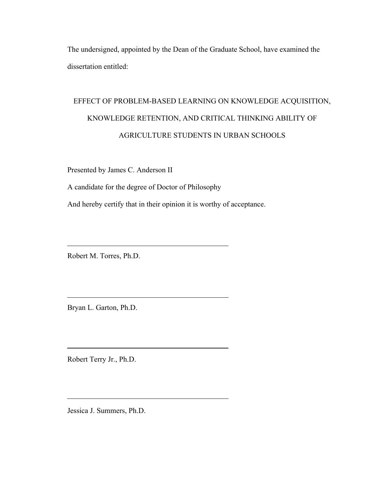The undersigned, appointed by the Dean of the Graduate School, have examined the dissertation entitled:

# EFFECT OF PROBLEM-BASED LEARNING ON KNOWLEDGE ACQUISITION, KNOWLEDGE RETENTION, AND CRITICAL THINKING ABILITY OF AGRICULTURE STUDENTS IN URBAN SCHOOLS

Presented by James C. Anderson II

A candidate for the degree of Doctor of Philosophy

And hereby certify that in their opinion it is worthy of acceptance.

Robert M. Torres, Ph.D.

Bryan L. Garton, Ph.D.

Robert Terry Jr., Ph.D.

Jessica J. Summers, Ph.D.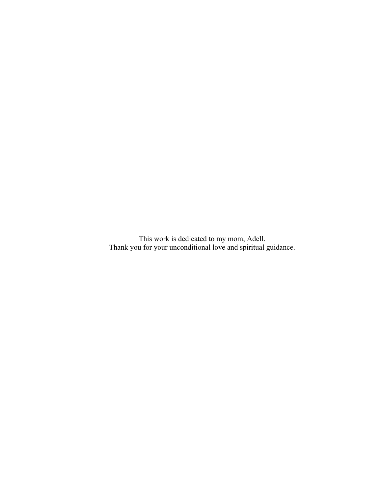This work is dedicated to my mom, Adell. Thank you for your unconditional love and spiritual guidance.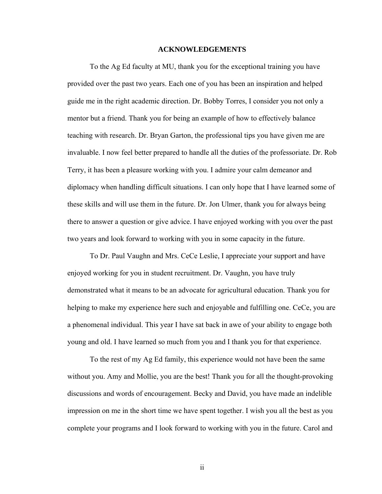## **ACKNOWLEDGEMENTS**

<span id="page-3-0"></span>To the Ag Ed faculty at MU, thank you for the exceptional training you have provided over the past two years. Each one of you has been an inspiration and helped guide me in the right academic direction. Dr. Bobby Torres, I consider you not only a mentor but a friend. Thank you for being an example of how to effectively balance teaching with research. Dr. Bryan Garton, the professional tips you have given me are invaluable. I now feel better prepared to handle all the duties of the professoriate. Dr. Rob Terry, it has been a pleasure working with you. I admire your calm demeanor and diplomacy when handling difficult situations. I can only hope that I have learned some of these skills and will use them in the future. Dr. Jon Ulmer, thank you for always being there to answer a question or give advice. I have enjoyed working with you over the past two years and look forward to working with you in some capacity in the future.

To Dr. Paul Vaughn and Mrs. CeCe Leslie, I appreciate your support and have enjoyed working for you in student recruitment. Dr. Vaughn, you have truly demonstrated what it means to be an advocate for agricultural education. Thank you for helping to make my experience here such and enjoyable and fulfilling one. CeCe, you are a phenomenal individual. This year I have sat back in awe of your ability to engage both young and old. I have learned so much from you and I thank you for that experience.

To the rest of my Ag Ed family, this experience would not have been the same without you. Amy and Mollie, you are the best! Thank you for all the thought-provoking discussions and words of encouragement. Becky and David, you have made an indelible impression on me in the short time we have spent together. I wish you all the best as you complete your programs and I look forward to working with you in the future. Carol and

ii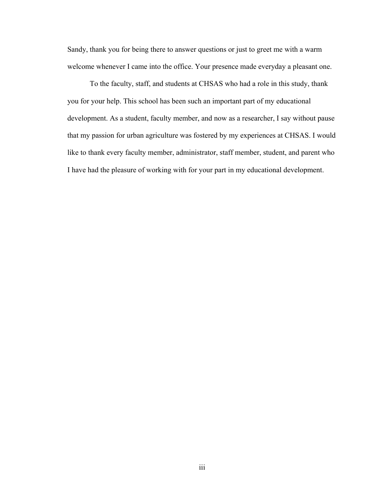Sandy, thank you for being there to answer questions or just to greet me with a warm welcome whenever I came into the office. Your presence made everyday a pleasant one.

To the faculty, staff, and students at CHSAS who had a role in this study, thank you for your help. This school has been such an important part of my educational development. As a student, faculty member, and now as a researcher, I say without pause that my passion for urban agriculture was fostered by my experiences at CHSAS. I would like to thank every faculty member, administrator, staff member, student, and parent who I have had the pleasure of working with for your part in my educational development.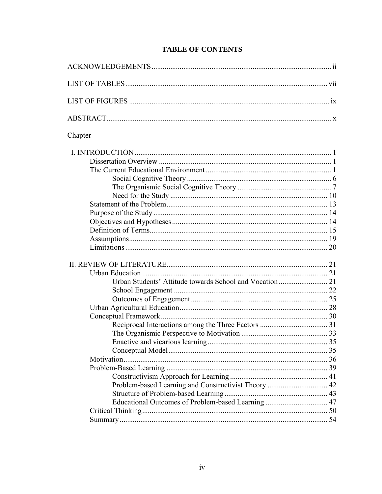# **TABLE OF CONTENTS**

| Chapter                                              |  |
|------------------------------------------------------|--|
|                                                      |  |
|                                                      |  |
|                                                      |  |
|                                                      |  |
|                                                      |  |
|                                                      |  |
|                                                      |  |
|                                                      |  |
|                                                      |  |
|                                                      |  |
|                                                      |  |
|                                                      |  |
|                                                      |  |
|                                                      |  |
|                                                      |  |
|                                                      |  |
|                                                      |  |
|                                                      |  |
|                                                      |  |
|                                                      |  |
|                                                      |  |
|                                                      |  |
|                                                      |  |
|                                                      |  |
|                                                      |  |
|                                                      |  |
| Problem-based Learning and Constructivist Theory  42 |  |
|                                                      |  |
|                                                      |  |
|                                                      |  |
|                                                      |  |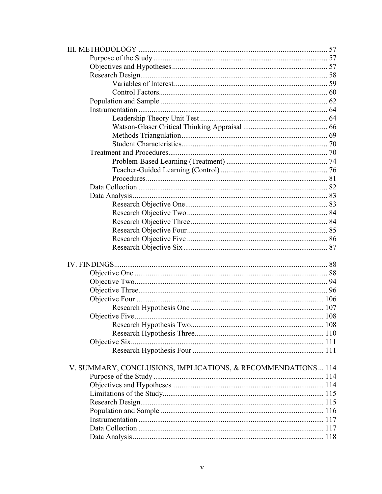| V. SUMMARY, CONCLUSIONS, IMPLICATIONS, & RECOMMENDATIONS 114 |  |
|--------------------------------------------------------------|--|
|                                                              |  |
|                                                              |  |
|                                                              |  |
|                                                              |  |
|                                                              |  |
|                                                              |  |
|                                                              |  |
|                                                              |  |
|                                                              |  |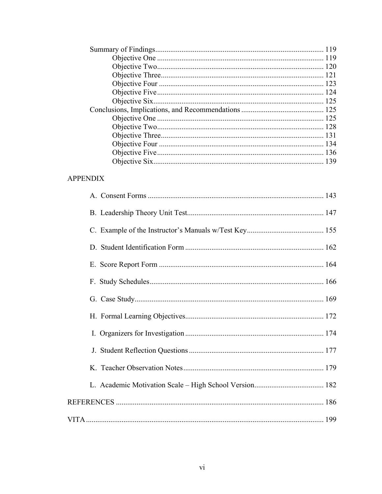# **APPENDIX**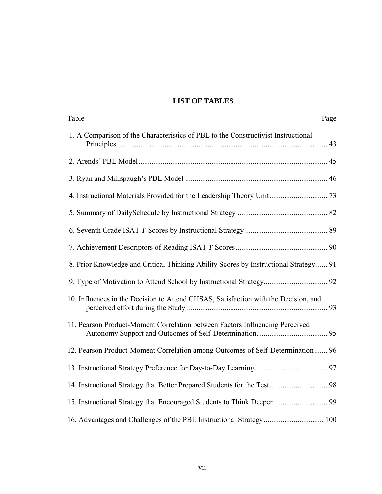# **LIST OF TABLES**

<span id="page-8-0"></span>

| Table                                                                                 | Page |
|---------------------------------------------------------------------------------------|------|
| 1. A Comparison of the Characteristics of PBL to the Constructivist Instructional     |      |
|                                                                                       |      |
|                                                                                       |      |
|                                                                                       |      |
|                                                                                       |      |
|                                                                                       |      |
|                                                                                       |      |
| 8. Prior Knowledge and Critical Thinking Ability Scores by Instructional Strategy  91 |      |
|                                                                                       |      |
| 10. Influences in the Decision to Attend CHSAS, Satisfaction with the Decision, and   |      |
| 11. Pearson Product-Moment Correlation between Factors Influencing Perceived          |      |
| 12. Pearson Product-Moment Correlation among Outcomes of Self-Determination 96        |      |
|                                                                                       |      |
|                                                                                       |      |
|                                                                                       |      |
| 16. Advantages and Challenges of the PBL Instructional Strategy 100                   |      |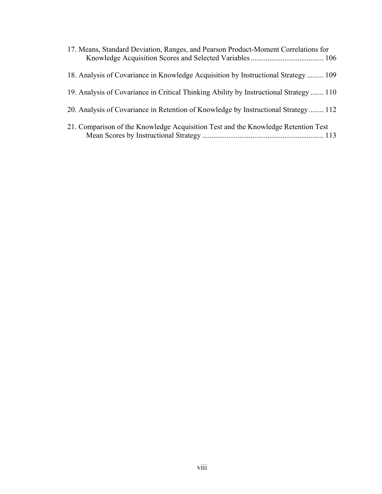| 17. Means, Standard Deviation, Ranges, and Pearson Product-Moment Correlations for     |  |
|----------------------------------------------------------------------------------------|--|
|                                                                                        |  |
| 18. Analysis of Covariance in Knowledge Acquisition by Instructional Strategy  109     |  |
| 19. Analysis of Covariance in Critical Thinking Ability by Instructional Strategy  110 |  |
| 20. Analysis of Covariance in Retention of Knowledge by Instructional Strategy 112     |  |
| 21. Comparison of the Knowledge Acquisition Test and the Knowledge Retention Test      |  |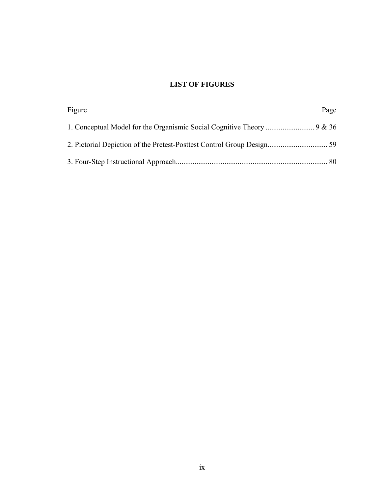# **LIST OF FIGURES**

<span id="page-10-0"></span>

| Figure | Page  |
|--------|-------|
|        |       |
|        |       |
|        | . 80. |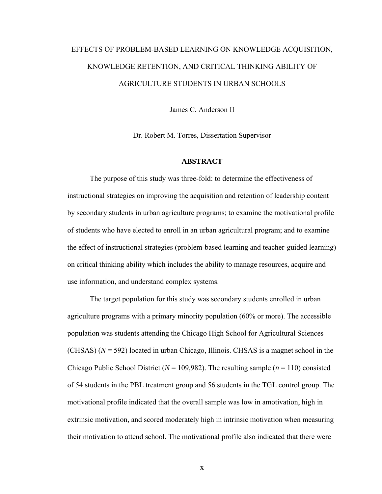# <span id="page-11-0"></span>EFFECTS OF PROBLEM-BASED LEARNING ON KNOWLEDGE ACQUISITION, KNOWLEDGE RETENTION, AND CRITICAL THINKING ABILITY OF AGRICULTURE STUDENTS IN URBAN SCHOOLS

James C. Anderson II

Dr. Robert M. Torres, Dissertation Supervisor

# **ABSTRACT**

The purpose of this study was three-fold: to determine the effectiveness of instructional strategies on improving the acquisition and retention of leadership content by secondary students in urban agriculture programs; to examine the motivational profile of students who have elected to enroll in an urban agricultural program; and to examine the effect of instructional strategies (problem-based learning and teacher-guided learning) on critical thinking ability which includes the ability to manage resources, acquire and use information, and understand complex systems.

The target population for this study was secondary students enrolled in urban agriculture programs with a primary minority population (60% or more). The accessible population was students attending the Chicago High School for Agricultural Sciences (CHSAS) (*N* = 592) located in urban Chicago, Illinois. CHSAS is a magnet school in the Chicago Public School District ( $N = 109,982$ ). The resulting sample ( $n = 110$ ) consisted of 54 students in the PBL treatment group and 56 students in the TGL control group. The motivational profile indicated that the overall sample was low in amotivation, high in extrinsic motivation, and scored moderately high in intrinsic motivation when measuring their motivation to attend school. The motivational profile also indicated that there were

x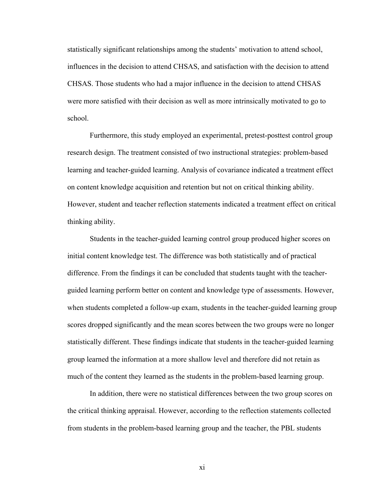statistically significant relationships among the students' motivation to attend school, influences in the decision to attend CHSAS, and satisfaction with the decision to attend CHSAS. Those students who had a major influence in the decision to attend CHSAS were more satisfied with their decision as well as more intrinsically motivated to go to school.

Furthermore, this study employed an experimental, pretest-posttest control group research design. The treatment consisted of two instructional strategies: problem-based learning and teacher-guided learning. Analysis of covariance indicated a treatment effect on content knowledge acquisition and retention but not on critical thinking ability. However, student and teacher reflection statements indicated a treatment effect on critical thinking ability.

Students in the teacher-guided learning control group produced higher scores on initial content knowledge test. The difference was both statistically and of practical difference. From the findings it can be concluded that students taught with the teacherguided learning perform better on content and knowledge type of assessments. However, when students completed a follow-up exam, students in the teacher-guided learning group scores dropped significantly and the mean scores between the two groups were no longer statistically different. These findings indicate that students in the teacher-guided learning group learned the information at a more shallow level and therefore did not retain as much of the content they learned as the students in the problem-based learning group.

In addition, there were no statistical differences between the two group scores on the critical thinking appraisal. However, according to the reflection statements collected from students in the problem-based learning group and the teacher, the PBL students

xi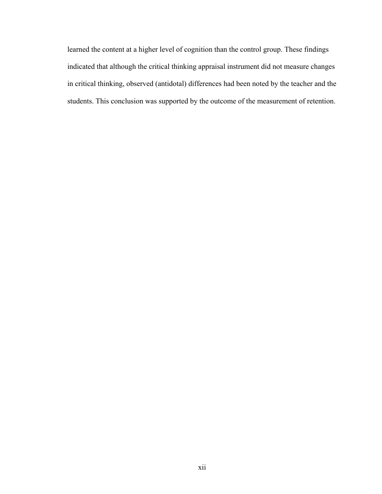learned the content at a higher level of cognition than the control group. These findings indicated that although the critical thinking appraisal instrument did not measure changes in critical thinking, observed (antidotal) differences had been noted by the teacher and the students. This conclusion was supported by the outcome of the measurement of retention.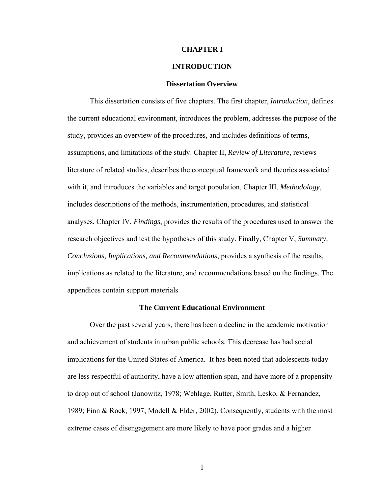## **CHAPTER I**

## **INTRODUCTION**

### **Dissertation Overview**

<span id="page-14-0"></span> This dissertation consists of five chapters. The first chapter, *Introduction*, defines the current educational environment, introduces the problem, addresses the purpose of the study, provides an overview of the procedures, and includes definitions of terms, assumptions, and limitations of the study. Chapter II, *Review of Literature*, reviews literature of related studies, describes the conceptual framework and theories associated with it, and introduces the variables and target population. Chapter III, *Methodology*, includes descriptions of the methods, instrumentation, procedures, and statistical analyses. Chapter IV, *Findings*, provides the results of the procedures used to answer the research objectives and test the hypotheses of this study. Finally, Chapter V, *Summary, Conclusions, Implications, and Recommendations*, provides a synthesis of the results, implications as related to the literature, and recommendations based on the findings. The appendices contain support materials.

#### **The Current Educational Environment**

Over the past several years, there has been a decline in the academic motivation and achievement of students in urban public schools. This decrease has had social implications for the United States of America. It has been noted that adolescents today are less respectful of authority, have a low attention span, and have more of a propensity to drop out of school (Janowitz, 1978; Wehlage, Rutter, Smith, Lesko, & Fernandez, 1989; Finn & Rock, 1997; Modell & Elder, 2002). Consequently, students with the most extreme cases of disengagement are more likely to have poor grades and a higher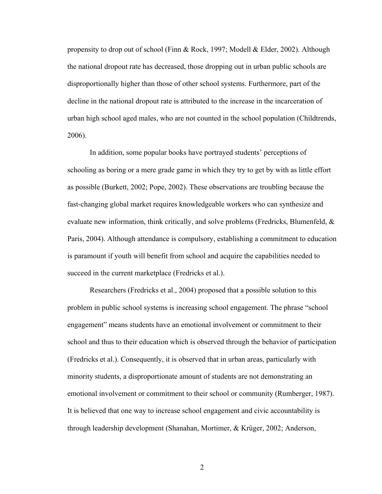propensity to drop out of school (Finn & Rock, 1997; Modell & Elder, 2002). Although the national dropout rate has decreased, those dropping out in urban public schools are disproportionally higher than those of other school systems. Furthermore, part of the decline in the national dropout rate is attributed to the increase in the incarceration of urban high school aged males, who are not counted in the school population (Childtrends, 2006).

In addition, some popular books have portrayed students' perceptions of schooling as boring or a mere grade game in which they try to get by with as little effort as possible (Burkett, 2002; Pope, 2002). These observations are troubling because the fast-changing global market requires knowledgeable workers who can synthesize and evaluate new information, think critically, and solve problems (Fredricks, Blumenfeld, & Paris, 2004). Although attendance is compulsory, establishing a commitment to education is paramount if youth will benefit from school and acquire the capabilities needed to succeed in the current marketplace (Fredricks et al.).

Researchers (Fredricks et al., 2004) proposed that a possible solution to this problem in public school systems is increasing school engagement. The phrase "school engagement" means students have an emotional involvement or commitment to their school and thus to their education which is observed through the behavior of participation (Fredricks et al.). Consequently, it is observed that in urban areas, particularly with minority students, a disproportionate amount of students are not demonstrating an emotional involvement or commitment to their school or community (Rumberger, 1987). It is believed that one way to increase school engagement and civic accountability is through leadership development (Shanahan, Mortimer, & Krüger, 2002; Anderson,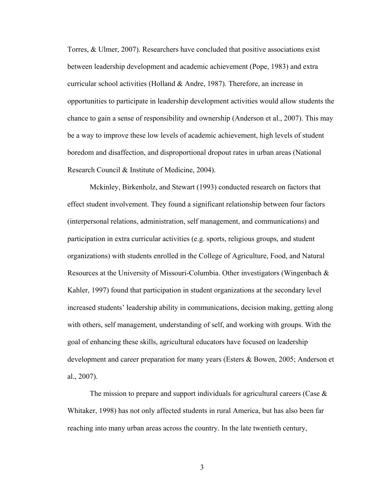Torres, & Ulmer, 2007). Researchers have concluded that positive associations exist between leadership development and academic achievement (Pope, 1983) and extra curricular school activities (Holland & Andre, 1987). Therefore, an increase in opportunities to participate in leadership development activities would allow students the chance to gain a sense of responsibility and ownership (Anderson et al., 2007). This may be a way to improve these low levels of academic achievement, high levels of student boredom and disaffection, and disproportional dropout rates in urban areas (National Research Council & Institute of Medicine, 2004).

Mckinley, Birkenholz, and Stewart (1993) conducted research on factors that effect student involvement. They found a significant relationship between four factors (interpersonal relations, administration, self management, and communications) and participation in extra curricular activities (e.g. sports, religious groups, and student organizations) with students enrolled in the College of Agriculture, Food, and Natural Resources at the University of Missouri-Columbia. Other investigators (Wingenbach & Kahler, 1997) found that participation in student organizations at the secondary level increased students' leadership ability in communications, decision making, getting along with others, self management, understanding of self, and working with groups. With the goal of enhancing these skills, agricultural educators have focused on leadership development and career preparation for many years (Esters & Bowen, 2005; Anderson et al., 2007).

The mission to prepare and support individuals for agricultural careers (Case  $\&$ Whitaker, 1998) has not only affected students in rural America, but has also been far reaching into many urban areas across the country. In the late twentieth century,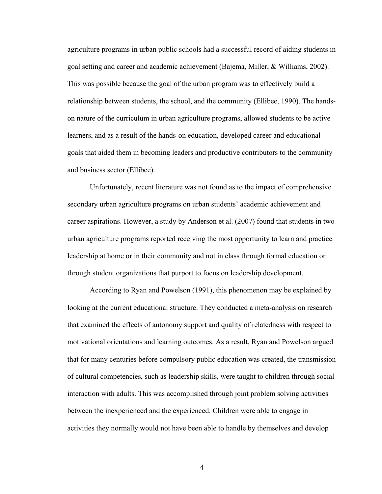agriculture programs in urban public schools had a successful record of aiding students in goal setting and career and academic achievement (Bajema, Miller, & Williams, 2002). This was possible because the goal of the urban program was to effectively build a relationship between students, the school, and the community (Ellibee, 1990). The handson nature of the curriculum in urban agriculture programs, allowed students to be active learners, and as a result of the hands-on education, developed career and educational goals that aided them in becoming leaders and productive contributors to the community and business sector (Ellibee).

Unfortunately, recent literature was not found as to the impact of comprehensive secondary urban agriculture programs on urban students' academic achievement and career aspirations. However, a study by Anderson et al. (2007) found that students in two urban agriculture programs reported receiving the most opportunity to learn and practice leadership at home or in their community and not in class through formal education or through student organizations that purport to focus on leadership development.

According to Ryan and Powelson (1991), this phenomenon may be explained by looking at the current educational structure. They conducted a meta-analysis on research that examined the effects of autonomy support and quality of relatedness with respect to motivational orientations and learning outcomes. As a result, Ryan and Powelson argued that for many centuries before compulsory public education was created, the transmission of cultural competencies, such as leadership skills, were taught to children through social interaction with adults. This was accomplished through joint problem solving activities between the inexperienced and the experienced. Children were able to engage in activities they normally would not have been able to handle by themselves and develop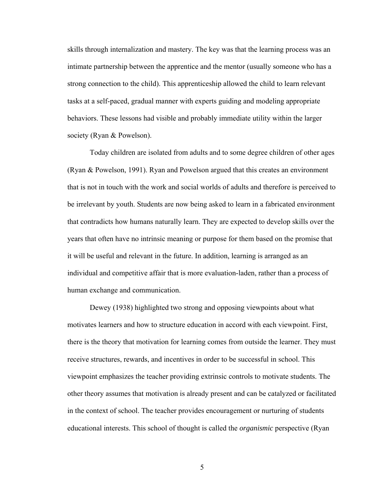skills through internalization and mastery. The key was that the learning process was an intimate partnership between the apprentice and the mentor (usually someone who has a strong connection to the child). This apprenticeship allowed the child to learn relevant tasks at a self-paced, gradual manner with experts guiding and modeling appropriate behaviors. These lessons had visible and probably immediate utility within the larger society (Ryan & Powelson).

Today children are isolated from adults and to some degree children of other ages (Ryan & Powelson, 1991). Ryan and Powelson argued that this creates an environment that is not in touch with the work and social worlds of adults and therefore is perceived to be irrelevant by youth. Students are now being asked to learn in a fabricated environment that contradicts how humans naturally learn. They are expected to develop skills over the years that often have no intrinsic meaning or purpose for them based on the promise that it will be useful and relevant in the future. In addition, learning is arranged as an individual and competitive affair that is more evaluation-laden, rather than a process of human exchange and communication.

Dewey (1938) highlighted two strong and opposing viewpoints about what motivates learners and how to structure education in accord with each viewpoint. First, there is the theory that motivation for learning comes from outside the learner. They must receive structures, rewards, and incentives in order to be successful in school. This viewpoint emphasizes the teacher providing extrinsic controls to motivate students. The other theory assumes that motivation is already present and can be catalyzed or facilitated in the context of school. The teacher provides encouragement or nurturing of students educational interests. This school of thought is called the *organismic* perspective (Ryan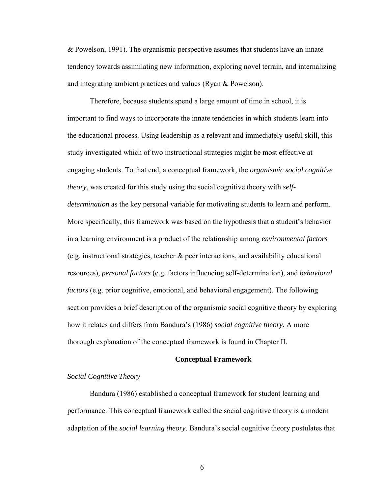<span id="page-19-0"></span>& Powelson, 1991). The organismic perspective assumes that students have an innate tendency towards assimilating new information, exploring novel terrain, and internalizing and integrating ambient practices and values (Ryan & Powelson).

Therefore, because students spend a large amount of time in school, it is important to find ways to incorporate the innate tendencies in which students learn into the educational process. Using leadership as a relevant and immediately useful skill, this study investigated which of two instructional strategies might be most effective at engaging students. To that end, a conceptual framework, the *organismic social cognitive theory*, was created for this study using the social cognitive theory with *selfdetermination* as the key personal variable for motivating students to learn and perform. More specifically, this framework was based on the hypothesis that a student's behavior in a learning environment is a product of the relationship among *environmental factors* (e.g. instructional strategies, teacher & peer interactions, and availability educational resources), *personal factors* (e.g. factors influencing self-determination), and *behavioral factors* (e.g. prior cognitive, emotional, and behavioral engagement). The following section provides a brief description of the organismic social cognitive theory by exploring how it relates and differs from Bandura's (1986) *social cognitive theory*. A more thorough explanation of the conceptual framework is found in Chapter II.

#### **Conceptual Framework**

# *Social Cognitive Theory*

Bandura (1986) established a conceptual framework for student learning and performance. This conceptual framework called the social cognitive theory is a modern adaptation of the *social learning theory*. Bandura's social cognitive theory postulates that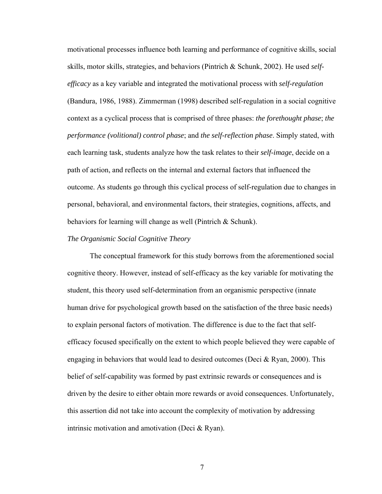<span id="page-20-0"></span>motivational processes influence both learning and performance of cognitive skills, social skills, motor skills, strategies, and behaviors (Pintrich & Schunk, 2002). He used *selfefficacy* as a key variable and integrated the motivational process with *self-regulation* (Bandura, 1986, 1988). Zimmerman (1998) described self-regulation in a social cognitive context as a cyclical process that is comprised of three phases: *the forethought phase*; *the performance (volitional) control phase*; and *the self-reflection phase*. Simply stated, with each learning task, students analyze how the task relates to their *self-image*, decide on a path of action, and reflects on the internal and external factors that influenced the outcome. As students go through this cyclical process of self-regulation due to changes in personal, behavioral, and environmental factors, their strategies, cognitions, affects, and behaviors for learning will change as well (Pintrich & Schunk).

## *The Organismic Social Cognitive Theory*

 The conceptual framework for this study borrows from the aforementioned social cognitive theory. However, instead of self-efficacy as the key variable for motivating the student, this theory used self-determination from an organismic perspective (innate human drive for psychological growth based on the satisfaction of the three basic needs) to explain personal factors of motivation. The difference is due to the fact that selfefficacy focused specifically on the extent to which people believed they were capable of engaging in behaviors that would lead to desired outcomes (Deci  $\&$  Ryan, 2000). This belief of self-capability was formed by past extrinsic rewards or consequences and is driven by the desire to either obtain more rewards or avoid consequences. Unfortunately, this assertion did not take into account the complexity of motivation by addressing intrinsic motivation and amotivation (Deci  $& Ryan$ ).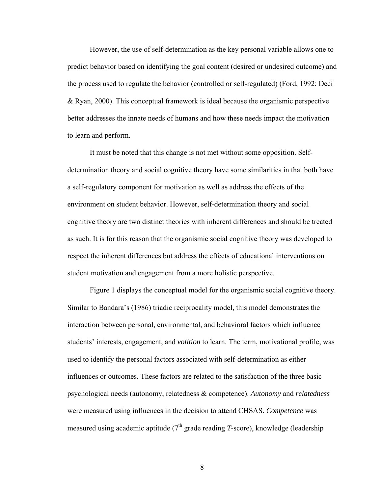However, the use of self-determination as the key personal variable allows one to predict behavior based on identifying the goal content (desired or undesired outcome) and the process used to regulate the behavior (controlled or self-regulated) (Ford, 1992; Deci & Ryan, 2000). This conceptual framework is ideal because the organismic perspective better addresses the innate needs of humans and how these needs impact the motivation to learn and perform.

It must be noted that this change is not met without some opposition. Selfdetermination theory and social cognitive theory have some similarities in that both have a self-regulatory component for motivation as well as address the effects of the environment on student behavior. However, self-determination theory and social cognitive theory are two distinct theories with inherent differences and should be treated as such. It is for this reason that the organismic social cognitive theory was developed to respect the inherent differences but address the effects of educational interventions on student motivation and engagement from a more holistic perspective.

Figure 1 displays the conceptual model for the organismic social cognitive theory. Similar to Bandara's (1986) triadic reciprocality model, this model demonstrates the interaction between personal, environmental, and behavioral factors which influence students' interests, engagement, and *volition* to learn. The term, motivational profile, was used to identify the personal factors associated with self-determination as either influences or outcomes. These factors are related to the satisfaction of the three basic psychological needs (autonomy, relatedness & competence). *Autonomy* and *relatedness* were measured using influences in the decision to attend CHSAS. *Competence* was measured using academic aptitude  $(7<sup>th</sup>$  grade reading *T*-score), knowledge (leadership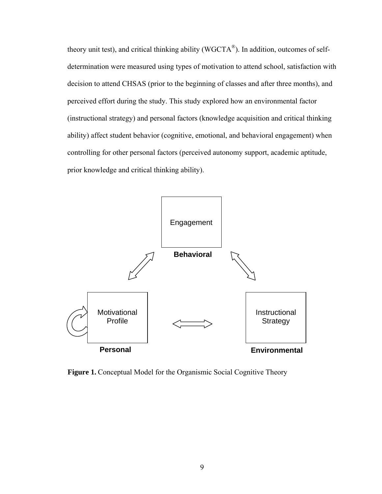theory unit test), and critical thinking ability (WGCTA®). In addition, outcomes of selfdetermination were measured using types of motivation to attend school, satisfaction with decision to attend CHSAS (prior to the beginning of classes and after three months), and perceived effort during the study. This study explored how an environmental factor (instructional strategy) and personal factors (knowledge acquisition and critical thinking ability) affect student behavior (cognitive, emotional, and behavioral engagement) when controlling for other personal factors (perceived autonomy support, academic aptitude, prior knowledge and critical thinking ability).



**Figure 1.** Conceptual Model for the Organismic Social Cognitive Theory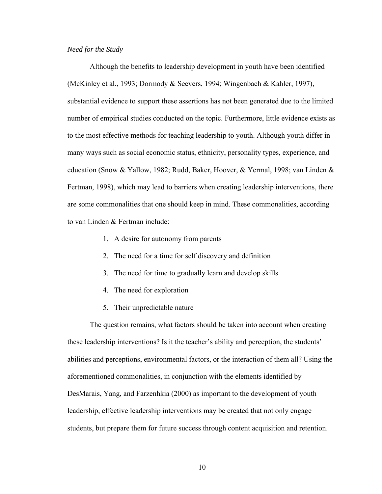## <span id="page-23-0"></span>*Need for the Study*

Although the benefits to leadership development in youth have been identified (McKinley et al., 1993; Dormody & Seevers, 1994; Wingenbach & Kahler, 1997), substantial evidence to support these assertions has not been generated due to the limited number of empirical studies conducted on the topic. Furthermore, little evidence exists as to the most effective methods for teaching leadership to youth. Although youth differ in many ways such as social economic status, ethnicity, personality types, experience, and education (Snow & Yallow, 1982; Rudd, Baker, Hoover, & Yermal, 1998; van Linden & Fertman, 1998), which may lead to barriers when creating leadership interventions, there are some commonalities that one should keep in mind. These commonalities, according to van Linden & Fertman include:

- 1. A desire for autonomy from parents
- 2. The need for a time for self discovery and definition
- 3. The need for time to gradually learn and develop skills
- 4. The need for exploration
- 5. Their unpredictable nature

The question remains, what factors should be taken into account when creating these leadership interventions? Is it the teacher's ability and perception, the students' abilities and perceptions, environmental factors, or the interaction of them all? Using the aforementioned commonalities, in conjunction with the elements identified by DesMarais, Yang, and Farzenhkia (2000) as important to the development of youth leadership, effective leadership interventions may be created that not only engage students, but prepare them for future success through content acquisition and retention.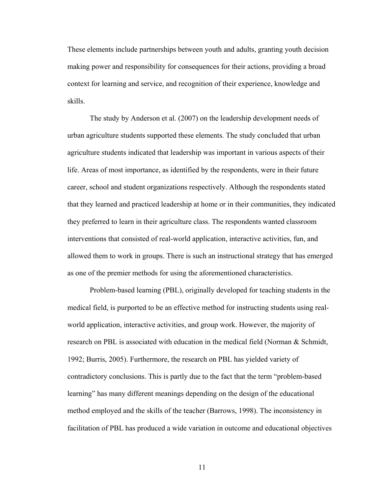These elements include partnerships between youth and adults, granting youth decision making power and responsibility for consequences for their actions, providing a broad context for learning and service, and recognition of their experience, knowledge and skills.

The study by Anderson et al. (2007) on the leadership development needs of urban agriculture students supported these elements. The study concluded that urban agriculture students indicated that leadership was important in various aspects of their life. Areas of most importance, as identified by the respondents, were in their future career, school and student organizations respectively. Although the respondents stated that they learned and practiced leadership at home or in their communities, they indicated they preferred to learn in their agriculture class. The respondents wanted classroom interventions that consisted of real-world application, interactive activities, fun, and allowed them to work in groups. There is such an instructional strategy that has emerged as one of the premier methods for using the aforementioned characteristics.

Problem-based learning (PBL), originally developed for teaching students in the medical field, is purported to be an effective method for instructing students using realworld application, interactive activities, and group work. However, the majority of research on PBL is associated with education in the medical field (Norman & Schmidt, 1992; Burris, 2005). Furthermore, the research on PBL has yielded variety of contradictory conclusions. This is partly due to the fact that the term "problem-based learning" has many different meanings depending on the design of the educational method employed and the skills of the teacher (Barrows, 1998). The inconsistency in facilitation of PBL has produced a wide variation in outcome and educational objectives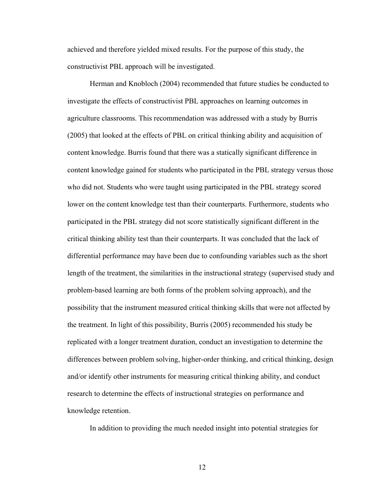achieved and therefore yielded mixed results. For the purpose of this study, the constructivist PBL approach will be investigated.

Herman and Knobloch (2004) recommended that future studies be conducted to investigate the effects of constructivist PBL approaches on learning outcomes in agriculture classrooms. This recommendation was addressed with a study by Burris (2005) that looked at the effects of PBL on critical thinking ability and acquisition of content knowledge. Burris found that there was a statically significant difference in content knowledge gained for students who participated in the PBL strategy versus those who did not. Students who were taught using participated in the PBL strategy scored lower on the content knowledge test than their counterparts. Furthermore, students who participated in the PBL strategy did not score statistically significant different in the critical thinking ability test than their counterparts. It was concluded that the lack of differential performance may have been due to confounding variables such as the short length of the treatment, the similarities in the instructional strategy (supervised study and problem-based learning are both forms of the problem solving approach), and the possibility that the instrument measured critical thinking skills that were not affected by the treatment. In light of this possibility, Burris (2005) recommended his study be replicated with a longer treatment duration, conduct an investigation to determine the differences between problem solving, higher-order thinking, and critical thinking, design and/or identify other instruments for measuring critical thinking ability, and conduct research to determine the effects of instructional strategies on performance and knowledge retention.

In addition to providing the much needed insight into potential strategies for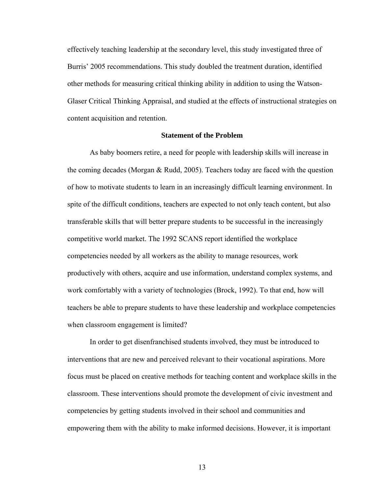<span id="page-26-0"></span>effectively teaching leadership at the secondary level, this study investigated three of Burris' 2005 recommendations. This study doubled the treatment duration, identified other methods for measuring critical thinking ability in addition to using the Watson-Glaser Critical Thinking Appraisal, and studied at the effects of instructional strategies on content acquisition and retention.

# **Statement of the Problem**

 As baby boomers retire, a need for people with leadership skills will increase in the coming decades (Morgan & Rudd, 2005). Teachers today are faced with the question of how to motivate students to learn in an increasingly difficult learning environment. In spite of the difficult conditions, teachers are expected to not only teach content, but also transferable skills that will better prepare students to be successful in the increasingly competitive world market. The 1992 SCANS report identified the workplace competencies needed by all workers as the ability to manage resources, work productively with others, acquire and use information, understand complex systems, and work comfortably with a variety of technologies (Brock, 1992). To that end, how will teachers be able to prepare students to have these leadership and workplace competencies when classroom engagement is limited?

In order to get disenfranchised students involved, they must be introduced to interventions that are new and perceived relevant to their vocational aspirations. More focus must be placed on creative methods for teaching content and workplace skills in the classroom. These interventions should promote the development of civic investment and competencies by getting students involved in their school and communities and empowering them with the ability to make informed decisions. However, it is important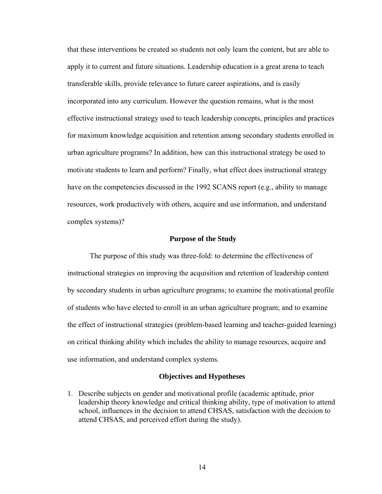<span id="page-27-0"></span>that these interventions be created so students not only learn the content, but are able to apply it to current and future situations. Leadership education is a great arena to teach transferable skills, provide relevance to future career aspirations, and is easily incorporated into any curriculum. However the question remains, what is the most effective instructional strategy used to teach leadership concepts, principles and practices for maximum knowledge acquisition and retention among secondary students enrolled in urban agriculture programs? In addition, how can this instructional strategy be used to motivate students to learn and perform? Finally, what effect does instructional strategy have on the competencies discussed in the 1992 SCANS report (e.g., ability to manage resources, work productively with others, acquire and use information, and understand complex systems)?

## **Purpose of the Study**

The purpose of this study was three-fold: to determine the effectiveness of instructional strategies on improving the acquisition and retention of leadership content by secondary students in urban agriculture programs; to examine the motivational profile of students who have elected to enroll in an urban agriculture program; and to examine the effect of instructional strategies (problem-based learning and teacher-guided learning) on critical thinking ability which includes the ability to manage resources, acquire and use information, and understand complex systems.

## **Objectives and Hypotheses**

1. Describe subjects on gender and motivational profile (academic aptitude, prior leadership theory knowledge and critical thinking ability, type of motivation to attend school, influences in the decision to attend CHSAS, satisfaction with the decision to attend CHSAS, and perceived effort during the study).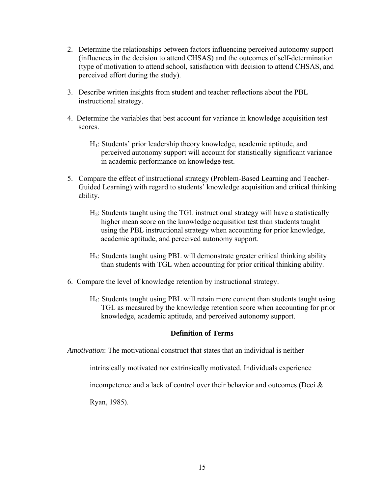- <span id="page-28-0"></span>2. Determine the relationships between factors influencing perceived autonomy support (influences in the decision to attend CHSAS) and the outcomes of self-determination (type of motivation to attend school, satisfaction with decision to attend CHSAS, and perceived effort during the study).
- 3. Describe written insights from student and teacher reflections about the PBL instructional strategy.
- 4. Determine the variables that best account for variance in knowledge acquisition test scores.
	- H1: Students' prior leadership theory knowledge, academic aptitude, and perceived autonomy support will account for statistically significant variance in academic performance on knowledge test.
- 5. Compare the effect of instructional strategy (Problem-Based Learning and Teacher-Guided Learning) with regard to students' knowledge acquisition and critical thinking ability.
	- H2: Students taught using the TGL instructional strategy will have a statistically higher mean score on the knowledge acquisition test than students taught using the PBL instructional strategy when accounting for prior knowledge, academic aptitude, and perceived autonomy support.
	- H3: Students taught using PBL will demonstrate greater critical thinking ability than students with TGL when accounting for prior critical thinking ability.
- 6. Compare the level of knowledge retention by instructional strategy.
	- H4: Students taught using PBL will retain more content than students taught using TGL as measured by the knowledge retention score when accounting for prior knowledge, academic aptitude, and perceived autonomy support.

# **Definition of Terms**

*Amotivation*: The motivational construct that states that an individual is neither

intrinsically motivated nor extrinsically motivated. Individuals experience

incompetence and a lack of control over their behavior and outcomes (Deci  $\&$ 

Ryan, 1985).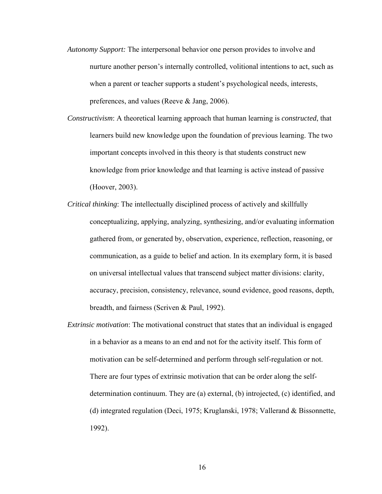- *Autonomy Support:* The interpersonal behavior one person provides to involve and nurture another person's internally controlled, volitional intentions to act, such as when a parent or teacher supports a student's psychological needs, interests, preferences, and values (Reeve & Jang, 2006).
- *Constructivism*: A theoretical learning approach that human learning is *constructed*, that learners build new knowledge upon the foundation of previous learning. The two important concepts involved in this theory is that students construct new knowledge from prior knowledge and that learning is active instead of passive (Hoover, 2003).
- *Critical thinking*: The intellectually disciplined process of actively and skillfully conceptualizing, applying, analyzing, synthesizing, and/or evaluating information gathered from, or generated by, observation, experience, reflection, reasoning, or communication, as a guide to belief and action. In its exemplary form, it is based on universal intellectual values that transcend subject matter divisions: clarity, accuracy, precision, consistency, relevance, sound evidence, good reasons, depth, breadth, and fairness (Scriven & Paul, 1992).
- *Extrinsic motivation*: The motivational construct that states that an individual is engaged in a behavior as a means to an end and not for the activity itself. This form of motivation can be self-determined and perform through self-regulation or not. There are four types of extrinsic motivation that can be order along the selfdetermination continuum. They are (a) external, (b) introjected, (c) identified, and (d) integrated regulation (Deci, 1975; Kruglanski, 1978; Vallerand & Bissonnette, 1992).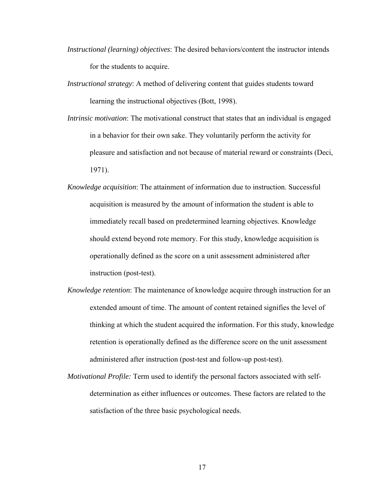- *Instructional (learning) objectives*: The desired behaviors/content the instructor intends for the students to acquire.
- *Instructional strategy*: A method of delivering content that guides students toward learning the instructional objectives (Bott, 1998).
- *Intrinsic motivation*: The motivational construct that states that an individual is engaged in a behavior for their own sake. They voluntarily perform the activity for pleasure and satisfaction and not because of material reward or constraints (Deci, 1971).
- *Knowledge acquisition*: The attainment of information due to instruction. Successful acquisition is measured by the amount of information the student is able to immediately recall based on predetermined learning objectives. Knowledge should extend beyond rote memory. For this study, knowledge acquisition is operationally defined as the score on a unit assessment administered after instruction (post-test).
- *Knowledge retention*: The maintenance of knowledge acquire through instruction for an extended amount of time. The amount of content retained signifies the level of thinking at which the student acquired the information. For this study, knowledge retention is operationally defined as the difference score on the unit assessment administered after instruction (post-test and follow-up post-test).
- *Motivational Profile:* Term used to identify the personal factors associated with selfdetermination as either influences or outcomes. These factors are related to the satisfaction of the three basic psychological needs.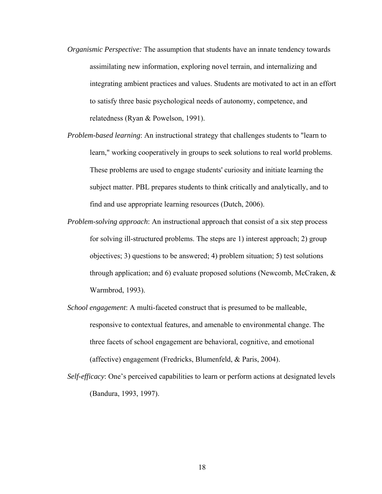- *Organismic Perspective:* The assumption that students have an innate tendency towards assimilating new information, exploring novel terrain, and internalizing and integrating ambient practices and values. Students are motivated to act in an effort to satisfy three basic psychological needs of autonomy, competence, and relatedness (Ryan & Powelson, 1991).
- *Problem-based learning*: An instructional strategy that challenges students to "learn to learn," working cooperatively in groups to seek solutions to real world problems. These problems are used to engage students' curiosity and initiate learning the subject matter. PBL prepares students to think critically and analytically, and to find and use appropriate learning resources (Dutch, 2006).
- *Problem-solving approach*: An instructional approach that consist of a six step process for solving ill-structured problems. The steps are 1) interest approach; 2) group objectives; 3) questions to be answered; 4) problem situation; 5) test solutions through application; and 6) evaluate proposed solutions (Newcomb, McCraken, & Warmbrod, 1993).
- *School engagement*: A multi-faceted construct that is presumed to be malleable, responsive to contextual features, and amenable to environmental change. The three facets of school engagement are behavioral, cognitive, and emotional (affective) engagement (Fredricks, Blumenfeld, & Paris, 2004).
- *Self-efficacy*: One's perceived capabilities to learn or perform actions at designated levels (Bandura, 1993, 1997).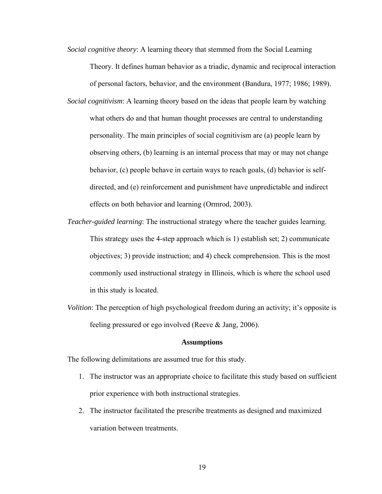<span id="page-32-0"></span>*Social cognitive theory*: A learning theory that stemmed from the Social Learning Theory. It defines human behavior as a triadic, dynamic and reciprocal interaction of personal factors, behavior, and the environment (Bandura, 1977; 1986; 1989). *Social cognitivism*: A learning theory based on the ideas that people learn by watching what others do and that human thought processes are central to understanding personality. The main principles of social cognitivism are (a) people learn by observing others, (b) learning is an internal process that may or may not change behavior, (c) people behave in certain ways to reach goals, (d) behavior is selfdirected, and (e) reinforcement and punishment have unpredictable and indirect effects on both behavior and learning (Ormrod, 2003).

- *Teacher-guided learning*: The instructional strategy where the teacher guides learning. This strategy uses the 4-step approach which is 1) establish set; 2) communicate objectives; 3) provide instruction; and 4) check comprehension. This is the most commonly used instructional strategy in Illinois, which is where the school used in this study is located.
- *Volition*: The perception of high psychological freedom during an activity; it's opposite is feeling pressured or ego involved (Reeve & Jang, 2006).

# **Assumptions**

The following delimitations are assumed true for this study.

- 1. The instructor was an appropriate choice to facilitate this study based on sufficient prior experience with both instructional strategies.
- 2. The instructor facilitated the prescribe treatments as designed and maximized variation between treatments.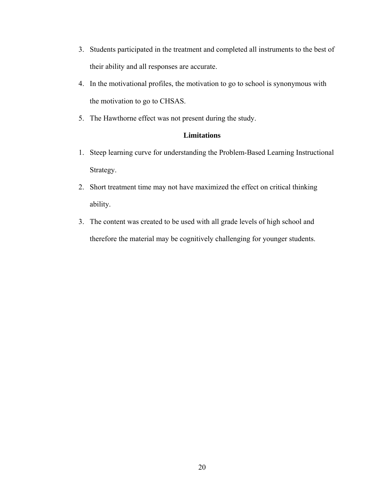- <span id="page-33-0"></span>3. Students participated in the treatment and completed all instruments to the best of their ability and all responses are accurate.
- 4. In the motivational profiles, the motivation to go to school is synonymous with the motivation to go to CHSAS.
- 5. The Hawthorne effect was not present during the study.

# **Limitations**

- 1. Steep learning curve for understanding the Problem-Based Learning Instructional Strategy.
- 2. Short treatment time may not have maximized the effect on critical thinking ability.
- 3. The content was created to be used with all grade levels of high school and therefore the material may be cognitively challenging for younger students.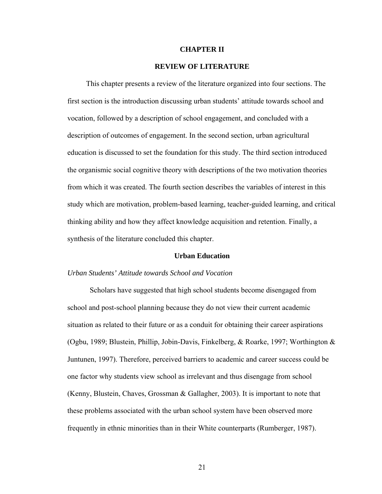#### **CHAPTER II**

# **REVIEW OF LITERATURE**

<span id="page-34-0"></span>This chapter presents a review of the literature organized into four sections. The first section is the introduction discussing urban students' attitude towards school and vocation, followed by a description of school engagement, and concluded with a description of outcomes of engagement. In the second section, urban agricultural education is discussed to set the foundation for this study. The third section introduced the organismic social cognitive theory with descriptions of the two motivation theories from which it was created. The fourth section describes the variables of interest in this study which are motivation, problem-based learning, teacher-guided learning, and critical thinking ability and how they affect knowledge acquisition and retention. Finally, a synthesis of the literature concluded this chapter.

### **Urban Education**

#### *Urban Students' Attitude towards School and Vocation*

Scholars have suggested that high school students become disengaged from school and post-school planning because they do not view their current academic situation as related to their future or as a conduit for obtaining their career aspirations (Ogbu, 1989; Blustein, Phillip, Jobin-Davis, Finkelberg, & Roarke, 1997; Worthington & Juntunen, 1997). Therefore, perceived barriers to academic and career success could be one factor why students view school as irrelevant and thus disengage from school (Kenny, Blustein, Chaves, Grossman & Gallagher, 2003). It is important to note that these problems associated with the urban school system have been observed more frequently in ethnic minorities than in their White counterparts (Rumberger, 1987).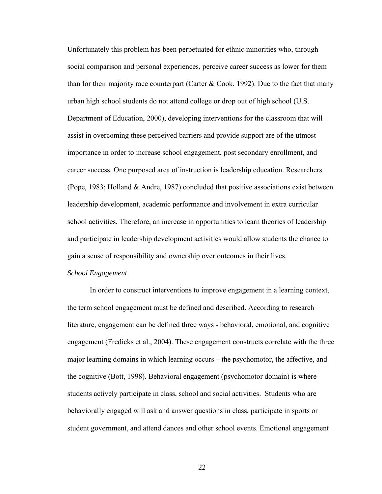<span id="page-35-0"></span>Unfortunately this problem has been perpetuated for ethnic minorities who, through social comparison and personal experiences, perceive career success as lower for them than for their majority race counterpart (Carter & Cook, 1992). Due to the fact that many urban high school students do not attend college or drop out of high school (U.S. Department of Education, 2000), developing interventions for the classroom that will assist in overcoming these perceived barriers and provide support are of the utmost importance in order to increase school engagement, post secondary enrollment, and career success. One purposed area of instruction is leadership education. Researchers (Pope, 1983; Holland & Andre, 1987) concluded that positive associations exist between leadership development, academic performance and involvement in extra curricular school activities. Therefore, an increase in opportunities to learn theories of leadership and participate in leadership development activities would allow students the chance to gain a sense of responsibility and ownership over outcomes in their lives.

#### *School Engagement*

In order to construct interventions to improve engagement in a learning context, the term school engagement must be defined and described. According to research literature, engagement can be defined three ways - behavioral, emotional, and cognitive engagement (Fredicks et al., 2004). These engagement constructs correlate with the three major learning domains in which learning occurs – the psychomotor, the affective, and the cognitive (Bott, 1998). Behavioral engagement (psychomotor domain) is where students actively participate in class, school and social activities. Students who are behaviorally engaged will ask and answer questions in class, participate in sports or student government, and attend dances and other school events. Emotional engagement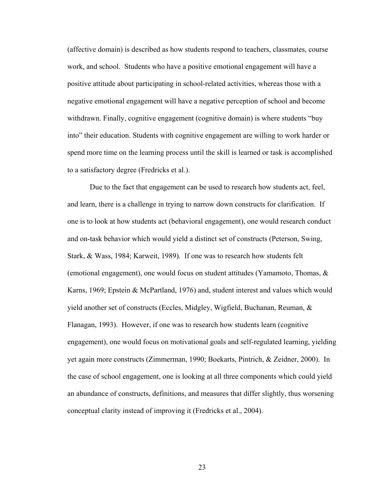(affective domain) is described as how students respond to teachers, classmates, course work, and school. Students who have a positive emotional engagement will have a positive attitude about participating in school-related activities, whereas those with a negative emotional engagement will have a negative perception of school and become withdrawn. Finally, cognitive engagement (cognitive domain) is where students "buy into" their education. Students with cognitive engagement are willing to work harder or spend more time on the learning process until the skill is learned or task is accomplished to a satisfactory degree (Fredricks et al.).

Due to the fact that engagement can be used to research how students act, feel, and learn, there is a challenge in trying to narrow down constructs for clarification. If one is to look at how students act (behavioral engagement), one would research conduct and on-task behavior which would yield a distinct set of constructs (Peterson, Swing, Stark, & Wass, 1984; Karweit, 1989). If one was to research how students felt (emotional engagement), one would focus on student attitudes (Yamamoto, Thomas, & Karns, 1969; Epstein & McPartland, 1976) and, student interest and values which would yield another set of constructs (Eccles, Midgley, Wigfield, Buchanan, Reuman, & Flanagan, 1993). However, if one was to research how students learn (cognitive engagement), one would focus on motivational goals and self-regulated learning, yielding yet again more constructs (Zimmerman, 1990; Boekarts, Pintrich, & Zeidner, 2000). In the case of school engagement, one is looking at all three components which could yield an abundance of constructs, definitions, and measures that differ slightly, thus worsening conceptual clarity instead of improving it (Fredricks et al., 2004).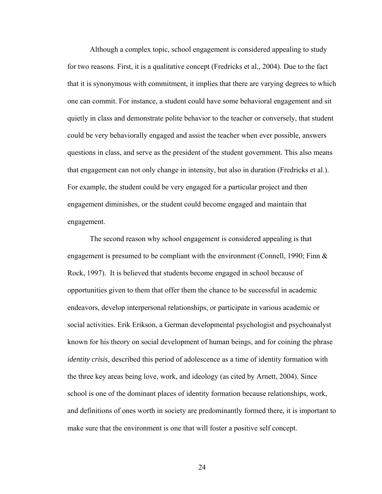Although a complex topic, school engagement is considered appealing to study for two reasons. First, it is a qualitative concept (Fredricks et al., 2004). Due to the fact that it is synonymous with commitment, it implies that there are varying degrees to which one can commit. For instance, a student could have some behavioral engagement and sit quietly in class and demonstrate polite behavior to the teacher or conversely, that student could be very behaviorally engaged and assist the teacher when ever possible, answers questions in class, and serve as the president of the student government. This also means that engagement can not only change in intensity, but also in duration (Fredricks et al.). For example, the student could be very engaged for a particular project and then engagement diminishes, or the student could become engaged and maintain that engagement.

The second reason why school engagement is considered appealing is that engagement is presumed to be compliant with the environment (Connell, 1990; Finn & Rock, 1997). It is believed that students become engaged in school because of opportunities given to them that offer them the chance to be successful in academic endeavors, develop interpersonal relationships, or participate in various academic or social activities. Erik Erikson, a German developmental psychologist and psychoanalyst known for his theory on social development of human beings, and for coining the phrase *identity crisis*, described this period of adolescence as a time of identity formation with the three key areas being love, work, and ideology (as cited by Arnett, 2004). Since school is one of the dominant places of identity formation because relationships, work, and definitions of ones worth in society are predominantly formed there, it is important to make sure that the environment is one that will foster a positive self concept.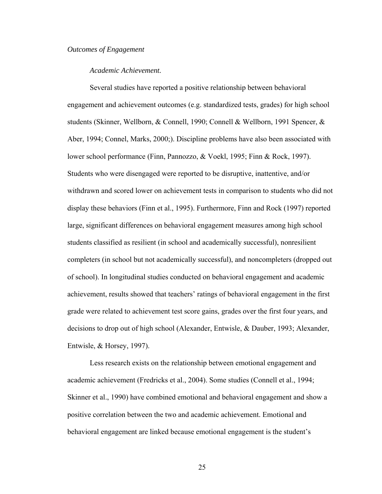### *Outcomes of Engagement*

### *Academic Achievement.*

Several studies have reported a positive relationship between behavioral engagement and achievement outcomes (e.g. standardized tests, grades) for high school students (Skinner, Wellborn, & Connell, 1990; Connell & Wellborn, 1991 Spencer, & Aber, 1994; Connel, Marks, 2000;). Discipline problems have also been associated with lower school performance (Finn, Pannozzo, & Voekl, 1995; Finn & Rock, 1997). Students who were disengaged were reported to be disruptive, inattentive, and/or withdrawn and scored lower on achievement tests in comparison to students who did not display these behaviors (Finn et al., 1995). Furthermore, Finn and Rock (1997) reported large, significant differences on behavioral engagement measures among high school students classified as resilient (in school and academically successful), nonresilient completers (in school but not academically successful), and noncompleters (dropped out of school). In longitudinal studies conducted on behavioral engagement and academic achievement, results showed that teachers' ratings of behavioral engagement in the first grade were related to achievement test score gains, grades over the first four years, and decisions to drop out of high school (Alexander, Entwisle, & Dauber, 1993; Alexander, Entwisle, & Horsey, 1997).

 Less research exists on the relationship between emotional engagement and academic achievement (Fredricks et al., 2004). Some studies (Connell et al., 1994; Skinner et al., 1990) have combined emotional and behavioral engagement and show a positive correlation between the two and academic achievement. Emotional and behavioral engagement are linked because emotional engagement is the student's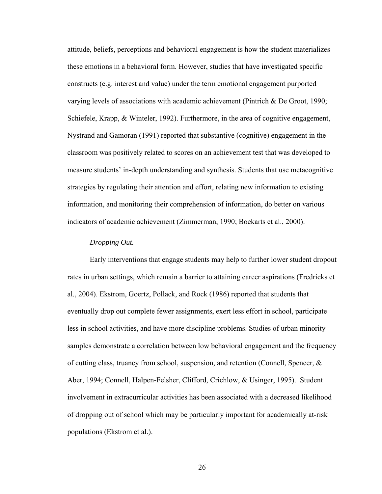attitude, beliefs, perceptions and behavioral engagement is how the student materializes these emotions in a behavioral form. However, studies that have investigated specific constructs (e.g. interest and value) under the term emotional engagement purported varying levels of associations with academic achievement (Pintrich & De Groot, 1990; Schiefele, Krapp, & Winteler, 1992). Furthermore, in the area of cognitive engagement, Nystrand and Gamoran (1991) reported that substantive (cognitive) engagement in the classroom was positively related to scores on an achievement test that was developed to measure students' in-depth understanding and synthesis. Students that use metacognitive strategies by regulating their attention and effort, relating new information to existing information, and monitoring their comprehension of information, do better on various indicators of academic achievement (Zimmerman, 1990; Boekarts et al., 2000).

### *Dropping Out.*

Early interventions that engage students may help to further lower student dropout rates in urban settings, which remain a barrier to attaining career aspirations (Fredricks et al., 2004). Ekstrom, Goertz, Pollack, and Rock (1986) reported that students that eventually drop out complete fewer assignments, exert less effort in school, participate less in school activities, and have more discipline problems. Studies of urban minority samples demonstrate a correlation between low behavioral engagement and the frequency of cutting class, truancy from school, suspension, and retention (Connell, Spencer, & Aber, 1994; Connell, Halpen-Felsher, Clifford, Crichlow, & Usinger, 1995). Student involvement in extracurricular activities has been associated with a decreased likelihood of dropping out of school which may be particularly important for academically at-risk populations (Ekstrom et al.).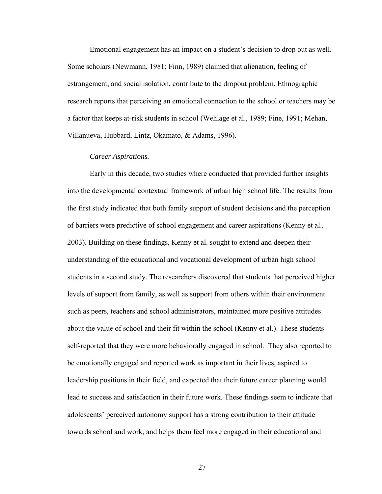Emotional engagement has an impact on a student's decision to drop out as well. Some scholars (Newmann, 1981; Finn, 1989) claimed that alienation, feeling of estrangement, and social isolation, contribute to the dropout problem. Ethnographic research reports that perceiving an emotional connection to the school or teachers may be a factor that keeps at-risk students in school (Wehlage et al., 1989; Fine, 1991; Mehan, Villanueva, Hubbard, Lintz, Okamato, & Adams, 1996).

### *Career Aspirations.*

Early in this decade, two studies where conducted that provided further insights into the developmental contextual framework of urban high school life. The results from the first study indicated that both family support of student decisions and the perception of barriers were predictive of school engagement and career aspirations (Kenny et al., 2003). Building on these findings, Kenny et al. sought to extend and deepen their understanding of the educational and vocational development of urban high school students in a second study. The researchers discovered that students that perceived higher levels of support from family, as well as support from others within their environment such as peers, teachers and school administrators, maintained more positive attitudes about the value of school and their fit within the school (Kenny et al.). These students self-reported that they were more behaviorally engaged in school. They also reported to be emotionally engaged and reported work as important in their lives, aspired to leadership positions in their field, and expected that their future career planning would lead to success and satisfaction in their future work. These findings seem to indicate that adolescents' perceived autonomy support has a strong contribution to their attitude towards school and work, and helps them feel more engaged in their educational and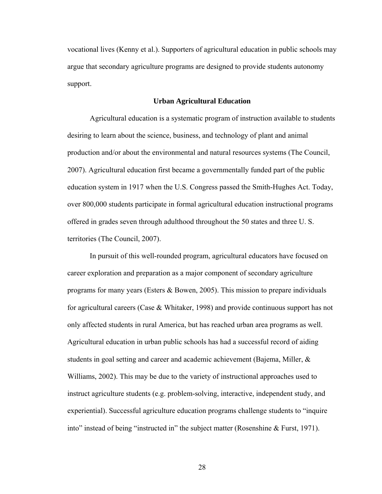vocational lives (Kenny et al.). Supporters of agricultural education in public schools may argue that secondary agriculture programs are designed to provide students autonomy support.

### **Urban Agricultural Education**

Agricultural education is a systematic program of instruction available to students desiring to learn about the science, business, and technology of plant and animal production and/or about the environmental and natural resources systems (The Council, 2007). Agricultural education first became a governmentally funded part of the public education system in 1917 when the U.S. Congress passed the Smith-Hughes Act. Today, over 800,000 students participate in formal agricultural education instructional programs offered in grades seven through adulthood throughout the 50 states and three U. S. territories (The Council, 2007).

In pursuit of this well-rounded program, agricultural educators have focused on career exploration and preparation as a major component of secondary agriculture programs for many years (Esters & Bowen, 2005). This mission to prepare individuals for agricultural careers (Case & Whitaker, 1998) and provide continuous support has not only affected students in rural America, but has reached urban area programs as well. Agricultural education in urban public schools has had a successful record of aiding students in goal setting and career and academic achievement (Bajema, Miller, & Williams, 2002). This may be due to the variety of instructional approaches used to instruct agriculture students (e.g. problem-solving, interactive, independent study, and experiential). Successful agriculture education programs challenge students to "inquire into" instead of being "instructed in" the subject matter (Rosenshine & Furst, 1971).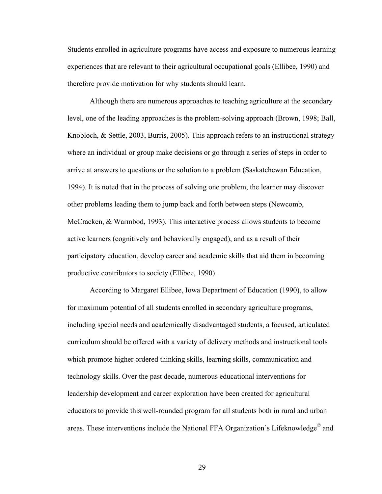Students enrolled in agriculture programs have access and exposure to numerous learning experiences that are relevant to their agricultural occupational goals (Ellibee, 1990) and therefore provide motivation for why students should learn.

Although there are numerous approaches to teaching agriculture at the secondary level, one of the leading approaches is the problem-solving approach (Brown, 1998; Ball, Knobloch, & Settle, 2003, Burris, 2005). This approach refers to an instructional strategy where an individual or group make decisions or go through a series of steps in order to arrive at answers to questions or the solution to a problem (Saskatchewan Education, 1994). It is noted that in the process of solving one problem, the learner may discover other problems leading them to jump back and forth between steps (Newcomb, McCracken, & Warmbod, 1993). This interactive process allows students to become active learners (cognitively and behaviorally engaged), and as a result of their participatory education, develop career and academic skills that aid them in becoming productive contributors to society (Ellibee, 1990).

 According to Margaret Ellibee, Iowa Department of Education (1990), to allow for maximum potential of all students enrolled in secondary agriculture programs, including special needs and academically disadvantaged students, a focused, articulated curriculum should be offered with a variety of delivery methods and instructional tools which promote higher ordered thinking skills, learning skills, communication and technology skills. Over the past decade, numerous educational interventions for leadership development and career exploration have been created for agricultural educators to provide this well-rounded program for all students both in rural and urban areas. These interventions include the National FFA Organization's Lifeknowledge© and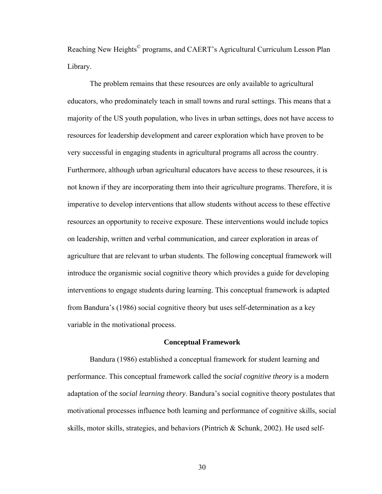Reaching New Heights© programs, and CAERT's Agricultural Curriculum Lesson Plan Library.

The problem remains that these resources are only available to agricultural educators, who predominately teach in small towns and rural settings. This means that a majority of the US youth population, who lives in urban settings, does not have access to resources for leadership development and career exploration which have proven to be very successful in engaging students in agricultural programs all across the country. Furthermore, although urban agricultural educators have access to these resources, it is not known if they are incorporating them into their agriculture programs. Therefore, it is imperative to develop interventions that allow students without access to these effective resources an opportunity to receive exposure. These interventions would include topics on leadership, written and verbal communication, and career exploration in areas of agriculture that are relevant to urban students. The following conceptual framework will introduce the organismic social cognitive theory which provides a guide for developing interventions to engage students during learning. This conceptual framework is adapted from Bandura's (1986) social cognitive theory but uses self-determination as a key variable in the motivational process.

#### **Conceptual Framework**

Bandura (1986) established a conceptual framework for student learning and performance. This conceptual framework called the *social cognitive theory* is a modern adaptation of the *social learning theory*. Bandura's social cognitive theory postulates that motivational processes influence both learning and performance of cognitive skills, social skills, motor skills, strategies, and behaviors (Pintrich & Schunk, 2002). He used self-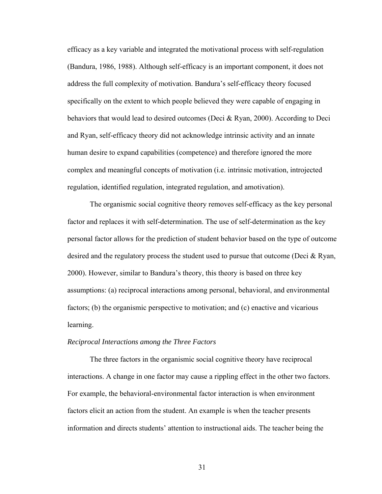efficacy as a key variable and integrated the motivational process with self-regulation (Bandura, 1986, 1988). Although self-efficacy is an important component, it does not address the full complexity of motivation. Bandura's self-efficacy theory focused specifically on the extent to which people believed they were capable of engaging in behaviors that would lead to desired outcomes (Deci & Ryan, 2000). According to Deci and Ryan, self-efficacy theory did not acknowledge intrinsic activity and an innate human desire to expand capabilities (competence) and therefore ignored the more complex and meaningful concepts of motivation (i.e. intrinsic motivation, introjected regulation, identified regulation, integrated regulation, and amotivation).

The organismic social cognitive theory removes self-efficacy as the key personal factor and replaces it with self-determination. The use of self-determination as the key personal factor allows for the prediction of student behavior based on the type of outcome desired and the regulatory process the student used to pursue that outcome (Deci & Ryan, 2000). However, similar to Bandura's theory, this theory is based on three key assumptions: (a) reciprocal interactions among personal, behavioral, and environmental factors; (b) the organismic perspective to motivation; and (c) enactive and vicarious learning.

### *Reciprocal Interactions among the Three Factors*

 The three factors in the organismic social cognitive theory have reciprocal interactions. A change in one factor may cause a rippling effect in the other two factors. For example, the behavioral-environmental factor interaction is when environment factors elicit an action from the student. An example is when the teacher presents information and directs students' attention to instructional aids. The teacher being the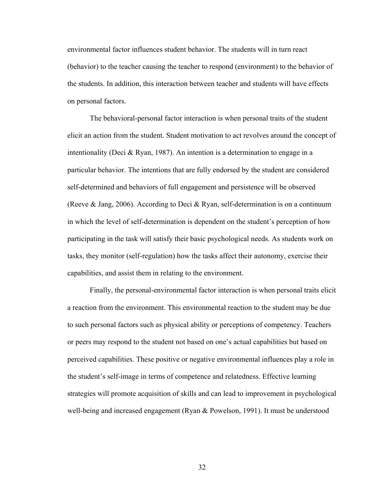environmental factor influences student behavior. The students will in turn react (behavior) to the teacher causing the teacher to respond (environment) to the behavior of the students. In addition, this interaction between teacher and students will have effects on personal factors.

 The behavioral-personal factor interaction is when personal traits of the student elicit an action from the student. Student motivation to act revolves around the concept of intentionality (Deci & Ryan, 1987). An intention is a determination to engage in a particular behavior. The intentions that are fully endorsed by the student are considered self-determined and behaviors of full engagement and persistence will be observed (Reeve & Jang, 2006). According to Deci & Ryan, self-determination is on a continuum in which the level of self-determination is dependent on the student's perception of how participating in the task will satisfy their basic psychological needs. As students work on tasks, they monitor (self-regulation) how the tasks affect their autonomy, exercise their capabilities, and assist them in relating to the environment.

 Finally, the personal-environmental factor interaction is when personal traits elicit a reaction from the environment. This environmental reaction to the student may be due to such personal factors such as physical ability or perceptions of competency. Teachers or peers may respond to the student not based on one's actual capabilities but based on perceived capabilities. These positive or negative environmental influences play a role in the student's self-image in terms of competence and relatedness. Effective learning strategies will promote acquisition of skills and can lead to improvement in psychological well-being and increased engagement (Ryan & Powelson, 1991). It must be understood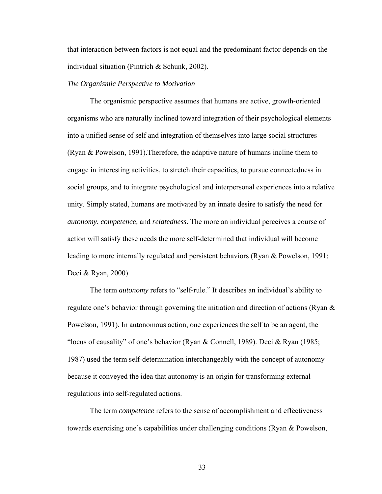that interaction between factors is not equal and the predominant factor depends on the individual situation (Pintrich & Schunk, 2002).

### *The Organismic Perspective to Motivation*

The organismic perspective assumes that humans are active, growth-oriented organisms who are naturally inclined toward integration of their psychological elements into a unified sense of self and integration of themselves into large social structures (Ryan & Powelson, 1991).Therefore, the adaptive nature of humans incline them to engage in interesting activities, to stretch their capacities, to pursue connectedness in social groups, and to integrate psychological and interpersonal experiences into a relative unity. Simply stated, humans are motivated by an innate desire to satisfy the need for *autonomy*, *competence,* and *relatedness*. The more an individual perceives a course of action will satisfy these needs the more self-determined that individual will become leading to more internally regulated and persistent behaviors (Ryan & Powelson, 1991; Deci & Ryan, 2000).

The term *autonomy* refers to "self-rule." It describes an individual's ability to regulate one's behavior through governing the initiation and direction of actions (Ryan  $\&$ Powelson, 1991). In autonomous action, one experiences the self to be an agent, the "locus of causality" of one's behavior (Ryan & Connell, 1989). Deci & Ryan (1985; 1987) used the term self-determination interchangeably with the concept of autonomy because it conveyed the idea that autonomy is an origin for transforming external regulations into self-regulated actions.

The term *competence* refers to the sense of accomplishment and effectiveness towards exercising one's capabilities under challenging conditions (Ryan & Powelson,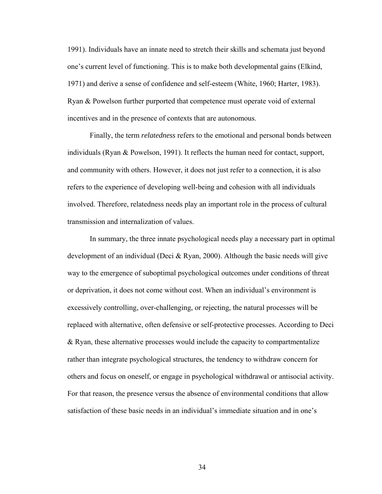1991). Individuals have an innate need to stretch their skills and schemata just beyond one's current level of functioning. This is to make both developmental gains (Elkind, 1971) and derive a sense of confidence and self-esteem (White, 1960; Harter, 1983). Ryan & Powelson further purported that competence must operate void of external incentives and in the presence of contexts that are autonomous.

Finally, the term *relatedness* refers to the emotional and personal bonds between individuals (Ryan & Powelson, 1991). It reflects the human need for contact, support, and community with others. However, it does not just refer to a connection, it is also refers to the experience of developing well-being and cohesion with all individuals involved. Therefore, relatedness needs play an important role in the process of cultural transmission and internalization of values.

In summary, the three innate psychological needs play a necessary part in optimal development of an individual (Deci & Ryan, 2000). Although the basic needs will give way to the emergence of suboptimal psychological outcomes under conditions of threat or deprivation, it does not come without cost. When an individual's environment is excessively controlling, over-challenging, or rejecting, the natural processes will be replaced with alternative, often defensive or self-protective processes. According to Deci & Ryan, these alternative processes would include the capacity to compartmentalize rather than integrate psychological structures, the tendency to withdraw concern for others and focus on oneself, or engage in psychological withdrawal or antisocial activity. For that reason, the presence versus the absence of environmental conditions that allow satisfaction of these basic needs in an individual's immediate situation and in one's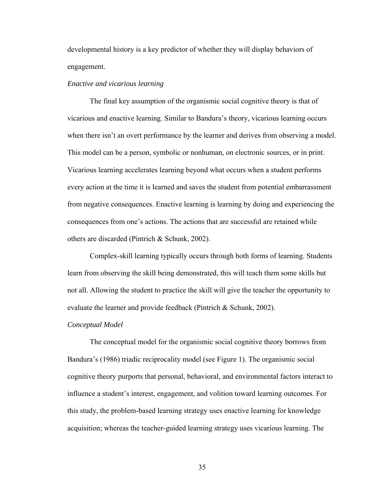developmental history is a key predictor of whether they will display behaviors of engagement.

### *Enactive and vicarious learning*

 The final key assumption of the organismic social cognitive theory is that of vicarious and enactive learning. Similar to Bandura's theory, vicarious learning occurs when there isn't an overt performance by the learner and derives from observing a model. This model can be a person, symbolic or nonhuman, on electronic sources, or in print. Vicarious learning accelerates learning beyond what occurs when a student performs every action at the time it is learned and saves the student from potential embarrassment from negative consequences. Enactive learning is learning by doing and experiencing the consequences from one's actions. The actions that are successful are retained while others are discarded (Pintrich & Schunk, 2002).

 Complex-skill learning typically occurs through both forms of learning. Students learn from observing the skill being demonstrated, this will teach them some skills but not all. Allowing the student to practice the skill will give the teacher the opportunity to evaluate the learner and provide feedback (Pintrich & Schunk, 2002).

#### *Conceptual Model*

The conceptual model for the organismic social cognitive theory borrows from Bandura's (1986) triadic reciprocality model (see Figure 1). The organismic social cognitive theory purports that personal, behavioral, and environmental factors interact to influence a student's interest, engagement, and volition toward learning outcomes. For this study, the problem-based learning strategy uses enactive learning for knowledge acquisition; whereas the teacher-guided learning strategy uses vicarious learning. The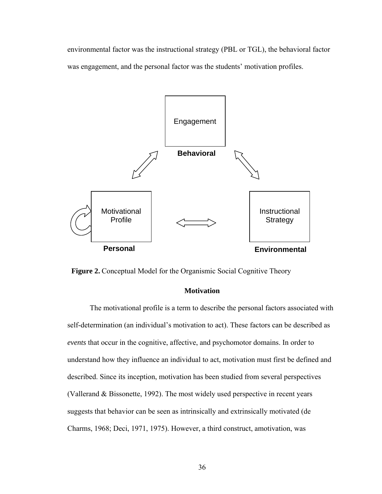environmental factor was the instructional strategy (PBL or TGL), the behavioral factor was engagement, and the personal factor was the students' motivation profiles.



**Figure 2.** Conceptual Model for the Organismic Social Cognitive Theory

## **Motivation**

 The motivational profile is a term to describe the personal factors associated with self-determination (an individual's motivation to act). These factors can be described as *events* that occur in the cognitive, affective, and psychomotor domains. In order to understand how they influence an individual to act, motivation must first be defined and described. Since its inception, motivation has been studied from several perspectives (Vallerand & Bissonette, 1992). The most widely used perspective in recent years suggests that behavior can be seen as intrinsically and extrinsically motivated (de Charms, 1968; Deci, 1971, 1975). However, a third construct, amotivation, was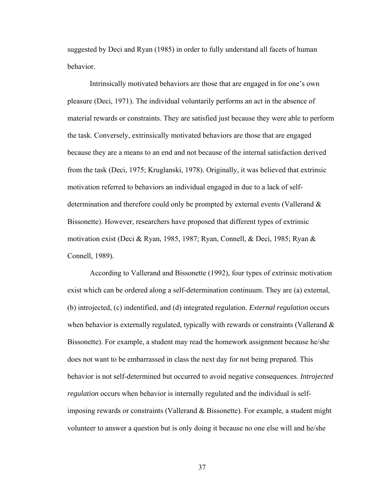suggested by Deci and Ryan (1985) in order to fully understand all facets of human behavior.

Intrinsically motivated behaviors are those that are engaged in for one's own pleasure (Deci, 1971). The individual voluntarily performs an act in the absence of material rewards or constraints. They are satisfied just because they were able to perform the task. Conversely, extrinsically motivated behaviors are those that are engaged because they are a means to an end and not because of the internal satisfaction derived from the task (Deci, 1975; Kruglanski, 1978). Originally, it was believed that extrinsic motivation referred to behaviors an individual engaged in due to a lack of selfdetermination and therefore could only be prompted by external events (Vallerand & Bissonette). However, researchers have proposed that different types of extrinsic motivation exist (Deci & Ryan, 1985, 1987; Ryan, Connell, & Deci, 1985; Ryan & Connell, 1989).

 According to Vallerand and Bissonette (1992), four types of extrinsic motivation exist which can be ordered along a self-determination continuum. They are (a) external, (b) introjected, (c) indentified, and (d) integrated regulation. *External regulation* occurs when behavior is externally regulated, typically with rewards or constraints (Vallerand  $\&$ Bissonette). For example, a student may read the homework assignment because he/she does not want to be embarrassed in class the next day for not being prepared. This behavior is not self-determined but occurred to avoid negative consequences. *Introjected regulation* occurs when behavior is internally regulated and the individual is selfimposing rewards or constraints (Vallerand  $\&$  Bissonette). For example, a student might volunteer to answer a question but is only doing it because no one else will and he/she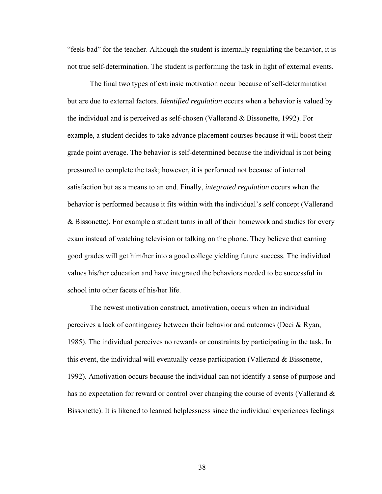"feels bad" for the teacher. Although the student is internally regulating the behavior, it is not true self-determination. The student is performing the task in light of external events.

The final two types of extrinsic motivation occur because of self-determination but are due to external factors. *Identified regulation* occurs when a behavior is valued by the individual and is perceived as self-chosen (Vallerand & Bissonette, 1992). For example, a student decides to take advance placement courses because it will boost their grade point average. The behavior is self-determined because the individual is not being pressured to complete the task; however, it is performed not because of internal satisfaction but as a means to an end. Finally, *integrated regulation* occurs when the behavior is performed because it fits within with the individual's self concept (Vallerand & Bissonette). For example a student turns in all of their homework and studies for every exam instead of watching television or talking on the phone. They believe that earning good grades will get him/her into a good college yielding future success. The individual values his/her education and have integrated the behaviors needed to be successful in school into other facets of his/her life.

 The newest motivation construct, amotivation, occurs when an individual perceives a lack of contingency between their behavior and outcomes (Deci & Ryan, 1985). The individual perceives no rewards or constraints by participating in the task. In this event, the individual will eventually cease participation (Vallerand & Bissonette, 1992). Amotivation occurs because the individual can not identify a sense of purpose and has no expectation for reward or control over changing the course of events (Vallerand  $\&$ Bissonette). It is likened to learned helplessness since the individual experiences feelings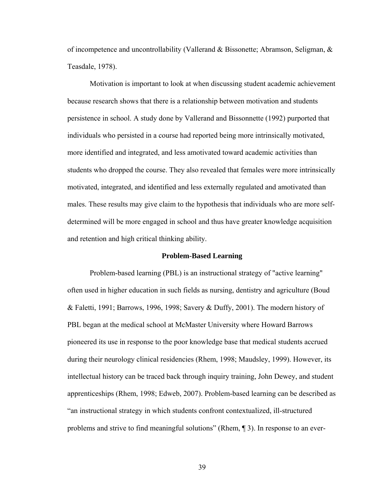of incompetence and uncontrollability (Vallerand & Bissonette; Abramson, Seligman, & Teasdale, 1978).

 Motivation is important to look at when discussing student academic achievement because research shows that there is a relationship between motivation and students persistence in school. A study done by Vallerand and Bissonnette (1992) purported that individuals who persisted in a course had reported being more intrinsically motivated, more identified and integrated, and less amotivated toward academic activities than students who dropped the course. They also revealed that females were more intrinsically motivated, integrated, and identified and less externally regulated and amotivated than males. These results may give claim to the hypothesis that individuals who are more selfdetermined will be more engaged in school and thus have greater knowledge acquisition and retention and high critical thinking ability.

### **Problem-Based Learning**

Problem-based learning (PBL) is an instructional strategy of "active learning" often used in higher education in such fields as nursing, dentistry and agriculture (Boud & Faletti, 1991; Barrows, 1996, 1998; Savery & Duffy, 2001). The modern history of PBL began at the medical school at McMaster University where Howard Barrows pioneered its use in response to the poor knowledge base that medical students accrued during their neurology clinical residencies (Rhem, 1998; Maudsley, 1999). However, its intellectual history can be traced back through inquiry training, John Dewey, and student apprenticeships (Rhem, 1998; Edweb, 2007). Problem-based learning can be described as "an instructional strategy in which students confront contextualized, ill-structured problems and strive to find meaningful solutions" (Rhem, ¶ 3). In response to an ever-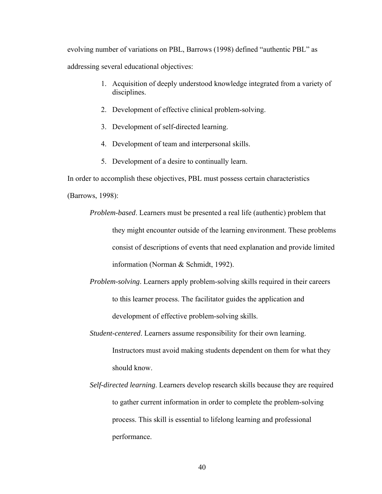evolving number of variations on PBL, Barrows (1998) defined "authentic PBL" as addressing several educational objectives:

- 1. Acquisition of deeply understood knowledge integrated from a variety of disciplines.
- 2. Development of effective clinical problem-solving.
- 3. Development of self-directed learning.
- 4. Development of team and interpersonal skills.
- 5. Development of a desire to continually learn.

In order to accomplish these objectives, PBL must possess certain characteristics (Barrows, 1998):

- *Problem-based*. Learners must be presented a real life (authentic) problem that they might encounter outside of the learning environment. These problems consist of descriptions of events that need explanation and provide limited information (Norman & Schmidt, 1992).
- *Problem-solving*. Learners apply problem-solving skills required in their careers to this learner process. The facilitator guides the application and development of effective problem-solving skills.
- *Student-centered*. Learners assume responsibility for their own learning. Instructors must avoid making students dependent on them for what they should know.
- *Self-directed learning*. Learners develop research skills because they are required to gather current information in order to complete the problem-solving process. This skill is essential to lifelong learning and professional performance.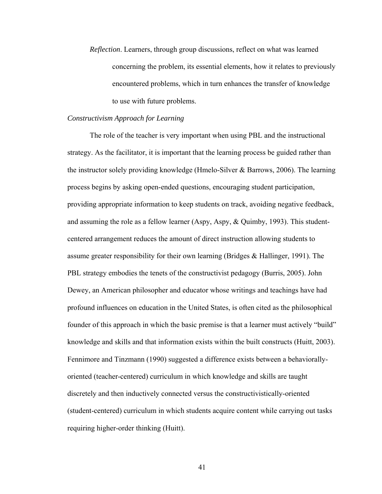*Reflection*. Learners, through group discussions, reflect on what was learned concerning the problem, its essential elements, how it relates to previously encountered problems, which in turn enhances the transfer of knowledge to use with future problems.

### *Constructivism Approach for Learning*

The role of the teacher is very important when using PBL and the instructional strategy. As the facilitator, it is important that the learning process be guided rather than the instructor solely providing knowledge (Hmelo-Silver & Barrows, 2006). The learning process begins by asking open-ended questions, encouraging student participation, providing appropriate information to keep students on track, avoiding negative feedback, and assuming the role as a fellow learner (Aspy, Aspy, & Quimby, 1993). This studentcentered arrangement reduces the amount of direct instruction allowing students to assume greater responsibility for their own learning (Bridges & Hallinger, 1991). The PBL strategy embodies the tenets of the constructivist pedagogy (Burris, 2005). John Dewey, an American philosopher and educator whose writings and teachings have had profound influences on education in the United States, is often cited as the philosophical founder of this approach in which the basic premise is that a learner must actively "build" knowledge and skills and that information exists within the built constructs (Huitt, 2003). Fennimore and Tinzmann (1990) suggested a difference exists between a behaviorallyoriented (teacher-centered) curriculum in which knowledge and skills are taught discretely and then inductively connected versus the constructivistically-oriented (student-centered) curriculum in which students acquire content while carrying out tasks requiring higher-order thinking (Huitt).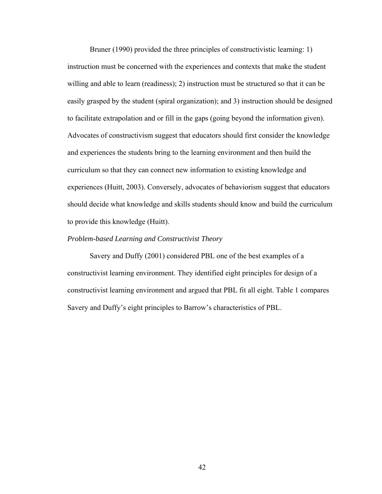Bruner (1990) provided the three principles of constructivistic learning: 1) instruction must be concerned with the experiences and contexts that make the student willing and able to learn (readiness); 2) instruction must be structured so that it can be easily grasped by the student (spiral organization); and 3) instruction should be designed to facilitate extrapolation and or fill in the gaps (going beyond the information given). Advocates of constructivism suggest that educators should first consider the knowledge and experiences the students bring to the learning environment and then build the curriculum so that they can connect new information to existing knowledge and experiences (Huitt, 2003). Conversely, advocates of behaviorism suggest that educators should decide what knowledge and skills students should know and build the curriculum to provide this knowledge (Huitt).

### *Problem-based Learning and Constructivist Theory*

 Savery and Duffy (2001) considered PBL one of the best examples of a constructivist learning environment. They identified eight principles for design of a constructivist learning environment and argued that PBL fit all eight. Table 1 compares Savery and Duffy's eight principles to Barrow's characteristics of PBL.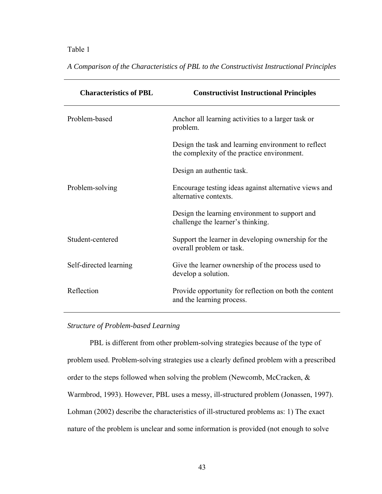# Table 1

*A Comparison of the Characteristics of PBL to the Constructivist Instructional Principles* 

| <b>Characteristics of PBL</b> | <b>Constructivist Instructional Principles</b>                                                     |
|-------------------------------|----------------------------------------------------------------------------------------------------|
| Problem-based                 | Anchor all learning activities to a larger task or<br>problem.                                     |
|                               | Design the task and learning environment to reflect<br>the complexity of the practice environment. |
|                               | Design an authentic task.                                                                          |
| Problem-solving               | Encourage testing ideas against alternative views and<br>alternative contexts.                     |
|                               | Design the learning environment to support and<br>challenge the learner's thinking.                |
| Student-centered              | Support the learner in developing ownership for the<br>overall problem or task.                    |
| Self-directed learning        | Give the learner ownership of the process used to<br>develop a solution.                           |
| Reflection                    | Provide opportunity for reflection on both the content<br>and the learning process.                |

# *Structure of Problem-based Learning*

 PBL is different from other problem-solving strategies because of the type of problem used. Problem-solving strategies use a clearly defined problem with a prescribed order to the steps followed when solving the problem (Newcomb, McCracken, & Warmbrod, 1993). However, PBL uses a messy, ill-structured problem (Jonassen, 1997). Lohman (2002) describe the characteristics of ill-structured problems as: 1) The exact nature of the problem is unclear and some information is provided (not enough to solve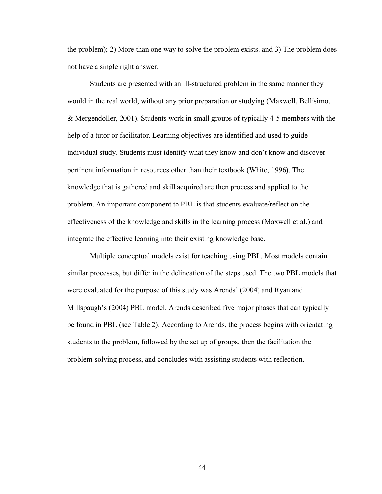the problem); 2) More than one way to solve the problem exists; and 3) The problem does not have a single right answer.

 Students are presented with an ill-structured problem in the same manner they would in the real world, without any prior preparation or studying (Maxwell, Bellisimo, & Mergendoller, 2001). Students work in small groups of typically 4-5 members with the help of a tutor or facilitator. Learning objectives are identified and used to guide individual study. Students must identify what they know and don't know and discover pertinent information in resources other than their textbook (White, 1996). The knowledge that is gathered and skill acquired are then process and applied to the problem. An important component to PBL is that students evaluate/reflect on the effectiveness of the knowledge and skills in the learning process (Maxwell et al.) and integrate the effective learning into their existing knowledge base.

Multiple conceptual models exist for teaching using PBL. Most models contain similar processes, but differ in the delineation of the steps used. The two PBL models that were evaluated for the purpose of this study was Arends' (2004) and Ryan and Millspaugh's (2004) PBL model. Arends described five major phases that can typically be found in PBL (see Table 2). According to Arends, the process begins with orientating students to the problem, followed by the set up of groups, then the facilitation the problem-solving process, and concludes with assisting students with reflection.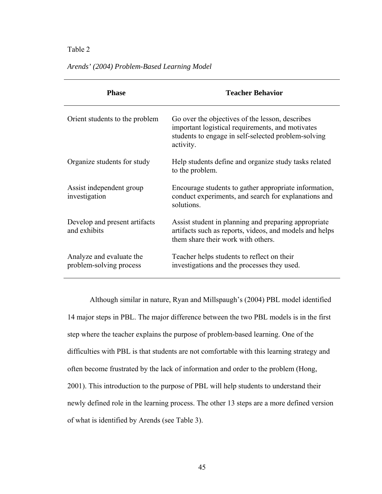## Table 2

| <b>Phase</b>                                        | <b>Teacher Behavior</b>                                                                                                                                                 |
|-----------------------------------------------------|-------------------------------------------------------------------------------------------------------------------------------------------------------------------------|
| Orient students to the problem                      | Go over the objectives of the lesson, describes<br>important logistical requirements, and motivates<br>students to engage in self-selected problem-solving<br>activity. |
| Organize students for study                         | Help students define and organize study tasks related<br>to the problem.                                                                                                |
| Assist independent group<br>investigation           | Encourage students to gather appropriate information,<br>conduct experiments, and search for explanations and<br>solutions.                                             |
| Develop and present artifacts<br>and exhibits       | Assist student in planning and preparing appropriate<br>artifacts such as reports, videos, and models and helps<br>them share their work with others.                   |
| Analyze and evaluate the<br>problem-solving process | Teacher helps students to reflect on their<br>investigations and the processes they used.                                                                               |

## *Arends' (2004) Problem-Based Learning Model*

Although similar in nature, Ryan and Millspaugh's (2004) PBL model identified 14 major steps in PBL. The major difference between the two PBL models is in the first step where the teacher explains the purpose of problem-based learning. One of the difficulties with PBL is that students are not comfortable with this learning strategy and often become frustrated by the lack of information and order to the problem (Hong, 2001). This introduction to the purpose of PBL will help students to understand their newly defined role in the learning process. The other 13 steps are a more defined version of what is identified by Arends (see Table 3).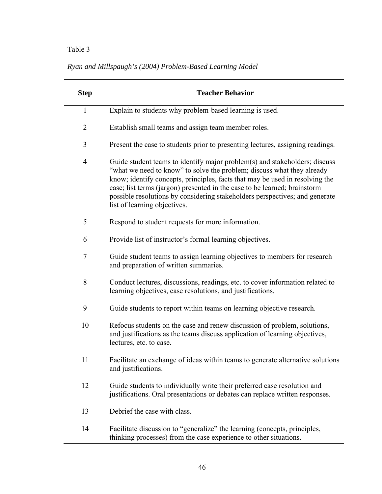## Table 3

| <b>Step</b> | <b>Teacher Behavior</b>                                 |
|-------------|---------------------------------------------------------|
|             | Explain to students why problem-based learning is used. |
|             | Establish small teams and assign team member roles.     |

## *Ryan and Millspaugh's (2004) Problem-Based Learning Model*

4 Guide student teams to identify major problem(s) and stakeholders; discuss "what we need to know" to solve the problem; discuss what they already know; identify concepts, principles, facts that may be used in resolving the case; list terms (jargon) presented in the case to be learned; brainstorm possible resolutions by considering stakeholders perspectives; and generate list of learning objectives.

3 Present the case to students prior to presenting lectures, assigning readings.

- 5 Respond to student requests for more information.
- 6 Provide list of instructor's formal learning objectives.
- 7 Guide student teams to assign learning objectives to members for research and preparation of written summaries.
- 8 Conduct lectures, discussions, readings, etc. to cover information related to learning objectives, case resolutions, and justifications.
- 9 Guide students to report within teams on learning objective research.
- 10 Refocus students on the case and renew discussion of problem, solutions, and justifications as the teams discuss application of learning objectives, lectures, etc. to case.
- 11 Facilitate an exchange of ideas within teams to generate alternative solutions and justifications.
- 12 Guide students to individually write their preferred case resolution and justifications. Oral presentations or debates can replace written responses.
- 13 Debrief the case with class.
- 14 Facilitate discussion to "generalize" the learning (concepts, principles, thinking processes) from the case experience to other situations.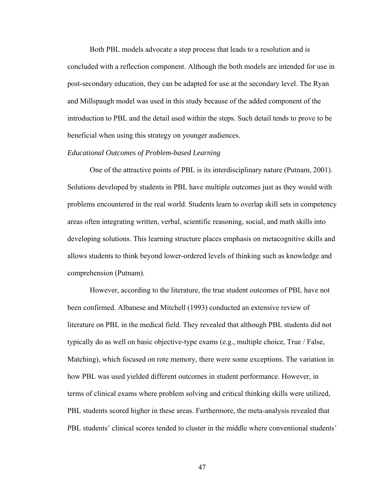Both PBL models advocate a step process that leads to a resolution and is concluded with a reflection component. Although the both models are intended for use in post-secondary education, they can be adapted for use at the secondary level. The Ryan and Millspaugh model was used in this study because of the added component of the introduction to PBL and the detail used within the steps. Such detail tends to prove to be beneficial when using this strategy on younger audiences.

### *Educational Outcomes of Problem-based Learning*

One of the attractive points of PBL is its interdisciplinary nature (Putnam, 2001). Solutions developed by students in PBL have multiple outcomes just as they would with problems encountered in the real world. Students learn to overlap skill sets in competency areas often integrating written, verbal, scientific reasoning, social, and math skills into developing solutions. This learning structure places emphasis on metacognitive skills and allows students to think beyond lower-ordered levels of thinking such as knowledge and comprehension (Putnam).

However, according to the literature, the true student outcomes of PBL have not been confirmed. Albanese and Mitchell (1993) conducted an extensive review of literature on PBL in the medical field. They revealed that although PBL students did not typically do as well on basic objective-type exams (e.g., multiple choice, True / False, Matching), which focused on rote memory, there were some exceptions. The variation in how PBL was used yielded different outcomes in student performance. However, in terms of clinical exams where problem solving and critical thinking skills were utilized, PBL students scored higher in these areas. Furthermore, the meta-analysis revealed that PBL students' clinical scores tended to cluster in the middle where conventional students'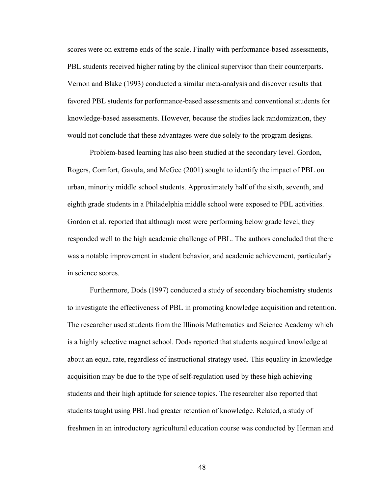scores were on extreme ends of the scale. Finally with performance-based assessments, PBL students received higher rating by the clinical supervisor than their counterparts. Vernon and Blake (1993) conducted a similar meta-analysis and discover results that favored PBL students for performance-based assessments and conventional students for knowledge-based assessments. However, because the studies lack randomization, they would not conclude that these advantages were due solely to the program designs.

Problem-based learning has also been studied at the secondary level. Gordon, Rogers, Comfort, Gavula, and McGee (2001) sought to identify the impact of PBL on urban, minority middle school students. Approximately half of the sixth, seventh, and eighth grade students in a Philadelphia middle school were exposed to PBL activities. Gordon et al. reported that although most were performing below grade level, they responded well to the high academic challenge of PBL. The authors concluded that there was a notable improvement in student behavior, and academic achievement, particularly in science scores.

Furthermore, Dods (1997) conducted a study of secondary biochemistry students to investigate the effectiveness of PBL in promoting knowledge acquisition and retention. The researcher used students from the Illinois Mathematics and Science Academy which is a highly selective magnet school. Dods reported that students acquired knowledge at about an equal rate, regardless of instructional strategy used. This equality in knowledge acquisition may be due to the type of self-regulation used by these high achieving students and their high aptitude for science topics. The researcher also reported that students taught using PBL had greater retention of knowledge. Related, a study of freshmen in an introductory agricultural education course was conducted by Herman and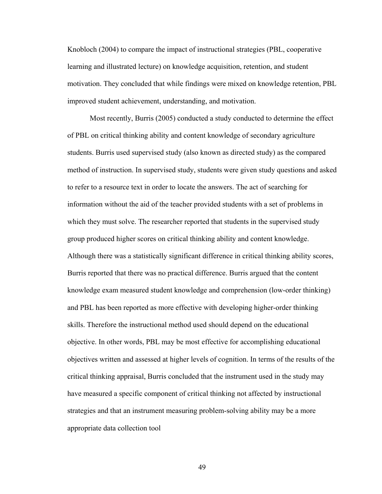Knobloch (2004) to compare the impact of instructional strategies (PBL, cooperative learning and illustrated lecture) on knowledge acquisition, retention, and student motivation. They concluded that while findings were mixed on knowledge retention, PBL improved student achievement, understanding, and motivation.

Most recently, Burris (2005) conducted a study conducted to determine the effect of PBL on critical thinking ability and content knowledge of secondary agriculture students. Burris used supervised study (also known as directed study) as the compared method of instruction. In supervised study, students were given study questions and asked to refer to a resource text in order to locate the answers. The act of searching for information without the aid of the teacher provided students with a set of problems in which they must solve. The researcher reported that students in the supervised study group produced higher scores on critical thinking ability and content knowledge. Although there was a statistically significant difference in critical thinking ability scores, Burris reported that there was no practical difference. Burris argued that the content knowledge exam measured student knowledge and comprehension (low-order thinking) and PBL has been reported as more effective with developing higher-order thinking skills. Therefore the instructional method used should depend on the educational objective. In other words, PBL may be most effective for accomplishing educational objectives written and assessed at higher levels of cognition. In terms of the results of the critical thinking appraisal, Burris concluded that the instrument used in the study may have measured a specific component of critical thinking not affected by instructional strategies and that an instrument measuring problem-solving ability may be a more appropriate data collection tool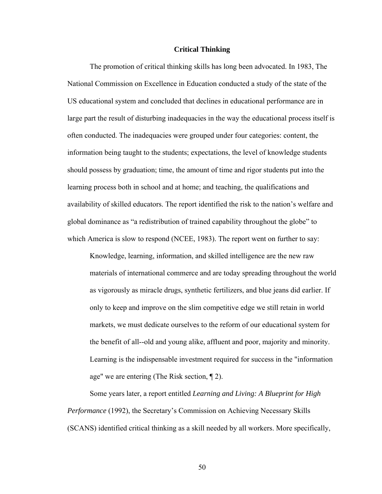### **Critical Thinking**

 The promotion of critical thinking skills has long been advocated. In 1983, The National Commission on Excellence in Education conducted a study of the state of the US educational system and concluded that declines in educational performance are in large part the result of disturbing inadequacies in the way the educational process itself is often conducted. The inadequacies were grouped under four categories: content, the information being taught to the students; expectations, the level of knowledge students should possess by graduation; time, the amount of time and rigor students put into the learning process both in school and at home; and teaching, the qualifications and availability of skilled educators. The report identified the risk to the nation's welfare and global dominance as "a redistribution of trained capability throughout the globe" to which America is slow to respond (NCEE, 1983). The report went on further to say:

Knowledge, learning, information, and skilled intelligence are the new raw materials of international commerce and are today spreading throughout the world as vigorously as miracle drugs, synthetic fertilizers, and blue jeans did earlier. If only to keep and improve on the slim competitive edge we still retain in world markets, we must dedicate ourselves to the reform of our educational system for the benefit of all--old and young alike, affluent and poor, majority and minority. Learning is the indispensable investment required for success in the "information age" we are entering (The Risk section, ¶ 2).

Some years later, a report entitled *Learning and Living: A Blueprint for High Performance* (1992), the Secretary's Commission on Achieving Necessary Skills (SCANS) identified critical thinking as a skill needed by all workers. More specifically,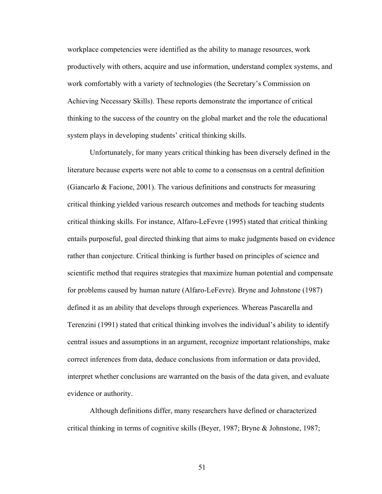workplace competencies were identified as the ability to manage resources, work productively with others, acquire and use information, understand complex systems, and work comfortably with a variety of technologies (the Secretary's Commission on Achieving Necessary Skills). These reports demonstrate the importance of critical thinking to the success of the country on the global market and the role the educational system plays in developing students' critical thinking skills.

Unfortunately, for many years critical thinking has been diversely defined in the literature because experts were not able to come to a consensus on a central definition (Giancarlo  $\&$  Facione, 2001). The various definitions and constructs for measuring critical thinking yielded various research outcomes and methods for teaching students critical thinking skills. For instance, Alfaro-LeFevre (1995) stated that critical thinking entails purposeful, goal directed thinking that aims to make judgments based on evidence rather than conjecture. Critical thinking is further based on principles of science and scientific method that requires strategies that maximize human potential and compensate for problems caused by human nature (Alfaro-LeFevre). Bryne and Johnstone (1987) defined it as an ability that develops through experiences. Whereas Pascarella and Terenzini (1991) stated that critical thinking involves the individual's ability to identify central issues and assumptions in an argument, recognize important relationships, make correct inferences from data, deduce conclusions from information or data provided, interpret whether conclusions are warranted on the basis of the data given, and evaluate evidence or authority.

Although definitions differ, many researchers have defined or characterized critical thinking in terms of cognitive skills (Beyer, 1987; Bryne & Johnstone, 1987;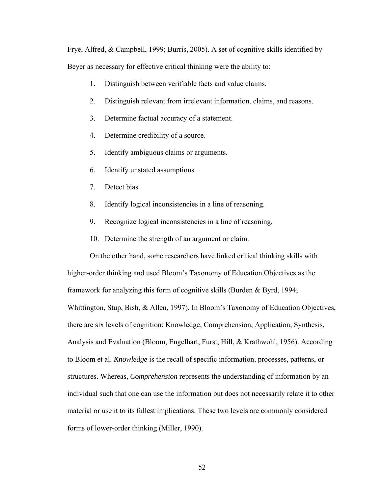Frye, Alfred, & Campbell, 1999; Burris, 2005). A set of cognitive skills identified by Beyer as necessary for effective critical thinking were the ability to:

- 1. Distinguish between verifiable facts and value claims.
- 2. Distinguish relevant from irrelevant information, claims, and reasons.
- 3. Determine factual accuracy of a statement.
- 4. Determine credibility of a source.
- 5. Identify ambiguous claims or arguments.
- 6. Identify unstated assumptions.
- 7. Detect bias.
- 8. Identify logical inconsistencies in a line of reasoning.
- 9. Recognize logical inconsistencies in a line of reasoning.
- 10. Determine the strength of an argument or claim.

On the other hand, some researchers have linked critical thinking skills with higher-order thinking and used Bloom's Taxonomy of Education Objectives as the framework for analyzing this form of cognitive skills (Burden & Byrd, 1994; Whittington, Stup, Bish, & Allen, 1997). In Bloom's Taxonomy of Education Objectives, there are six levels of cognition: Knowledge, Comprehension, Application, Synthesis, Analysis and Evaluation (Bloom, Engelhart, Furst, Hill, & Krathwohl, 1956). According to Bloom et al. *Knowledge* is the recall of specific information, processes, patterns, or structures. Whereas, *Comprehension* represents the understanding of information by an individual such that one can use the information but does not necessarily relate it to other material or use it to its fullest implications. These two levels are commonly considered forms of lower-order thinking (Miller, 1990).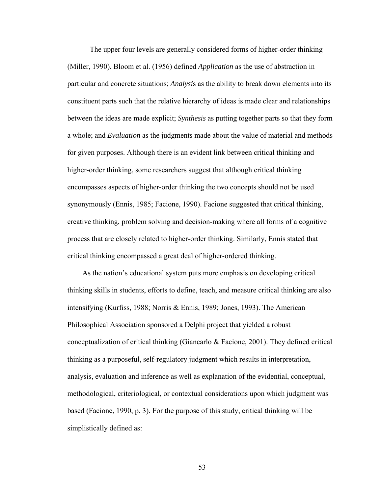The upper four levels are generally considered forms of higher-order thinking (Miller, 1990). Bloom et al. (1956) defined *Application* as the use of abstraction in particular and concrete situations; *Analysi*s as the ability to break down elements into its constituent parts such that the relative hierarchy of ideas is made clear and relationships between the ideas are made explicit; *Synthesis* as putting together parts so that they form a whole; and *Evaluation* as the judgments made about the value of material and methods for given purposes. Although there is an evident link between critical thinking and higher-order thinking, some researchers suggest that although critical thinking encompasses aspects of higher-order thinking the two concepts should not be used synonymously (Ennis, 1985; Facione, 1990). Facione suggested that critical thinking, creative thinking, problem solving and decision-making where all forms of a cognitive process that are closely related to higher-order thinking. Similarly, Ennis stated that critical thinking encompassed a great deal of higher-ordered thinking.

 As the nation's educational system puts more emphasis on developing critical thinking skills in students, efforts to define, teach, and measure critical thinking are also intensifying (Kurfiss, 1988; Norris & Ennis, 1989; Jones, 1993). The American Philosophical Association sponsored a Delphi project that yielded a robust conceptualization of critical thinking (Giancarlo  $\&$  Facione, 2001). They defined critical thinking as a purposeful, self-regulatory judgment which results in interpretation, analysis, evaluation and inference as well as explanation of the evidential, conceptual, methodological, criteriological, or contextual considerations upon which judgment was based (Facione, 1990, p. 3). For the purpose of this study, critical thinking will be simplistically defined as: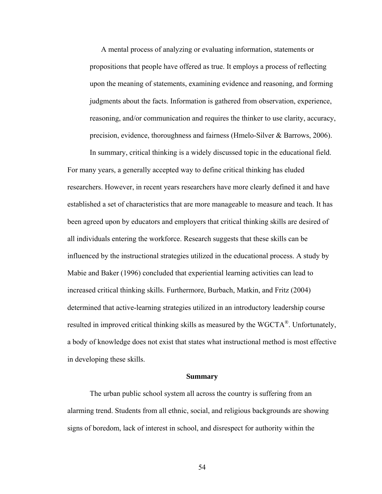A mental process of analyzing or evaluating information, statements or propositions that people have offered as true. It employs a process of reflecting upon the meaning of statements, examining evidence and reasoning, and forming judgments about the facts. Information is gathered from observation, experience, reasoning, and/or communication and requires the thinker to use clarity, accuracy, precision, evidence, thoroughness and fairness (Hmelo-Silver & Barrows, 2006).

In summary, critical thinking is a widely discussed topic in the educational field. For many years, a generally accepted way to define critical thinking has eluded researchers. However, in recent years researchers have more clearly defined it and have established a set of characteristics that are more manageable to measure and teach. It has been agreed upon by educators and employers that critical thinking skills are desired of all individuals entering the workforce. Research suggests that these skills can be influenced by the instructional strategies utilized in the educational process. A study by Mabie and Baker (1996) concluded that experiential learning activities can lead to increased critical thinking skills. Furthermore, Burbach, Matkin, and Fritz (2004) determined that active-learning strategies utilized in an introductory leadership course resulted in improved critical thinking skills as measured by the WGCTA<sup>®</sup>. Unfortunately, a body of knowledge does not exist that states what instructional method is most effective in developing these skills.

### **Summary**

The urban public school system all across the country is suffering from an alarming trend. Students from all ethnic, social, and religious backgrounds are showing signs of boredom, lack of interest in school, and disrespect for authority within the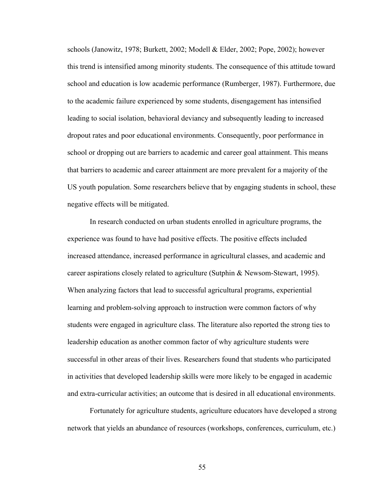schools (Janowitz, 1978; Burkett, 2002; Modell & Elder, 2002; Pope, 2002); however this trend is intensified among minority students. The consequence of this attitude toward school and education is low academic performance (Rumberger, 1987). Furthermore, due to the academic failure experienced by some students, disengagement has intensified leading to social isolation, behavioral deviancy and subsequently leading to increased dropout rates and poor educational environments. Consequently, poor performance in school or dropping out are barriers to academic and career goal attainment. This means that barriers to academic and career attainment are more prevalent for a majority of the US youth population. Some researchers believe that by engaging students in school, these negative effects will be mitigated.

In research conducted on urban students enrolled in agriculture programs, the experience was found to have had positive effects. The positive effects included increased attendance, increased performance in agricultural classes, and academic and career aspirations closely related to agriculture (Sutphin & Newsom-Stewart, 1995). When analyzing factors that lead to successful agricultural programs, experiential learning and problem-solving approach to instruction were common factors of why students were engaged in agriculture class. The literature also reported the strong ties to leadership education as another common factor of why agriculture students were successful in other areas of their lives. Researchers found that students who participated in activities that developed leadership skills were more likely to be engaged in academic and extra-curricular activities; an outcome that is desired in all educational environments.

Fortunately for agriculture students, agriculture educators have developed a strong network that yields an abundance of resources (workshops, conferences, curriculum, etc.)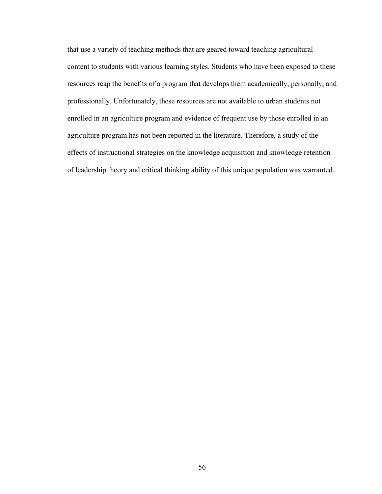that use a variety of teaching methods that are geared toward teaching agricultural content to students with various learning styles. Students who have been exposed to these resources reap the benefits of a program that develops them academically, personally, and professionally. Unfortunately, these resources are not available to urban students not enrolled in an agriculture program and evidence of frequent use by those enrolled in an agriculture program has not been reported in the literature. Therefore, a study of the effects of instructional strategies on the knowledge acquisition and knowledge retention of leadership theory and critical thinking ability of this unique population was warranted.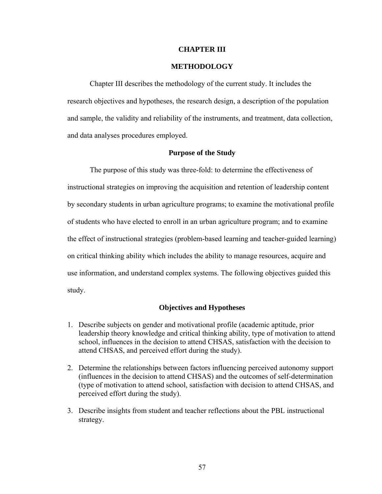### **CHAPTER III**

## **METHODOLOGY**

Chapter III describes the methodology of the current study. It includes the research objectives and hypotheses, the research design, a description of the population and sample, the validity and reliability of the instruments, and treatment, data collection, and data analyses procedures employed.

### **Purpose of the Study**

The purpose of this study was three-fold: to determine the effectiveness of instructional strategies on improving the acquisition and retention of leadership content by secondary students in urban agriculture programs; to examine the motivational profile of students who have elected to enroll in an urban agriculture program; and to examine the effect of instructional strategies (problem-based learning and teacher-guided learning) on critical thinking ability which includes the ability to manage resources, acquire and use information, and understand complex systems. The following objectives guided this study.

### **Objectives and Hypotheses**

- 1. Describe subjects on gender and motivational profile (academic aptitude, prior leadership theory knowledge and critical thinking ability, type of motivation to attend school, influences in the decision to attend CHSAS, satisfaction with the decision to attend CHSAS, and perceived effort during the study).
- 2. Determine the relationships between factors influencing perceived autonomy support (influences in the decision to attend CHSAS) and the outcomes of self-determination (type of motivation to attend school, satisfaction with decision to attend CHSAS, and perceived effort during the study).
- 3. Describe insights from student and teacher reflections about the PBL instructional strategy.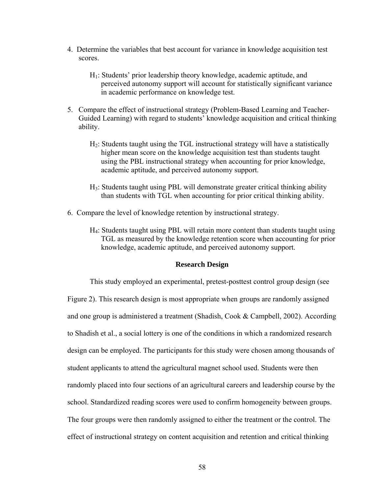- 4. Determine the variables that best account for variance in knowledge acquisition test scores.
	- H1: Students' prior leadership theory knowledge, academic aptitude, and perceived autonomy support will account for statistically significant variance in academic performance on knowledge test.
- 5. Compare the effect of instructional strategy (Problem-Based Learning and Teacher-Guided Learning) with regard to students' knowledge acquisition and critical thinking ability.
	- H2: Students taught using the TGL instructional strategy will have a statistically higher mean score on the knowledge acquisition test than students taught using the PBL instructional strategy when accounting for prior knowledge, academic aptitude, and perceived autonomy support.
	- H3: Students taught using PBL will demonstrate greater critical thinking ability than students with TGL when accounting for prior critical thinking ability.
- 6. Compare the level of knowledge retention by instructional strategy.
	- H4: Students taught using PBL will retain more content than students taught using TGL as measured by the knowledge retention score when accounting for prior knowledge, academic aptitude, and perceived autonomy support.

### **Research Design**

This study employed an experimental, pretest-posttest control group design (see

Figure 2). This research design is most appropriate when groups are randomly assigned and one group is administered a treatment (Shadish, Cook & Campbell, 2002). According to Shadish et al., a social lottery is one of the conditions in which a randomized research design can be employed. The participants for this study were chosen among thousands of student applicants to attend the agricultural magnet school used. Students were then randomly placed into four sections of an agricultural careers and leadership course by the school. Standardized reading scores were used to confirm homogeneity between groups. The four groups were then randomly assigned to either the treatment or the control. The effect of instructional strategy on content acquisition and retention and critical thinking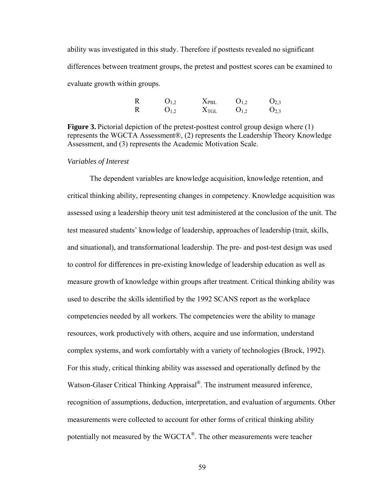ability was investigated in this study. Therefore if posttests revealed no significant differences between treatment groups, the pretest and posttest scores can be examined to evaluate growth within groups.

| $O_{1,2}$ | $X_{\rm PBL}$ | $O_{1,2}$ | $O_{2,3}$ |
|-----------|---------------|-----------|-----------|
| $O_{1,2}$ | $X_{TGL}$     | $O_{1,2}$ | $O_{2,3}$ |

**Figure 3.** Pictorial depiction of the pretest-posttest control group design where (1) represents the WGCTA Assessment®, (2) represents the Leadership Theory Knowledge Assessment, and (3) represents the Academic Motivation Scale.

# *Variables of Interest*

The dependent variables are knowledge acquisition, knowledge retention, and critical thinking ability, representing changes in competency. Knowledge acquisition was assessed using a leadership theory unit test administered at the conclusion of the unit. The test measured students' knowledge of leadership, approaches of leadership (trait, skills, and situational), and transformational leadership. The pre- and post-test design was used to control for differences in pre-existing knowledge of leadership education as well as measure growth of knowledge within groups after treatment. Critical thinking ability was used to describe the skills identified by the 1992 SCANS report as the workplace competencies needed by all workers. The competencies were the ability to manage resources, work productively with others, acquire and use information, understand complex systems, and work comfortably with a variety of technologies (Brock, 1992). For this study, critical thinking ability was assessed and operationally defined by the Watson-Glaser Critical Thinking Appraisal®. The instrument measured inference, recognition of assumptions, deduction, interpretation, and evaluation of arguments. Other measurements were collected to account for other forms of critical thinking ability potentially not measured by the WGCTA®. The other measurements were teacher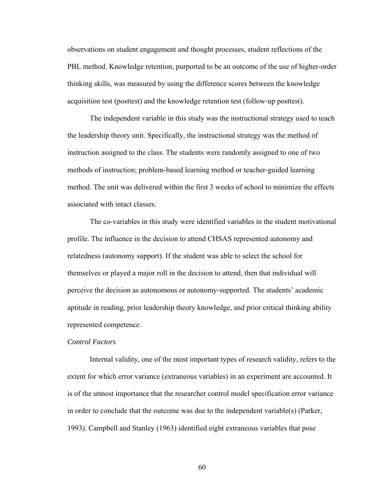observations on student engagement and thought processes, student reflections of the PBL method. Knowledge retention, purported to be an outcome of the use of higher-order thinking skills, was measured by using the difference scores between the knowledge acquisition test (posttest) and the knowledge retention test (follow-up posttest).

The independent variable in this study was the instructional strategy used to teach the leadership theory unit. Specifically, the instructional strategy was the method of instruction assigned to the class. The students were randomly assigned to one of two methods of instruction; problem-based learning method or teacher-guided learning method. The unit was delivered within the first 3 weeks of school to minimize the effects associated with intact classes.

The co-variables in this study were identified variables in the student motivational profile. The influence in the decision to attend CHSAS represented autonomy and relatedness (autonomy support). If the student was able to select the school for themselves or played a major roll in the decision to attend, then that individual will perceive the decision as autonomous or autonomy-supported. The students' academic aptitude in reading, prior leadership theory knowledge, and prior critical thinking ability represented competence.

# *Control Factors*

 Internal validity, one of the most important types of research validity, refers to the extent for which error variance (extraneous variables) in an experiment are accounted. It is of the utmost importance that the researcher control model specification error variance in order to conclude that the outcome was due to the independent variable(s) (Parker, 1993). Campbell and Stanley (1963) identified eight extraneous variables that pose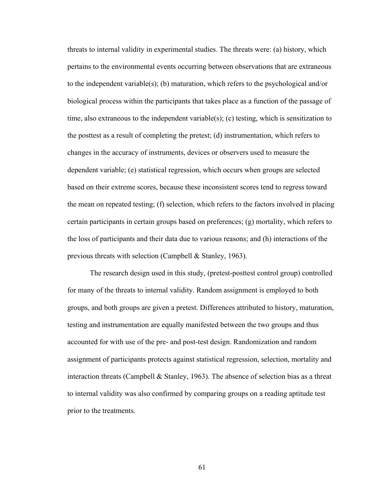threats to internal validity in experimental studies. The threats were: (a) history, which pertains to the environmental events occurring between observations that are extraneous to the independent variable(s); (b) maturation, which refers to the psychological and/or biological process within the participants that takes place as a function of the passage of time, also extraneous to the independent variable(s); (c) testing, which is sensitization to the posttest as a result of completing the pretest; (d) instrumentation, which refers to changes in the accuracy of instruments, devices or observers used to measure the dependent variable; (e) statistical regression, which occurs when groups are selected based on their extreme scores, because these inconsistent scores tend to regress toward the mean on repeated testing; (f) selection, which refers to the factors involved in placing certain participants in certain groups based on preferences; (g) mortality, which refers to the loss of participants and their data due to various reasons; and (h) interactions of the previous threats with selection (Campbell & Stanley, 1963).

 The research design used in this study, (pretest-posttest control group) controlled for many of the threats to internal validity. Random assignment is employed to both groups, and both groups are given a pretest. Differences attributed to history, maturation, testing and instrumentation are equally manifested between the two groups and thus accounted for with use of the pre- and post-test design. Randomization and random assignment of participants protects against statistical regression, selection, mortality and interaction threats (Campbell & Stanley, 1963). The absence of selection bias as a threat to internal validity was also confirmed by comparing groups on a reading aptitude test prior to the treatments.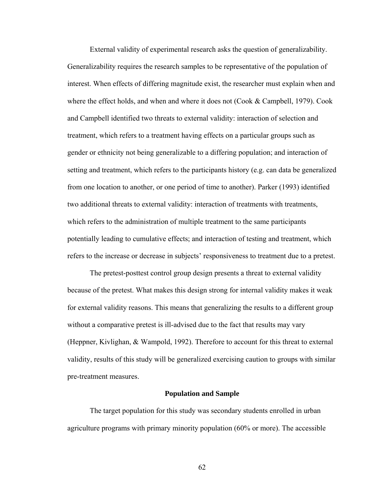External validity of experimental research asks the question of generalizability. Generalizability requires the research samples to be representative of the population of interest. When effects of differing magnitude exist, the researcher must explain when and where the effect holds, and when and where it does not (Cook & Campbell, 1979). Cook and Campbell identified two threats to external validity: interaction of selection and treatment, which refers to a treatment having effects on a particular groups such as gender or ethnicity not being generalizable to a differing population; and interaction of setting and treatment, which refers to the participants history (e.g. can data be generalized from one location to another, or one period of time to another). Parker (1993) identified two additional threats to external validity: interaction of treatments with treatments, which refers to the administration of multiple treatment to the same participants potentially leading to cumulative effects; and interaction of testing and treatment, which refers to the increase or decrease in subjects' responsiveness to treatment due to a pretest.

 The pretest-posttest control group design presents a threat to external validity because of the pretest. What makes this design strong for internal validity makes it weak for external validity reasons. This means that generalizing the results to a different group without a comparative pretest is ill-advised due to the fact that results may vary (Heppner, Kivlighan, & Wampold, 1992). Therefore to account for this threat to external validity, results of this study will be generalized exercising caution to groups with similar pre-treatment measures.

#### **Population and Sample**

The target population for this study was secondary students enrolled in urban agriculture programs with primary minority population (60% or more). The accessible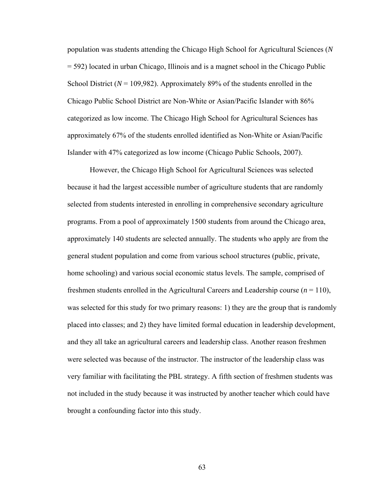population was students attending the Chicago High School for Agricultural Sciences (*N* = 592) located in urban Chicago, Illinois and is a magnet school in the Chicago Public School District ( $N = 109,982$ ). Approximately 89% of the students enrolled in the Chicago Public School District are Non-White or Asian/Pacific Islander with 86% categorized as low income. The Chicago High School for Agricultural Sciences has approximately 67% of the students enrolled identified as Non-White or Asian/Pacific Islander with 47% categorized as low income (Chicago Public Schools, 2007).

However, the Chicago High School for Agricultural Sciences was selected because it had the largest accessible number of agriculture students that are randomly selected from students interested in enrolling in comprehensive secondary agriculture programs. From a pool of approximately 1500 students from around the Chicago area, approximately 140 students are selected annually. The students who apply are from the general student population and come from various school structures (public, private, home schooling) and various social economic status levels. The sample, comprised of freshmen students enrolled in the Agricultural Careers and Leadership course  $(n = 110)$ , was selected for this study for two primary reasons: 1) they are the group that is randomly placed into classes; and 2) they have limited formal education in leadership development, and they all take an agricultural careers and leadership class. Another reason freshmen were selected was because of the instructor. The instructor of the leadership class was very familiar with facilitating the PBL strategy. A fifth section of freshmen students was not included in the study because it was instructed by another teacher which could have brought a confounding factor into this study.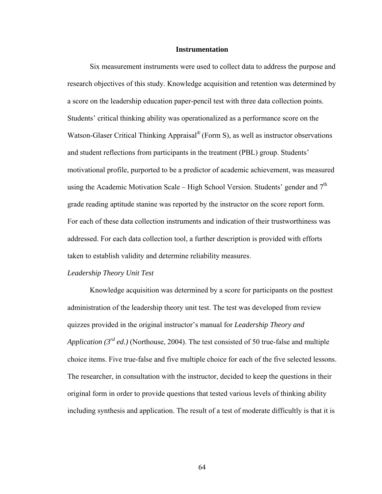#### **Instrumentation**

Six measurement instruments were used to collect data to address the purpose and research objectives of this study. Knowledge acquisition and retention was determined by a score on the leadership education paper-pencil test with three data collection points. Students' critical thinking ability was operationalized as a performance score on the Watson-Glaser Critical Thinking Appraisal<sup>®</sup> (Form S), as well as instructor observations and student reflections from participants in the treatment (PBL) group. Students' motivational profile, purported to be a predictor of academic achievement, was measured using the Academic Motivation Scale – High School Version. Students' gender and 7<sup>th</sup> grade reading aptitude stanine was reported by the instructor on the score report form. For each of these data collection instruments and indication of their trustworthiness was addressed. For each data collection tool, a further description is provided with efforts taken to establish validity and determine reliability measures.

# *Leadership Theory Unit Test*

 Knowledge acquisition was determined by a score for participants on the posttest administration of the leadership theory unit test. The test was developed from review quizzes provided in the original instructor's manual for *Leadership Theory and Application (3rd ed.)* (Northouse, 2004). The test consisted of 50 true-false and multiple choice items. Five true-false and five multiple choice for each of the five selected lessons. The researcher, in consultation with the instructor, decided to keep the questions in their original form in order to provide questions that tested various levels of thinking ability including synthesis and application. The result of a test of moderate difficultly is that it is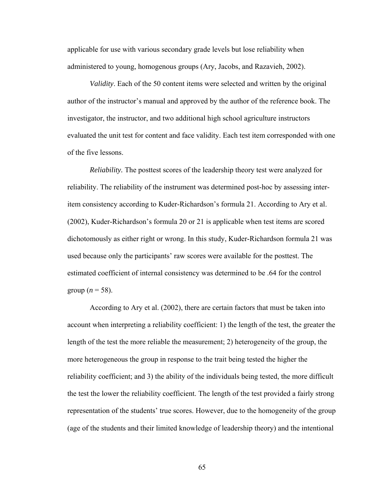applicable for use with various secondary grade levels but lose reliability when administered to young, homogenous groups (Ary, Jacobs, and Razavieh, 2002).

*Validity*. Each of the 50 content items were selected and written by the original author of the instructor's manual and approved by the author of the reference book. The investigator, the instructor, and two additional high school agriculture instructors evaluated the unit test for content and face validity. Each test item corresponded with one of the five lessons.

*Reliability.* The posttest scores of the leadership theory test were analyzed for reliability. The reliability of the instrument was determined post-hoc by assessing interitem consistency according to Kuder-Richardson's formula 21. According to Ary et al. (2002), Kuder-Richardson's formula 20 or 21 is applicable when test items are scored dichotomously as either right or wrong. In this study, Kuder-Richardson formula 21 was used because only the participants' raw scores were available for the posttest. The estimated coefficient of internal consistency was determined to be .64 for the control group ( $n = 58$ ).

According to Ary et al. (2002), there are certain factors that must be taken into account when interpreting a reliability coefficient: 1) the length of the test, the greater the length of the test the more reliable the measurement; 2) heterogeneity of the group, the more heterogeneous the group in response to the trait being tested the higher the reliability coefficient; and 3) the ability of the individuals being tested, the more difficult the test the lower the reliability coefficient. The length of the test provided a fairly strong representation of the students' true scores. However, due to the homogeneity of the group (age of the students and their limited knowledge of leadership theory) and the intentional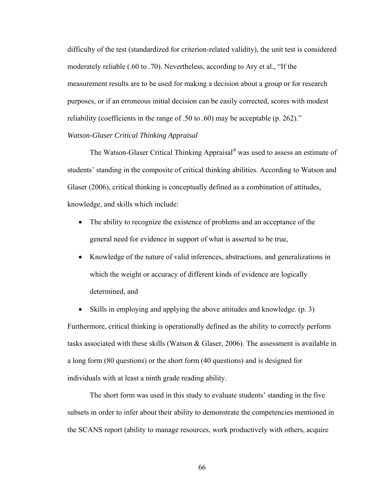difficulty of the test (standardized for criterion-related validity), the unit test is considered moderately reliable (.60 to .70). Nevertheless, according to Ary et al., "If the measurement results are to be used for making a decision about a group or for research purposes, or if an erroneous initial decision can be easily corrected, scores with modest reliability (coefficients in the range of .50 to .60) may be acceptable (p. 262)."

# *Watson-Glaser Critical Thinking Appraisal*

The Watson-Glaser Critical Thinking Appraisal® was used to assess an estimate of students' standing in the composite of critical thinking abilities. According to Watson and Glaser (2006), critical thinking is conceptually defined as a combination of attitudes, knowledge, and skills which include:

- The ability to recognize the existence of problems and an acceptance of the general need for evidence in support of what is asserted to be true,
- Knowledge of the nature of valid inferences, abstractions, and generalizations in which the weight or accuracy of different kinds of evidence are logically determined, and

• Skills in employing and applying the above attitudes and knowledge. (p. 3) Furthermore, critical thinking is operationally defined as the ability to correctly perform tasks associated with these skills (Watson & Glaser, 2006). The assessment is available in a long form (80 questions) or the short form (40 questions) and is designed for individuals with at least a ninth grade reading ability.

The short form was used in this study to evaluate students' standing in the five subsets in order to infer about their ability to demonstrate the competencies mentioned in the SCANS report (ability to manage resources, work productively with others, acquire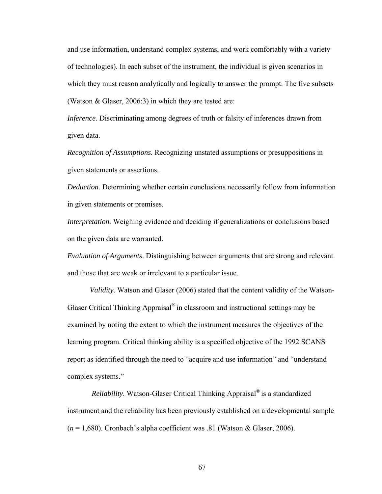and use information, understand complex systems, and work comfortably with a variety of technologies). In each subset of the instrument, the individual is given scenarios in which they must reason analytically and logically to answer the prompt. The five subsets (Watson & Glaser, 2006:3) in which they are tested are:

*Inference*. Discriminating among degrees of truth or falsity of inferences drawn from given data.

*Recognition of Assumptions.* Recognizing unstated assumptions or presuppositions in given statements or assertions.

*Deduction.* Determining whether certain conclusions necessarily follow from information in given statements or premises.

*Interpretation.* Weighing evidence and deciding if generalizations or conclusions based on the given data are warranted.

*Evaluation of Arguments*. Distinguishing between arguments that are strong and relevant and those that are weak or irrelevant to a particular issue.

*Validity*. Watson and Glaser (2006) stated that the content validity of the Watson-Glaser Critical Thinking Appraisal® in classroom and instructional settings may be examined by noting the extent to which the instrument measures the objectives of the learning program. Critical thinking ability is a specified objective of the 1992 SCANS report as identified through the need to "acquire and use information" and "understand complex systems."

 *Reliability*. Watson-Glaser Critical Thinking Appraisal® is a standardized instrument and the reliability has been previously established on a developmental sample (*n* = 1,680). Cronbach's alpha coefficient was .81 (Watson & Glaser, 2006).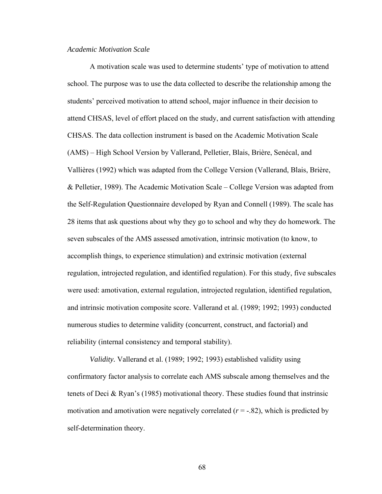# *Academic Motivation Scale*

A motivation scale was used to determine students' type of motivation to attend school. The purpose was to use the data collected to describe the relationship among the students' perceived motivation to attend school, major influence in their decision to attend CHSAS, level of effort placed on the study, and current satisfaction with attending CHSAS. The data collection instrument is based on the Academic Motivation Scale (AMS) – High School Version by Vallerand, Pelletier, Blais, Brière, Senécal, and Vallières (1992) which was adapted from the College Version (Vallerand, Blais, Brière, & Pelletier, 1989). The Academic Motivation Scale – College Version was adapted from the Self-Regulation Questionnaire developed by Ryan and Connell (1989). The scale has 28 items that ask questions about why they go to school and why they do homework. The seven subscales of the AMS assessed amotivation, intrinsic motivation (to know, to accomplish things, to experience stimulation) and extrinsic motivation (external regulation, introjected regulation, and identified regulation). For this study, five subscales were used: amotivation, external regulation, introjected regulation, identified regulation, and intrinsic motivation composite score. Vallerand et al. (1989; 1992; 1993) conducted numerous studies to determine validity (concurrent, construct, and factorial) and reliability (internal consistency and temporal stability).

*Validity.* Vallerand et al. (1989; 1992; 1993) established validity using confirmatory factor analysis to correlate each AMS subscale among themselves and the tenets of Deci  $\&$  Ryan's (1985) motivational theory. These studies found that instrinsic motivation and amotivation were negatively correlated  $(r = -0.82)$ , which is predicted by self-determination theory.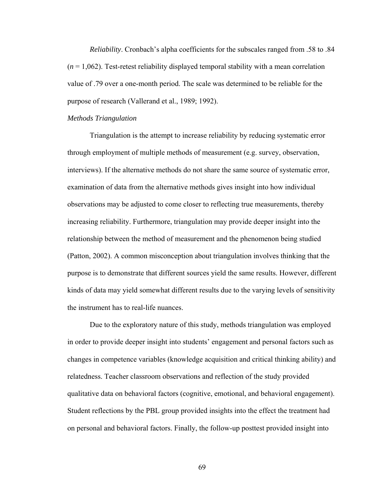*Reliability*. Cronbach's alpha coefficients for the subscales ranged from .58 to .84  $(n = 1,062)$ . Test-retest reliability displayed temporal stability with a mean correlation value of .79 over a one-month period. The scale was determined to be reliable for the purpose of research (Vallerand et al., 1989; 1992).

# *Methods Triangulation*

Triangulation is the attempt to increase reliability by reducing systematic error through employment of multiple methods of measurement (e.g. survey, observation, interviews). If the alternative methods do not share the same source of systematic error, examination of data from the alternative methods gives insight into how individual observations may be adjusted to come closer to reflecting true measurements, thereby increasing reliability. Furthermore, triangulation may provide deeper insight into the relationship between the method of measurement and the phenomenon being studied (Patton, 2002). A common misconception about triangulation involves thinking that the purpose is to demonstrate that different sources yield the same results. However, different kinds of data may yield somewhat different results due to the varying levels of sensitivity the instrument has to real-life nuances.

Due to the exploratory nature of this study, methods triangulation was employed in order to provide deeper insight into students' engagement and personal factors such as changes in competence variables (knowledge acquisition and critical thinking ability) and relatedness. Teacher classroom observations and reflection of the study provided qualitative data on behavioral factors (cognitive, emotional, and behavioral engagement). Student reflections by the PBL group provided insights into the effect the treatment had on personal and behavioral factors. Finally, the follow-up posttest provided insight into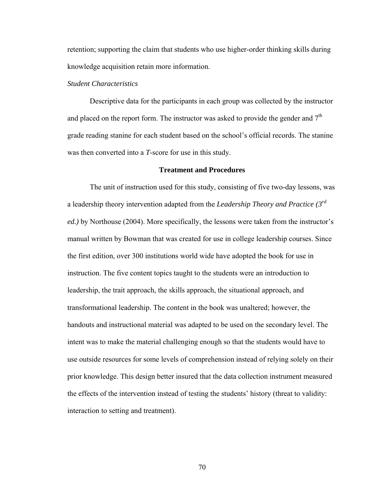retention; supporting the claim that students who use higher-order thinking skills during knowledge acquisition retain more information.

# *Student Characteristics*

 Descriptive data for the participants in each group was collected by the instructor and placed on the report form. The instructor was asked to provide the gender and  $7<sup>th</sup>$ grade reading stanine for each student based on the school's official records. The stanine was then converted into a *T*-score for use in this study.

#### **Treatment and Procedures**

The unit of instruction used for this study, consisting of five two-day lessons, was a leadership theory intervention adapted from the *Leadership Theory and Practice (3rd ed.)* by Northouse (2004). More specifically, the lessons were taken from the instructor's manual written by Bowman that was created for use in college leadership courses. Since the first edition, over 300 institutions world wide have adopted the book for use in instruction. The five content topics taught to the students were an introduction to leadership, the trait approach, the skills approach, the situational approach, and transformational leadership. The content in the book was unaltered; however, the handouts and instructional material was adapted to be used on the secondary level. The intent was to make the material challenging enough so that the students would have to use outside resources for some levels of comprehension instead of relying solely on their prior knowledge. This design better insured that the data collection instrument measured the effects of the intervention instead of testing the students' history (threat to validity: interaction to setting and treatment).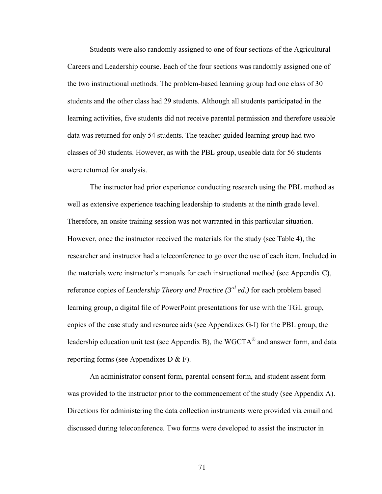Students were also randomly assigned to one of four sections of the Agricultural Careers and Leadership course. Each of the four sections was randomly assigned one of the two instructional methods. The problem-based learning group had one class of 30 students and the other class had 29 students. Although all students participated in the learning activities, five students did not receive parental permission and therefore useable data was returned for only 54 students. The teacher-guided learning group had two classes of 30 students. However, as with the PBL group, useable data for 56 students were returned for analysis.

The instructor had prior experience conducting research using the PBL method as well as extensive experience teaching leadership to students at the ninth grade level. Therefore, an onsite training session was not warranted in this particular situation. However, once the instructor received the materials for the study (see Table 4), the researcher and instructor had a teleconference to go over the use of each item. Included in the materials were instructor's manuals for each instructional method (see Appendix C), reference copies of *Leadership Theory and Practice (3rd ed.)* for each problem based learning group, a digital file of PowerPoint presentations for use with the TGL group, copies of the case study and resource aids (see Appendixes G-I) for the PBL group, the leadership education unit test (see Appendix B), the WGCTA® and answer form, and data reporting forms (see Appendixes D & F).

An administrator consent form, parental consent form, and student assent form was provided to the instructor prior to the commencement of the study (see Appendix A). Directions for administering the data collection instruments were provided via email and discussed during teleconference. Two forms were developed to assist the instructor in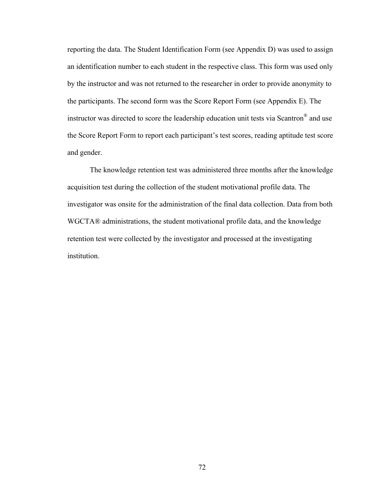reporting the data. The Student Identification Form (see Appendix D) was used to assign an identification number to each student in the respective class. This form was used only by the instructor and was not returned to the researcher in order to provide anonymity to the participants. The second form was the Score Report Form (see Appendix E). The instructor was directed to score the leadership education unit tests via Scantron® and use the Score Report Form to report each participant's test scores, reading aptitude test score and gender.

The knowledge retention test was administered three months after the knowledge acquisition test during the collection of the student motivational profile data. The investigator was onsite for the administration of the final data collection. Data from both WGCTA® administrations, the student motivational profile data, and the knowledge retention test were collected by the investigator and processed at the investigating institution.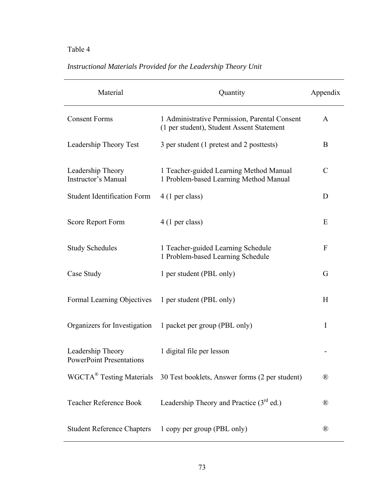# Table 4

# *Instructional Materials Provided for the Leadership Theory Unit*

| Material                                             | Quantity                                                                                   | Appendix       |
|------------------------------------------------------|--------------------------------------------------------------------------------------------|----------------|
| <b>Consent Forms</b>                                 | 1 Administrative Permission, Parental Consent<br>(1 per student), Student Assent Statement | A              |
| Leadership Theory Test                               | 3 per student (1 pretest and 2 posttests)                                                  | B              |
| Leadership Theory<br>Instructor's Manual             | 1 Teacher-guided Learning Method Manual<br>1 Problem-based Learning Method Manual          | $\mathcal{C}$  |
| <b>Student Identification Form</b>                   | 4 (1 per class)                                                                            | D              |
| Score Report Form                                    | 4 (1 per class)                                                                            | E              |
| <b>Study Schedules</b>                               | 1 Teacher-guided Learning Schedule<br>1 Problem-based Learning Schedule                    | F              |
| Case Study                                           | 1 per student (PBL only)                                                                   | G              |
| Formal Learning Objectives                           | 1 per student (PBL only)                                                                   | H              |
| Organizers for Investigation                         | 1 packet per group (PBL only)                                                              | I              |
| Leadership Theory<br><b>PowerPoint Presentations</b> | 1 digital file per lesson                                                                  |                |
| <b>WGCTA<sup>®</sup></b> Testing Materials           | 30 Test booklets, Answer forms (2 per student)                                             | $^{\circledR}$ |
| Teacher Reference Book                               | Leadership Theory and Practice $(3^{rd}$ ed.)                                              | $^{\circledR}$ |
| <b>Student Reference Chapters</b>                    | 1 copy per group (PBL only)                                                                | $^{\circledR}$ |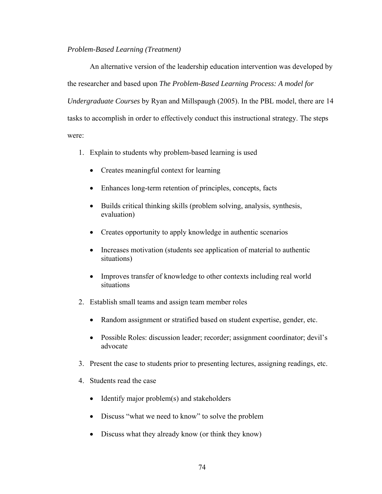# *Problem-Based Learning (Treatment)*

 An alternative version of the leadership education intervention was developed by the researcher and based upon *The Problem-Based Learning Process: A model for Undergraduate Courses* by Ryan and Millspaugh (2005). In the PBL model, there are 14 tasks to accomplish in order to effectively conduct this instructional strategy. The steps were:

- 1. Explain to students why problem-based learning is used
	- Creates meaningful context for learning
	- Enhances long-term retention of principles, concepts, facts
	- Builds critical thinking skills (problem solving, analysis, synthesis, evaluation)
	- Creates opportunity to apply knowledge in authentic scenarios
	- Increases motivation (students see application of material to authentic situations)
	- Improves transfer of knowledge to other contexts including real world situations
- 2. Establish small teams and assign team member roles
	- Random assignment or stratified based on student expertise, gender, etc.
	- Possible Roles: discussion leader; recorder; assignment coordinator; devil's advocate
- 3. Present the case to students prior to presenting lectures, assigning readings, etc.
- 4. Students read the case
	- Identify major problem(s) and stakeholders
	- Discuss "what we need to know" to solve the problem
	- Discuss what they already know (or think they know)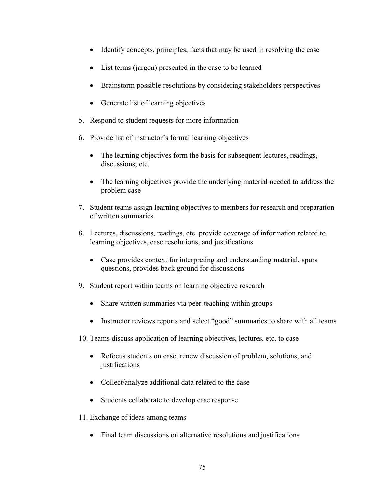- Identify concepts, principles, facts that may be used in resolving the case
- List terms (jargon) presented in the case to be learned
- Brainstorm possible resolutions by considering stakeholders perspectives
- Generate list of learning objectives
- 5. Respond to student requests for more information
- 6. Provide list of instructor's formal learning objectives
	- The learning objectives form the basis for subsequent lectures, readings, discussions, etc.
	- The learning objectives provide the underlying material needed to address the problem case
- 7. Student teams assign learning objectives to members for research and preparation of written summaries
- 8. Lectures, discussions, readings, etc. provide coverage of information related to learning objectives, case resolutions, and justifications
	- Case provides context for interpreting and understanding material, spurs questions, provides back ground for discussions
- 9. Student report within teams on learning objective research
	- Share written summaries via peer-teaching within groups
	- Instructor reviews reports and select "good" summaries to share with all teams
- 10. Teams discuss application of learning objectives, lectures, etc. to case
	- Refocus students on case; renew discussion of problem, solutions, and justifications
	- Collect/analyze additional data related to the case
	- Students collaborate to develop case response
- 11. Exchange of ideas among teams
	- Final team discussions on alternative resolutions and justifications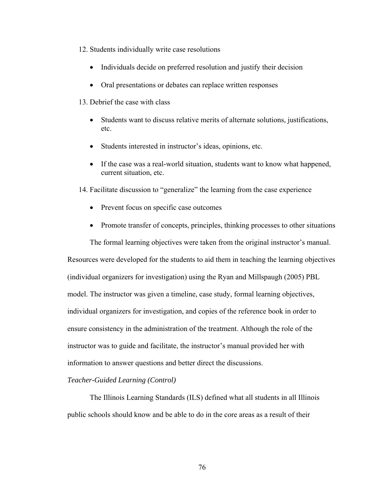12. Students individually write case resolutions

- Individuals decide on preferred resolution and justify their decision
- Oral presentations or debates can replace written responses
- 13. Debrief the case with class
	- Students want to discuss relative merits of alternate solutions, justifications, etc.
	- Students interested in instructor's ideas, opinions, etc.
	- If the case was a real-world situation, students want to know what happened, current situation, etc.

14. Facilitate discussion to "generalize" the learning from the case experience

- Prevent focus on specific case outcomes
- Promote transfer of concepts, principles, thinking processes to other situations

The formal learning objectives were taken from the original instructor's manual.

Resources were developed for the students to aid them in teaching the learning objectives

(individual organizers for investigation) using the Ryan and Millspaugh (2005) PBL

model. The instructor was given a timeline, case study, formal learning objectives,

individual organizers for investigation, and copies of the reference book in order to

ensure consistency in the administration of the treatment. Although the role of the instructor was to guide and facilitate, the instructor's manual provided her with

information to answer questions and better direct the discussions.

# *Teacher-Guided Learning (Control)*

The Illinois Learning Standards (ILS) defined what all students in all Illinois public schools should know and be able to do in the core areas as a result of their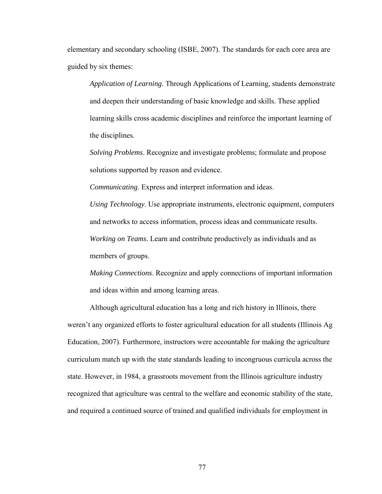elementary and secondary schooling (ISBE, 2007). The standards for each core area are guided by six themes:

*Application of Learning*. Through Applications of Learning, students demonstrate and deepen their understanding of basic knowledge and skills. These applied learning skills cross academic disciplines and reinforce the important learning of the disciplines.

*Solving Problems*. Recognize and investigate problems; formulate and propose solutions supported by reason and evidence.

*Communicating*. Express and interpret information and ideas.

*Using Technology*. Use appropriate instruments, electronic equipment, computers and networks to access information, process ideas and communicate results. *Working on Teams*. Learn and contribute productively as individuals and as members of groups.

*Making Connections*. Recognize and apply connections of important information and ideas within and among learning areas.

Although agricultural education has a long and rich history in Illinois, there weren't any organized efforts to foster agricultural education for all students (Illinois Ag Education, 2007). Furthermore, instructors were accountable for making the agriculture curriculum match up with the state standards leading to incongruous curricula across the state. However, in 1984, a grassroots movement from the Illinois agriculture industry recognized that agriculture was central to the welfare and economic stability of the state, and required a continued source of trained and qualified individuals for employment in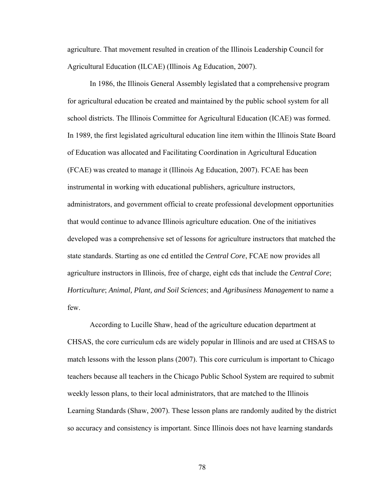agriculture. That movement resulted in creation of the Illinois Leadership Council for Agricultural Education (ILCAE) (Illinois Ag Education, 2007).

In 1986, the Illinois General Assembly legislated that a comprehensive program for agricultural education be created and maintained by the public school system for all school districts. The Illinois Committee for Agricultural Education (ICAE) was formed. In 1989, the first legislated agricultural education line item within the Illinois State Board of Education was allocated and Facilitating Coordination in Agricultural Education (FCAE) was created to manage it (Illinois Ag Education, 2007). FCAE has been instrumental in working with educational publishers, agriculture instructors, administrators, and government official to create professional development opportunities that would continue to advance Illinois agriculture education. One of the initiatives developed was a comprehensive set of lessons for agriculture instructors that matched the state standards. Starting as one cd entitled the *Central Core*, FCAE now provides all agriculture instructors in Illinois, free of charge, eight cds that include the *Central Core*; *Horticulture*; *Animal, Plant, and Soil Sciences*; and *Agribusiness Management* to name a few.

According to Lucille Shaw, head of the agriculture education department at CHSAS, the core curriculum cds are widely popular in Illinois and are used at CHSAS to match lessons with the lesson plans (2007). This core curriculum is important to Chicago teachers because all teachers in the Chicago Public School System are required to submit weekly lesson plans, to their local administrators, that are matched to the Illinois Learning Standards (Shaw, 2007). These lesson plans are randomly audited by the district so accuracy and consistency is important. Since Illinois does not have learning standards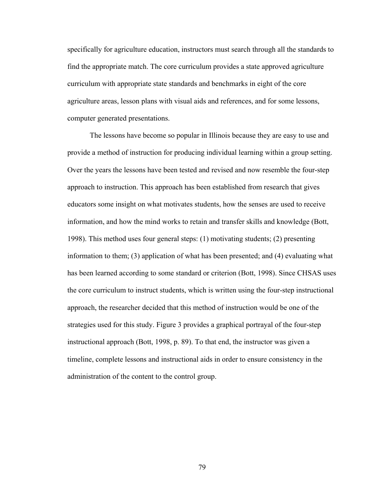specifically for agriculture education, instructors must search through all the standards to find the appropriate match. The core curriculum provides a state approved agriculture curriculum with appropriate state standards and benchmarks in eight of the core agriculture areas, lesson plans with visual aids and references, and for some lessons, computer generated presentations.

The lessons have become so popular in Illinois because they are easy to use and provide a method of instruction for producing individual learning within a group setting. Over the years the lessons have been tested and revised and now resemble the four-step approach to instruction. This approach has been established from research that gives educators some insight on what motivates students, how the senses are used to receive information, and how the mind works to retain and transfer skills and knowledge (Bott, 1998). This method uses four general steps: (1) motivating students; (2) presenting information to them; (3) application of what has been presented; and (4) evaluating what has been learned according to some standard or criterion (Bott, 1998). Since CHSAS uses the core curriculum to instruct students, which is written using the four-step instructional approach, the researcher decided that this method of instruction would be one of the strategies used for this study. Figure 3 provides a graphical portrayal of the four-step instructional approach (Bott, 1998, p. 89). To that end, the instructor was given a timeline, complete lessons and instructional aids in order to ensure consistency in the administration of the content to the control group.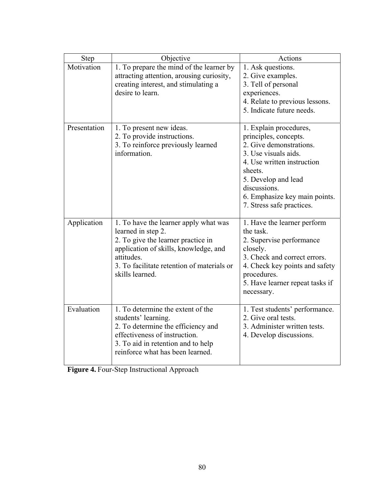| <b>Step</b>  | Objective                                                                                                                                                                                                                 | Actions                                                                                                                                                                                                                                          |
|--------------|---------------------------------------------------------------------------------------------------------------------------------------------------------------------------------------------------------------------------|--------------------------------------------------------------------------------------------------------------------------------------------------------------------------------------------------------------------------------------------------|
| Motivation   | 1. To prepare the mind of the learner by<br>attracting attention, arousing curiosity,<br>creating interest, and stimulating a<br>desire to learn.                                                                         | 1. Ask questions.<br>2. Give examples.<br>3. Tell of personal<br>experiences.<br>4. Relate to previous lessons.<br>5. Indicate future needs.                                                                                                     |
| Presentation | 1. To present new ideas.<br>2. To provide instructions.<br>3. To reinforce previously learned<br>information.                                                                                                             | 1. Explain procedures,<br>principles, concepts.<br>2. Give demonstrations.<br>3. Use visuals aids.<br>4. Use written instruction<br>sheets.<br>5. Develop and lead<br>discussions.<br>6. Emphasize key main points.<br>7. Stress safe practices. |
| Application  | 1. To have the learner apply what was<br>learned in step 2.<br>2. To give the learner practice in<br>application of skills, knowledge, and<br>attitudes.<br>3. To facilitate retention of materials or<br>skills learned. | 1. Have the learner perform<br>the task.<br>2. Supervise performance<br>closely.<br>3. Check and correct errors.<br>4. Check key points and safety<br>procedures.<br>5. Have learner repeat tasks if<br>necessary.                               |
| Evaluation   | 1. To determine the extent of the<br>students' learning.<br>2. To determine the efficiency and<br>effectiveness of instruction.<br>3. To aid in retention and to help<br>reinforce what has been learned.                 | 1. Test students' performance.<br>2. Give oral tests.<br>3. Administer written tests.<br>4. Develop discussions.                                                                                                                                 |

**Figure 4.** Four-Step Instructional Approach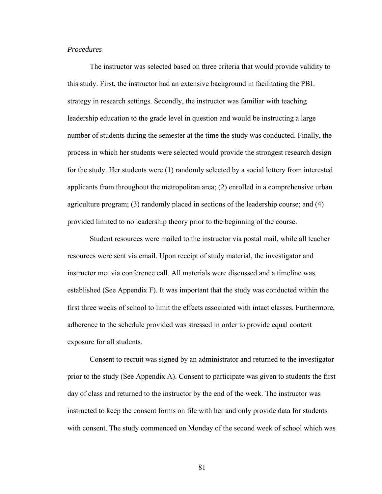# *Procedures*

The instructor was selected based on three criteria that would provide validity to this study. First, the instructor had an extensive background in facilitating the PBL strategy in research settings. Secondly, the instructor was familiar with teaching leadership education to the grade level in question and would be instructing a large number of students during the semester at the time the study was conducted. Finally, the process in which her students were selected would provide the strongest research design for the study. Her students were (1) randomly selected by a social lottery from interested applicants from throughout the metropolitan area; (2) enrolled in a comprehensive urban agriculture program; (3) randomly placed in sections of the leadership course; and (4) provided limited to no leadership theory prior to the beginning of the course.

Student resources were mailed to the instructor via postal mail, while all teacher resources were sent via email. Upon receipt of study material, the investigator and instructor met via conference call. All materials were discussed and a timeline was established (See Appendix F). It was important that the study was conducted within the first three weeks of school to limit the effects associated with intact classes. Furthermore, adherence to the schedule provided was stressed in order to provide equal content exposure for all students.

Consent to recruit was signed by an administrator and returned to the investigator prior to the study (See Appendix A). Consent to participate was given to students the first day of class and returned to the instructor by the end of the week. The instructor was instructed to keep the consent forms on file with her and only provide data for students with consent. The study commenced on Monday of the second week of school which was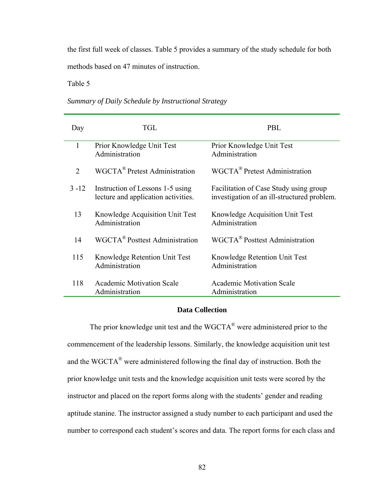the first full week of classes. Table 5 provides a summary of the study schedule for both

methods based on 47 minutes of instruction.

Table 5

|  | Summary of Daily Schedule by Instructional Strategy |  |
|--|-----------------------------------------------------|--|
|  |                                                     |  |

| Day            | TGL                                                                     | <b>PBL</b>                                                                            |
|----------------|-------------------------------------------------------------------------|---------------------------------------------------------------------------------------|
| 1              | Prior Knowledge Unit Test<br>Administration                             | Prior Knowledge Unit Test<br>Administration                                           |
| $\overline{2}$ | WGCTA <sup>®</sup> Pretest Administration                               | WGCTA <sup>®</sup> Pretest Administration                                             |
| $3 - 12$       | Instruction of Lessons 1-5 using<br>lecture and application activities. | Facilitation of Case Study using group<br>investigation of an ill-structured problem. |
| 13             | Knowledge Acquisition Unit Test<br>Administration                       | Knowledge Acquisition Unit Test<br>Administration                                     |
| 14             | WGCTA <sup>®</sup> Posttest Administration                              | WGCTA <sup>®</sup> Posttest Administration                                            |
| 115            | Knowledge Retention Unit Test<br>Administration                         | Knowledge Retention Unit Test<br>Administration                                       |
| 118            | <b>Academic Motivation Scale</b><br>Administration                      | <b>Academic Motivation Scale</b><br>Administration                                    |

# **Data Collection**

The prior knowledge unit test and the WGCTA® were administered prior to the commencement of the leadership lessons. Similarly, the knowledge acquisition unit test and the WGCTA® were administered following the final day of instruction. Both the prior knowledge unit tests and the knowledge acquisition unit tests were scored by the instructor and placed on the report forms along with the students' gender and reading aptitude stanine. The instructor assigned a study number to each participant and used the number to correspond each student's scores and data. The report forms for each class and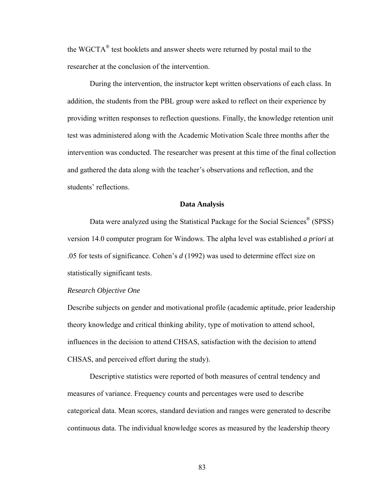the WGCTA® test booklets and answer sheets were returned by postal mail to the researcher at the conclusion of the intervention.

During the intervention, the instructor kept written observations of each class. In addition, the students from the PBL group were asked to reflect on their experience by providing written responses to reflection questions. Finally, the knowledge retention unit test was administered along with the Academic Motivation Scale three months after the intervention was conducted. The researcher was present at this time of the final collection and gathered the data along with the teacher's observations and reflection, and the students' reflections.

#### **Data Analysis**

Data were analyzed using the Statistical Package for the Social Sciences<sup>®</sup> (SPSS) version 14.0 computer program for Windows. The alpha level was established *a priori* at .05 for tests of significance. Cohen's *d* (1992) was used to determine effect size on statistically significant tests.

#### *Research Objective One*

Describe subjects on gender and motivational profile (academic aptitude, prior leadership theory knowledge and critical thinking ability, type of motivation to attend school, influences in the decision to attend CHSAS, satisfaction with the decision to attend CHSAS, and perceived effort during the study).

Descriptive statistics were reported of both measures of central tendency and measures of variance. Frequency counts and percentages were used to describe categorical data. Mean scores, standard deviation and ranges were generated to describe continuous data. The individual knowledge scores as measured by the leadership theory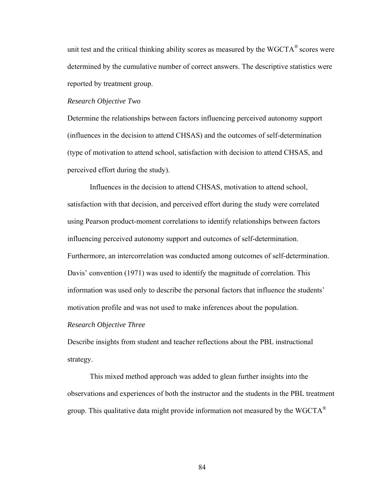unit test and the critical thinking ability scores as measured by the WGCTA<sup>®</sup> scores were determined by the cumulative number of correct answers. The descriptive statistics were reported by treatment group.

#### *Research Objective Two*

Determine the relationships between factors influencing perceived autonomy support (influences in the decision to attend CHSAS) and the outcomes of self-determination (type of motivation to attend school, satisfaction with decision to attend CHSAS, and perceived effort during the study).

Influences in the decision to attend CHSAS, motivation to attend school, satisfaction with that decision, and perceived effort during the study were correlated using Pearson product-moment correlations to identify relationships between factors influencing perceived autonomy support and outcomes of self-determination. Furthermore, an intercorrelation was conducted among outcomes of self-determination. Davis' convention (1971) was used to identify the magnitude of correlation. This information was used only to describe the personal factors that influence the students' motivation profile and was not used to make inferences about the population.

# *Research Objective Three*

Describe insights from student and teacher reflections about the PBL instructional strategy.

 This mixed method approach was added to glean further insights into the observations and experiences of both the instructor and the students in the PBL treatment group. This qualitative data might provide information not measured by the WGCTA<sup>®</sup>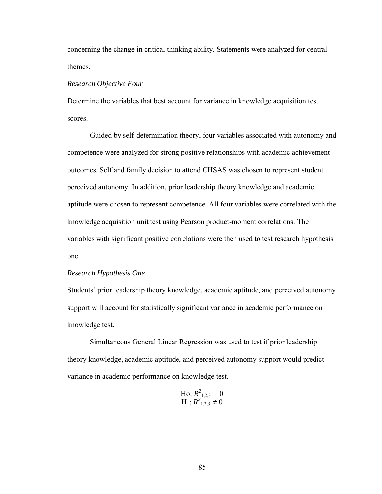concerning the change in critical thinking ability. Statements were analyzed for central themes.

# *Research Objective Four*

Determine the variables that best account for variance in knowledge acquisition test scores.

 Guided by self-determination theory, four variables associated with autonomy and competence were analyzed for strong positive relationships with academic achievement outcomes. Self and family decision to attend CHSAS was chosen to represent student perceived autonomy. In addition, prior leadership theory knowledge and academic aptitude were chosen to represent competence. All four variables were correlated with the knowledge acquisition unit test using Pearson product-moment correlations. The variables with significant positive correlations were then used to test research hypothesis one.

#### *Research Hypothesis One*

Students' prior leadership theory knowledge, academic aptitude, and perceived autonomy support will account for statistically significant variance in academic performance on knowledge test.

Simultaneous General Linear Regression was used to test if prior leadership theory knowledge, academic aptitude, and perceived autonomy support would predict variance in academic performance on knowledge test.

$$
\text{Ho: } R^2_{1,2,3} = 0
$$
\n
$$
\text{H}_1: R^2_{1,2,3} \neq 0
$$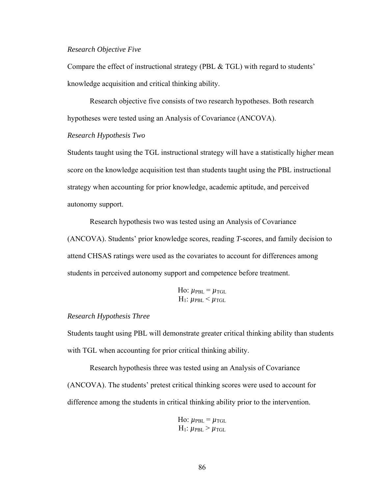#### *Research Objective Five*

Compare the effect of instructional strategy (PBL & TGL) with regard to students' knowledge acquisition and critical thinking ability.

Research objective five consists of two research hypotheses. Both research hypotheses were tested using an Analysis of Covariance (ANCOVA).

# *Research Hypothesis Two*

Students taught using the TGL instructional strategy will have a statistically higher mean score on the knowledge acquisition test than students taught using the PBL instructional strategy when accounting for prior knowledge, academic aptitude, and perceived autonomy support.

Research hypothesis two was tested using an Analysis of Covariance (ANCOVA). Students' prior knowledge scores, reading *T*-scores, and family decision to attend CHSAS ratings were used as the covariates to account for differences among students in perceived autonomy support and competence before treatment.

Ho: 
$$
\mu_{\text{PBL}} = \mu_{\text{TGL}}
$$

\nH<sub>1</sub>:  $\mu_{\text{PBL}} < \mu_{\text{TGL}}$ 

# *Research Hypothesis Three*

Students taught using PBL will demonstrate greater critical thinking ability than students with TGL when accounting for prior critical thinking ability.

Research hypothesis three was tested using an Analysis of Covariance (ANCOVA). The students' pretest critical thinking scores were used to account for difference among the students in critical thinking ability prior to the intervention.

$$
\text{Ho: } \mu_{\text{PBL}} = \mu_{\text{TGL}}
$$
\n
$$
\text{H}_1: \mu_{\text{PBL}} > \mu_{\text{TGL}}
$$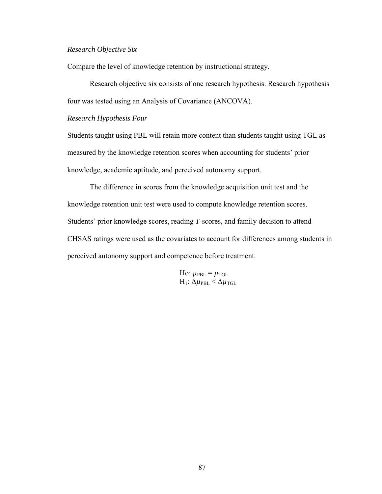# *Research Objective Six*

Compare the level of knowledge retention by instructional strategy.

Research objective six consists of one research hypothesis. Research hypothesis four was tested using an Analysis of Covariance (ANCOVA).

# *Research Hypothesis Four*

Students taught using PBL will retain more content than students taught using TGL as measured by the knowledge retention scores when accounting for students' prior knowledge, academic aptitude, and perceived autonomy support.

The difference in scores from the knowledge acquisition unit test and the knowledge retention unit test were used to compute knowledge retention scores. Students' prior knowledge scores, reading *T*-scores, and family decision to attend CHSAS ratings were used as the covariates to account for differences among students in perceived autonomy support and competence before treatment.

> $Ho: \mu_{PBL} = \mu_{TGL}$  $H_1$ :  $\Delta \mu_{\text{PRI}} < \Delta \mu_{\text{TGL}}$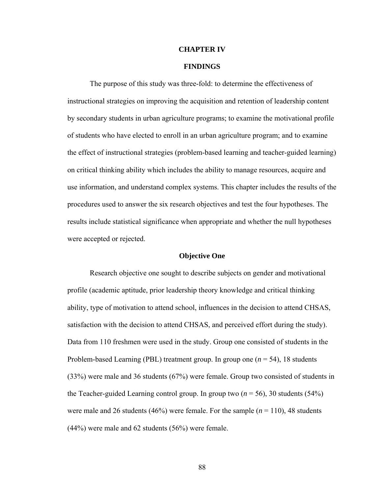#### **CHAPTER IV**

# **FINDINGS**

The purpose of this study was three-fold: to determine the effectiveness of instructional strategies on improving the acquisition and retention of leadership content by secondary students in urban agriculture programs; to examine the motivational profile of students who have elected to enroll in an urban agriculture program; and to examine the effect of instructional strategies (problem-based learning and teacher-guided learning) on critical thinking ability which includes the ability to manage resources, acquire and use information, and understand complex systems. This chapter includes the results of the procedures used to answer the six research objectives and test the four hypotheses. The results include statistical significance when appropriate and whether the null hypotheses were accepted or rejected.

#### **Objective One**

Research objective one sought to describe subjects on gender and motivational profile (academic aptitude, prior leadership theory knowledge and critical thinking ability, type of motivation to attend school, influences in the decision to attend CHSAS, satisfaction with the decision to attend CHSAS, and perceived effort during the study). Data from 110 freshmen were used in the study. Group one consisted of students in the Problem-based Learning (PBL) treatment group. In group one (*n* = 54), 18 students (33%) were male and 36 students (67%) were female. Group two consisted of students in the Teacher-guided Learning control group. In group two  $(n = 56)$ , 30 students (54%) were male and 26 students (46%) were female. For the sample  $(n = 110)$ , 48 students (44%) were male and 62 students (56%) were female.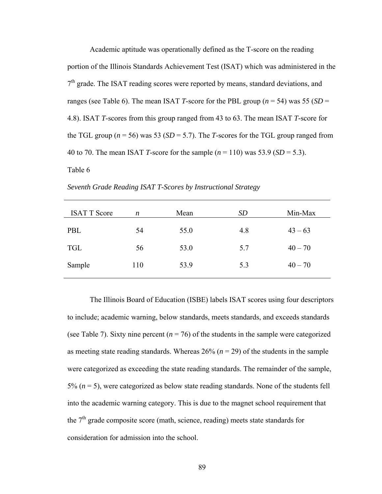Academic aptitude was operationally defined as the T-score on the reading portion of the Illinois Standards Achievement Test (ISAT) which was administered in the  $7<sup>th</sup>$  grade. The ISAT reading scores were reported by means, standard deviations, and ranges (see Table 6). The mean ISAT *T*-score for the PBL group ( $n = 54$ ) was 55 (*SD* = 4.8). ISAT *T*-scores from this group ranged from 43 to 63. The mean ISAT *T-*score for the TGL group  $(n = 56)$  was 53 (*SD* = 5.7). The *T*-scores for the TGL group ranged from 40 to 70. The mean ISAT *T*-score for the sample (*n* = 110) was 53.9 (*SD* = 5.3).

Table 6

|  |  | Seventh Grade Reading ISAT T-Scores by Instructional Strategy |  |
|--|--|---------------------------------------------------------------|--|
|  |  |                                                               |  |

| <b>ISAT T Score</b> | n   | Mean | <b>SD</b> | Min-Max   |
|---------------------|-----|------|-----------|-----------|
| PBL                 | 54  | 55.0 | 4.8       | $43 - 63$ |
| <b>TGL</b>          | 56  | 53.0 | 5.7       | $40 - 70$ |
| Sample              | 110 | 53.9 | 5.3       | $40 - 70$ |

 The Illinois Board of Education (ISBE) labels ISAT scores using four descriptors to include; academic warning, below standards, meets standards, and exceeds standards (see Table 7). Sixty nine percent  $(n = 76)$  of the students in the sample were categorized as meeting state reading standards. Whereas  $26\%$  ( $n = 29$ ) of the students in the sample were categorized as exceeding the state reading standards. The remainder of the sample, 5% (*n* = 5), were categorized as below state reading standards. None of the students fell into the academic warning category. This is due to the magnet school requirement that the  $7<sup>th</sup>$  grade composite score (math, science, reading) meets state standards for consideration for admission into the school.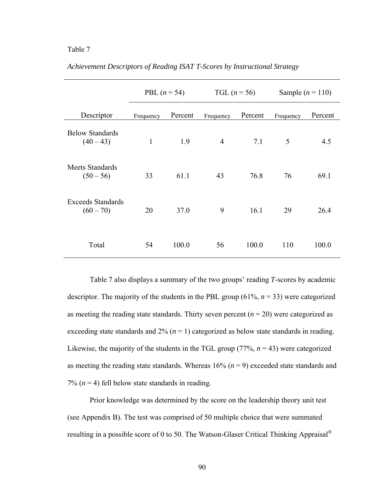# Table 7

|                                         | PBL $(n = 54)$ |         | TGL $(n = 56)$ |         | Sample $(n = 110)$ |         |
|-----------------------------------------|----------------|---------|----------------|---------|--------------------|---------|
| Descriptor                              | Frequency      | Percent | Frequency      | Percent | Frequency          | Percent |
| <b>Below Standards</b><br>$(40 - 43)$   | $\mathbf{1}$   | 1.9     | $\overline{4}$ | 7.1     | 5                  | 4.5     |
| Meets Standards<br>$(50 - 56)$          | 33             | 61.1    | 43             | 76.8    | 76                 | 69.1    |
| <b>Exceeds Standards</b><br>$(60 - 70)$ | 20             | 37.0    | 9              | 16.1    | 29                 | 26.4    |
| Total                                   | 54             | 100.0   | 56             | 100.0   | 110                | 100.0   |

# *Achievement Descriptors of Reading ISAT T-Scores by Instructional Strategy*

 Table 7 also displays a summary of the two groups' reading *T*-scores by academic descriptor. The majority of the students in the PBL group  $(61\%, n = 33)$  were categorized as meeting the reading state standards. Thirty seven percent  $(n = 20)$  were categorized as exceeding state standards and  $2\%$  ( $n = 1$ ) categorized as below state standards in reading. Likewise, the majority of the students in the TGL group  $(77\%, n = 43)$  were categorized as meeting the reading state standards. Whereas  $16\%$  ( $n = 9$ ) exceeded state standards and  $7\%$  ( $n = 4$ ) fell below state standards in reading.

Prior knowledge was determined by the score on the leadership theory unit test (see Appendix B). The test was comprised of 50 multiple choice that were summated resulting in a possible score of 0 to 50. The Watson-Glaser Critical Thinking Appraisal®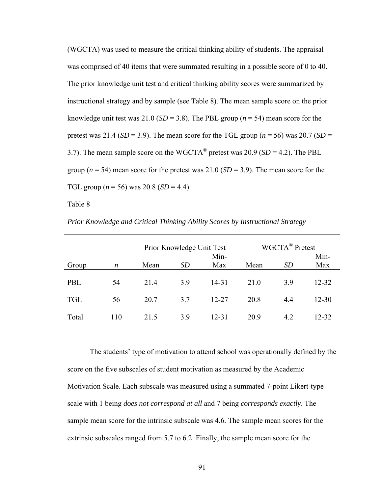(WGCTA) was used to measure the critical thinking ability of students. The appraisal was comprised of 40 items that were summated resulting in a possible score of 0 to 40. The prior knowledge unit test and critical thinking ability scores were summarized by instructional strategy and by sample (see Table 8). The mean sample score on the prior knowledge unit test was  $21.0$  (*SD* = 3.8). The PBL group ( $n = 54$ ) mean score for the pretest was 21.4 (*SD* = 3.9). The mean score for the TGL group ( $n = 56$ ) was 20.7 (*SD* = 3.7). The mean sample score on the WGCTA<sup>®</sup> pretest was 20.9 (*SD* = 4.2). The PBL group ( $n = 54$ ) mean score for the pretest was 21.0 (*SD* = 3.9). The mean score for the TGL group ( $n = 56$ ) was 20.8 (*SD* = 4.4).

Table 8

|            |                  | Prior Knowledge Unit Test |           |             |      | <b>WGCTA®</b> Pretest |             |
|------------|------------------|---------------------------|-----------|-------------|------|-----------------------|-------------|
| Group      | $\boldsymbol{n}$ | Mean                      | <b>SD</b> | Min-<br>Max | Mean | <b>SD</b>             | Min-<br>Max |
| PBL        | 54               | 21.4                      | 3.9       | 14-31       | 21.0 | 3.9                   | 12-32       |
| <b>TGL</b> | 56               | 20.7                      | 3.7       | $12 - 27$   | 20.8 | 4.4                   | $12 - 30$   |
| Total      | 110              | 21.5                      | 3.9       | $12 - 31$   | 20.9 | 4.2                   | 12-32       |

*Prior Knowledge and Critical Thinking Ability Scores by Instructional Strategy* 

The students' type of motivation to attend school was operationally defined by the score on the five subscales of student motivation as measured by the Academic Motivation Scale. Each subscale was measured using a summated 7-point Likert-type scale with 1 being *does not correspond at all* and 7 being *corresponds exactly*. The sample mean score for the intrinsic subscale was 4.6. The sample mean scores for the extrinsic subscales ranged from 5.7 to 6.2. Finally, the sample mean score for the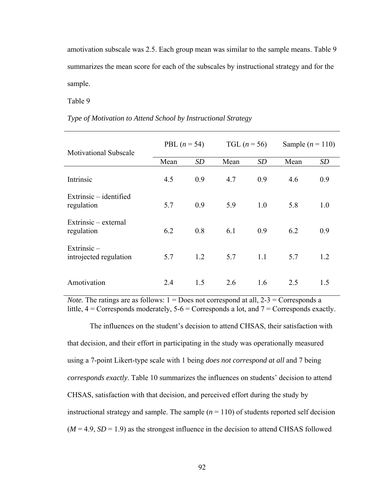amotivation subscale was 2.5. Each group mean was similar to the sample means. Table 9 summarizes the mean score for each of the subscales by instructional strategy and for the sample.

Table 9

| <b>Motivational Subscale</b>            |      | PBL $(n = 54)$<br>TGL $(n = 56)$ |      |     | Sample $(n = 110)$ |     |
|-----------------------------------------|------|----------------------------------|------|-----|--------------------|-----|
|                                         | Mean | <b>SD</b>                        | Mean | SD  | Mean               | SD  |
| Intrinsic                               | 4.5  | 0.9                              | 4.7  | 0.9 | 4.6                | 0.9 |
| $Extensive - identified$<br>regulation  | 5.7  | 0.9                              | 5.9  | 1.0 | 5.8                | 1.0 |
| Extrinsic – external<br>regulation      | 6.2  | 0.8                              | 6.1  | 0.9 | 6.2                | 0.9 |
| Extrinsic $-$<br>introjected regulation | 5.7  | 1.2                              | 5.7  | 1.1 | 5.7                | 1.2 |
| Amotivation                             | 2.4  | 1.5                              | 2.6  | 1.6 | 2.5                | 1.5 |

#### *Type of Motivation to Attend School by Instructional Strategy*

*Note.* The ratings are as follows:  $1 = Does not correspond at all, <math>2-3 =</del>$ **Corresponds a** little, 4 = Corresponds moderately, 5-6 = Corresponds a lot, and 7 = Corresponds exactly.

 The influences on the student's decision to attend CHSAS, their satisfaction with that decision, and their effort in participating in the study was operationally measured using a 7-point Likert-type scale with 1 being *does not correspond at all* and 7 being *corresponds exactly*. Table 10 summarizes the influences on students' decision to attend CHSAS, satisfaction with that decision, and perceived effort during the study by instructional strategy and sample. The sample  $(n = 110)$  of students reported self decision  $(M = 4.9, SD = 1.9)$  as the strongest influence in the decision to attend CHSAS followed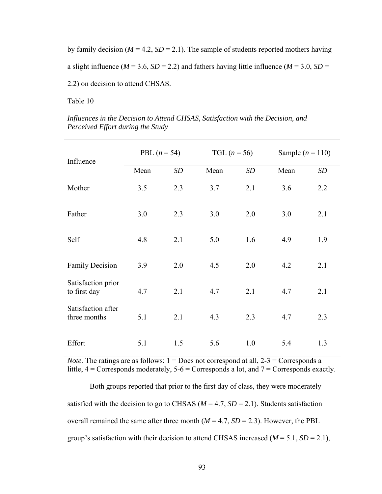by family decision ( $M = 4.2$ ,  $SD = 2.1$ ). The sample of students reported mothers having a slight influence ( $M = 3.6$ ,  $SD = 2.2$ ) and fathers having little influence ( $M = 3.0$ ,  $SD =$ 2.2) on decision to attend CHSAS.

Table 10

| Influence                          |      | PBL $(n = 54)$ |      | TGL $(n = 56)$ |      | Sample ( $n = 110$ ) |  |
|------------------------------------|------|----------------|------|----------------|------|----------------------|--|
|                                    | Mean | SD             | Mean | SD             | Mean | SD                   |  |
| Mother                             | 3.5  | 2.3            | 3.7  | 2.1            | 3.6  | 2.2                  |  |
| Father                             | 3.0  | 2.3            | 3.0  | 2.0            | 3.0  | 2.1                  |  |
| Self                               | 4.8  | 2.1            | 5.0  | 1.6            | 4.9  | 1.9                  |  |
| <b>Family Decision</b>             | 3.9  | 2.0            | 4.5  | 2.0            | 4.2  | 2.1                  |  |
| Satisfaction prior<br>to first day | 4.7  | 2.1            | 4.7  | 2.1            | 4.7  | 2.1                  |  |
| Satisfaction after<br>three months | 5.1  | 2.1            | 4.3  | 2.3            | 4.7  | 2.3                  |  |
| Effort                             | 5.1  | 1.5            | 5.6  | 1.0            | 5.4  | 1.3                  |  |

*Influences in the Decision to Attend CHSAS, Satisfaction with the Decision, and Perceived Effort during the Study* 

*Note.* The ratings are as follows:  $1 = Does not correspond at all, <math>2-3 =</del>$ **Corresponds a** little,  $4 =$ Corresponds moderately,  $5 - 6 =$ Corresponds a lot, and  $7 =$ Corresponds exactly.

Both groups reported that prior to the first day of class, they were moderately satisfied with the decision to go to CHSAS ( $M = 4.7$ ,  $SD = 2.1$ ). Students satisfaction overall remained the same after three month  $(M = 4.7, SD = 2.3)$ . However, the PBL group's satisfaction with their decision to attend CHSAS increased (*M* = 5.1, *SD* = 2.1),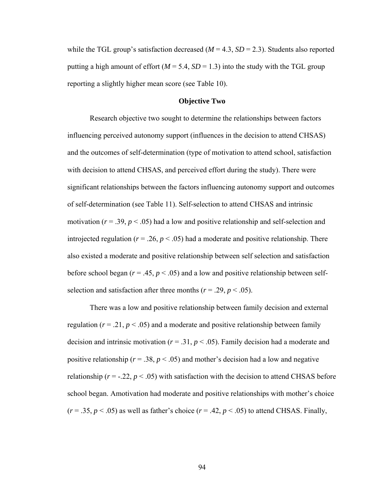while the TGL group's satisfaction decreased  $(M = 4.3, SD = 2.3)$ . Students also reported putting a high amount of effort  $(M = 5.4, SD = 1.3)$  into the study with the TGL group reporting a slightly higher mean score (see Table 10).

# **Objective Two**

Research objective two sought to determine the relationships between factors influencing perceived autonomy support (influences in the decision to attend CHSAS) and the outcomes of self-determination (type of motivation to attend school, satisfaction with decision to attend CHSAS, and perceived effort during the study). There were significant relationships between the factors influencing autonomy support and outcomes of self-determination (see Table 11). Self-selection to attend CHSAS and intrinsic motivation ( $r = .39$ ,  $p < .05$ ) had a low and positive relationship and self-selection and introjected regulation ( $r = 0.26$ ,  $p < 0.05$ ) had a moderate and positive relationship. There also existed a moderate and positive relationship between self selection and satisfaction before school began ( $r = .45$ ,  $p < .05$ ) and a low and positive relationship between selfselection and satisfaction after three months ( $r = .29$ ,  $p < .05$ ).

There was a low and positive relationship between family decision and external regulation ( $r = 0.21$ ,  $p < 0.05$ ) and a moderate and positive relationship between family decision and intrinsic motivation ( $r = .31$ ,  $p < .05$ ). Family decision had a moderate and positive relationship ( $r = .38$ ,  $p < .05$ ) and mother's decision had a low and negative relationship ( $r = -0.22$ ,  $p < 0.05$ ) with satisfaction with the decision to attend CHSAS before school began. Amotivation had moderate and positive relationships with mother's choice  $(r = .35, p < .05)$  as well as father's choice  $(r = .42, p < .05)$  to attend CHSAS. Finally,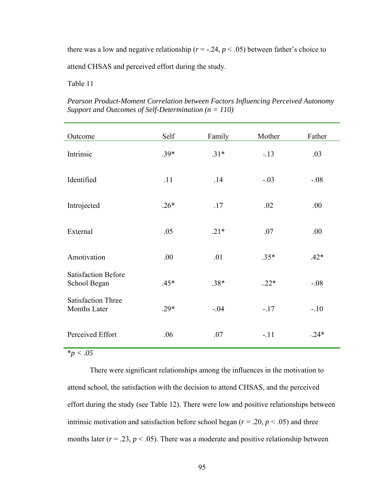there was a low and negative relationship ( $r = -0.24$ ,  $p < 0.05$ ) between father's choice to attend CHSAS and perceived effort during the study.

Table 11

*Pearson Product-Moment Correlation between Factors Influencing Perceived Autonomy Support and Outcomes of Self-Determination (n = 110)* 

| Outcome                                          | Self   | Family | Mother | Father |
|--------------------------------------------------|--------|--------|--------|--------|
| Intrinsic                                        | $.39*$ | $.31*$ | $-.13$ | .03    |
| Identified                                       | .11    | .14    | $-.03$ | $-.08$ |
| Introjected                                      | $.26*$ | .17    | .02    | .00.   |
| External                                         | .05    | $.21*$ | .07    | .00.   |
| Amotivation                                      | .00    | .01    | $.35*$ | $.42*$ |
| <b>Satisfaction Before</b><br>School Began       | $.45*$ | $.38*$ | $-22*$ | $-.08$ |
| <b>Satisfaction Three</b><br><b>Months Later</b> | $.29*$ | $-.04$ | $-.17$ | $-.10$ |
| Perceived Effort                                 | .06    | .07    | $-.11$ | $-24*$ |

\**p < .05*

There were significant relationships among the influences in the motivation to attend school, the satisfaction with the decision to attend CHSAS, and the perceived effort during the study (see Table 12). There were low and positive relationships between intrinsic motivation and satisfaction before school began ( $r = .20$ ,  $p < .05$ ) and three months later ( $r = 0.23$ ,  $p < 0.05$ ). There was a moderate and positive relationship between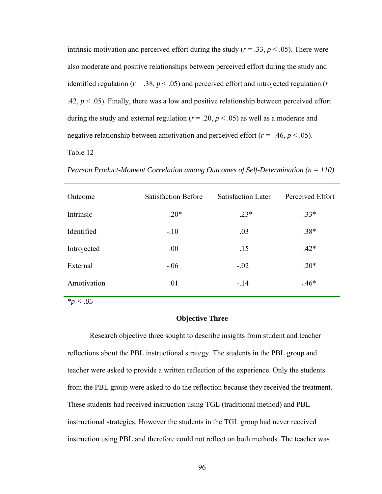intrinsic motivation and perceived effort during the study ( $r = .33$ ,  $p < .05$ ). There were also moderate and positive relationships between perceived effort during the study and identified regulation ( $r = .38$ ,  $p < .05$ ) and perceived effort and introjected regulation ( $r =$ .42,  $p < .05$ ). Finally, there was a low and positive relationship between perceived effort during the study and external regulation ( $r = .20$ ,  $p < .05$ ) as well as a moderate and negative relationship between amotivation and perceived effort  $(r = -0.46, p < 0.05)$ . Table 12

*Pearson Product-Moment Correlation among Outcomes of Self-Determination (n = 110)* 

| Outcome     | <b>Satisfaction Before</b> | <b>Satisfaction Later</b> | Perceived Effort |
|-------------|----------------------------|---------------------------|------------------|
| Intrinsic   | $.20*$                     | $.23*$                    | $.33*$           |
| Identified  | $-.10$                     | .03                       | $.38*$           |
| Introjected | .00.                       | .15                       | $.42*$           |
| External    | $-.06$                     | $-.02$                    | $.20*$           |
| Amotivation | .01                        | $-14$                     | $-46*$           |
|             |                            |                           |                  |

*\*p < .05* 

## **Objective Three**

Research objective three sought to describe insights from student and teacher reflections about the PBL instructional strategy. The students in the PBL group and teacher were asked to provide a written reflection of the experience. Only the students from the PBL group were asked to do the reflection because they received the treatment. These students had received instruction using TGL (traditional method) and PBL instructional strategies. However the students in the TGL group had never received instruction using PBL and therefore could not reflect on both methods. The teacher was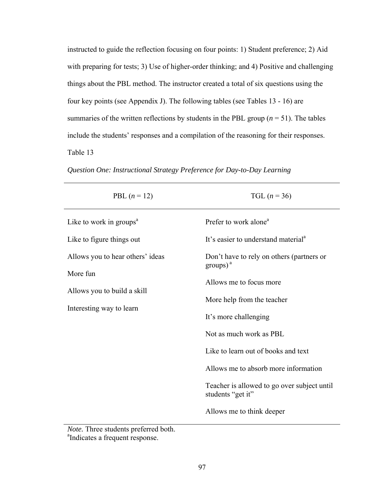instructed to guide the reflection focusing on four points: 1) Student preference; 2) Aid with preparing for tests; 3) Use of higher-order thinking; and 4) Positive and challenging things about the PBL method. The instructor created a total of six questions using the four key points (see Appendix J). The following tables (see Tables 13 - 16) are summaries of the written reflections by students in the PBL group  $(n = 51)$ . The tables include the students' responses and a compilation of the reasoning for their responses. Table 13

| PBL $(n = 12)$                                          | TGL $(n = 36)$                                                              |
|---------------------------------------------------------|-----------------------------------------------------------------------------|
| Like to work in groups <sup><math>a</math></sup>        | Prefer to work alone <sup>a</sup>                                           |
| Like to figure things out                               | It's easier to understand material <sup>a</sup>                             |
| Allows you to hear others' ideas                        | Don't have to rely on others (partners or<br>$\text{groups}$ ) <sup>a</sup> |
| More fun                                                | Allows me to focus more                                                     |
| Allows you to build a skill<br>Interesting way to learn | More help from the teacher                                                  |
|                                                         | It's more challenging                                                       |
|                                                         | Not as much work as PBL                                                     |
|                                                         | Like to learn out of books and text                                         |
|                                                         | Allows me to absorb more information                                        |
|                                                         | Teacher is allowed to go over subject until<br>students "get it"            |
|                                                         | Allows me to think deeper                                                   |
| <i>Note</i> . Three students preferred both.            |                                                                             |

*Question One: Instructional Strategy Preference for Day-to-Day Learning* 

*Note*. Three students preferred both.<br><sup>a</sup>Indicates a frequent response.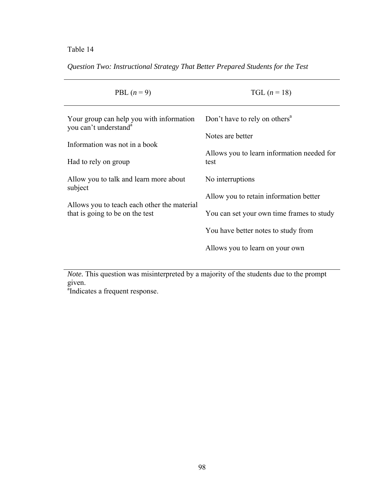# Table 14

*Question Two: Instructional Strategy That Better Prepared Students for the Test* 

| PBL $(n=9)$                                                                    | TGL $(n = 18)$                                                                      |  |  |
|--------------------------------------------------------------------------------|-------------------------------------------------------------------------------------|--|--|
| Your group can help you with information<br>you can't understand <sup>a</sup>  | Don't have to rely on others <sup>a</sup>                                           |  |  |
| Information was not in a book                                                  | Notes are better                                                                    |  |  |
|                                                                                | Allows you to learn information needed for                                          |  |  |
| Had to rely on group                                                           | test                                                                                |  |  |
| Allow you to talk and learn more about<br>subject                              | No interruptions                                                                    |  |  |
|                                                                                | Allow you to retain information better<br>You can set your own time frames to study |  |  |
| Allows you to teach each other the material<br>that is going to be on the test |                                                                                     |  |  |
|                                                                                | You have better notes to study from                                                 |  |  |
|                                                                                | Allows you to learn on your own                                                     |  |  |

*Note.* This question was misinterpreted by a majority of the students due to the prompt given.<br><sup>a</sup>Indicates a frequent response.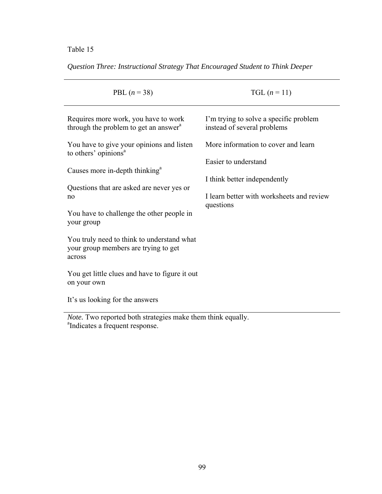# Table 15

*Question Three: Instructional Strategy That Encouraged Student to Think Deeper* 

| PBL $(n = 38)$                                                                                                                                                                                                                                                                                                                                                                                                                                                                                                                                                                                                                                                       | TGL $(n = 11)$                                                        |
|----------------------------------------------------------------------------------------------------------------------------------------------------------------------------------------------------------------------------------------------------------------------------------------------------------------------------------------------------------------------------------------------------------------------------------------------------------------------------------------------------------------------------------------------------------------------------------------------------------------------------------------------------------------------|-----------------------------------------------------------------------|
| Requires more work, you have to work<br>through the problem to get an answer <sup>a</sup>                                                                                                                                                                                                                                                                                                                                                                                                                                                                                                                                                                            | I'm trying to solve a specific problem<br>instead of several problems |
| You have to give your opinions and listen<br>to others' opinions <sup>a</sup>                                                                                                                                                                                                                                                                                                                                                                                                                                                                                                                                                                                        | More information to cover and learn                                   |
| Causes more in-depth thinking <sup>a</sup>                                                                                                                                                                                                                                                                                                                                                                                                                                                                                                                                                                                                                           | Easier to understand                                                  |
| Questions that are asked are never yes or                                                                                                                                                                                                                                                                                                                                                                                                                                                                                                                                                                                                                            | I think better independently                                          |
| no                                                                                                                                                                                                                                                                                                                                                                                                                                                                                                                                                                                                                                                                   | I learn better with worksheets and review                             |
| You have to challenge the other people in<br>your group                                                                                                                                                                                                                                                                                                                                                                                                                                                                                                                                                                                                              | questions                                                             |
| You truly need to think to understand what<br>your group members are trying to get<br>across                                                                                                                                                                                                                                                                                                                                                                                                                                                                                                                                                                         |                                                                       |
| You get little clues and have to figure it out<br>on your own                                                                                                                                                                                                                                                                                                                                                                                                                                                                                                                                                                                                        |                                                                       |
| It's us looking for the answers                                                                                                                                                                                                                                                                                                                                                                                                                                                                                                                                                                                                                                      |                                                                       |
| <b>Contract Contract Contract Contract Contract Contract Contract Contract Contract Contract Contract Contract Contract Contract Contract Contract Contract Contract Contract Contract Contract Contract Contract Contract Contr</b><br>$\mathbf{r} = \mathbf{r} + \mathbf{r} + \mathbf{r} + \mathbf{r} + \mathbf{r} + \mathbf{r} + \mathbf{r} + \mathbf{r} + \mathbf{r} + \mathbf{r} + \mathbf{r} + \mathbf{r} + \mathbf{r} + \mathbf{r} + \mathbf{r} + \mathbf{r} + \mathbf{r} + \mathbf{r} + \mathbf{r} + \mathbf{r} + \mathbf{r} + \mathbf{r} + \mathbf{r} + \mathbf{r} + \mathbf{r} + \mathbf{r} + \mathbf{r} + \mathbf{r} + \mathbf{r} + \mathbf{r} + \mathbf$ |                                                                       |

*Note*. Two reported both strategies make them think equally. <sup>a</sup>Indicates a frequent response.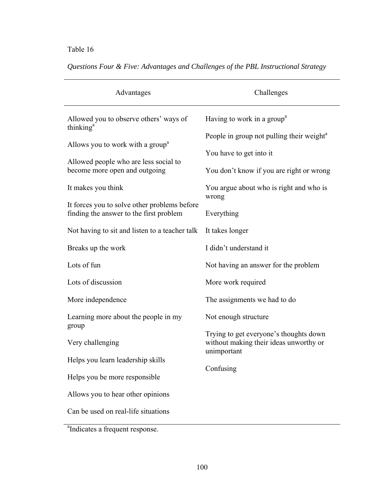# Table 16

|  |  |  | Questions Four & Five: Advantages and Challenges of the PBL Instructional Strategy |
|--|--|--|------------------------------------------------------------------------------------|
|--|--|--|------------------------------------------------------------------------------------|

| Advantages                                                                                                             | Challenges                                                                                                                   |
|------------------------------------------------------------------------------------------------------------------------|------------------------------------------------------------------------------------------------------------------------------|
| Allowed you to observe others' ways of<br>thinking <sup>a</sup>                                                        | Having to work in a group <sup>a</sup>                                                                                       |
| Allows you to work with a group <sup>a</sup><br>Allowed people who are less social to<br>become more open and outgoing | People in group not pulling their weight <sup>a</sup><br>You have to get into it<br>You don't know if you are right or wrong |
| It makes you think                                                                                                     | You argue about who is right and who is<br>wrong                                                                             |
| It forces you to solve other problems before<br>finding the answer to the first problem                                | Everything                                                                                                                   |
| Not having to sit and listen to a teacher talk                                                                         | It takes longer                                                                                                              |
| Breaks up the work                                                                                                     | I didn't understand it                                                                                                       |
| Lots of fun                                                                                                            | Not having an answer for the problem                                                                                         |
| Lots of discussion                                                                                                     | More work required                                                                                                           |
| More independence                                                                                                      | The assignments we had to do                                                                                                 |
| Learning more about the people in my                                                                                   | Not enough structure                                                                                                         |
| group<br>Very challenging                                                                                              | Trying to get everyone's thoughts down<br>without making their ideas unworthy or<br>unimportant                              |
| Helps you learn leadership skills                                                                                      | Confusing                                                                                                                    |
| Helps you be more responsible                                                                                          |                                                                                                                              |
| Allows you to hear other opinions                                                                                      |                                                                                                                              |
| Can be used on real-life situations                                                                                    |                                                                                                                              |

a Indicates a frequent response.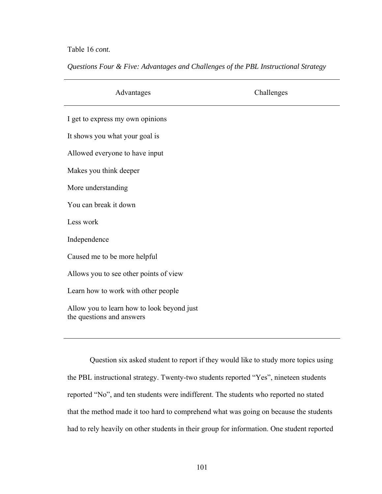## Table 16 *cont.*

*Questions Four & Five: Advantages and Challenges of the PBL Instructional Strategy*

| Advantages                                                              | Challenges |
|-------------------------------------------------------------------------|------------|
| I get to express my own opinions                                        |            |
| It shows you what your goal is                                          |            |
| Allowed everyone to have input                                          |            |
| Makes you think deeper                                                  |            |
| More understanding                                                      |            |
| You can break it down                                                   |            |
| Less work                                                               |            |
| Independence                                                            |            |
| Caused me to be more helpful                                            |            |
| Allows you to see other points of view                                  |            |
| Learn how to work with other people                                     |            |
| Allow you to learn how to look beyond just<br>the questions and answers |            |

Question six asked student to report if they would like to study more topics using the PBL instructional strategy. Twenty-two students reported "Yes", nineteen students reported "No", and ten students were indifferent. The students who reported no stated that the method made it too hard to comprehend what was going on because the students had to rely heavily on other students in their group for information. One student reported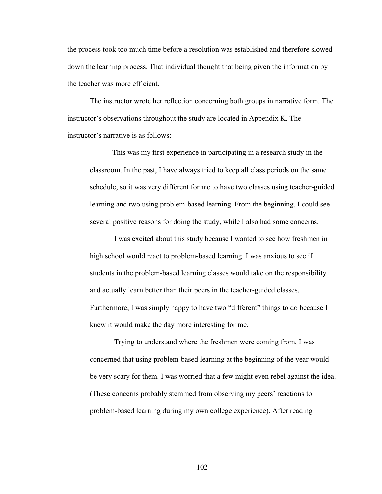the process took too much time before a resolution was established and therefore slowed down the learning process. That individual thought that being given the information by the teacher was more efficient.

The instructor wrote her reflection concerning both groups in narrative form. The instructor's observations throughout the study are located in Appendix K. The instructor's narrative is as follows:

This was my first experience in participating in a research study in the classroom. In the past, I have always tried to keep all class periods on the same schedule, so it was very different for me to have two classes using teacher-guided learning and two using problem-based learning. From the beginning, I could see several positive reasons for doing the study, while I also had some concerns.

 I was excited about this study because I wanted to see how freshmen in high school would react to problem-based learning. I was anxious to see if students in the problem-based learning classes would take on the responsibility and actually learn better than their peers in the teacher-guided classes. Furthermore, I was simply happy to have two "different" things to do because I knew it would make the day more interesting for me.

 Trying to understand where the freshmen were coming from, I was concerned that using problem-based learning at the beginning of the year would be very scary for them. I was worried that a few might even rebel against the idea. (These concerns probably stemmed from observing my peers' reactions to problem-based learning during my own college experience). After reading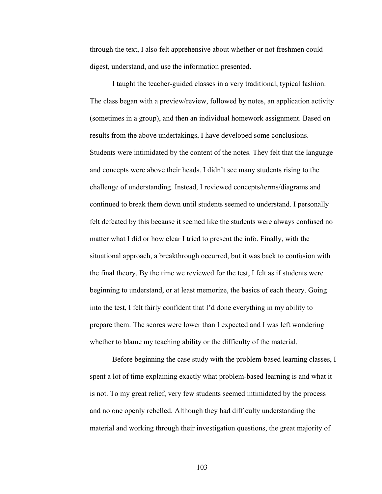through the text, I also felt apprehensive about whether or not freshmen could digest, understand, and use the information presented.

 I taught the teacher-guided classes in a very traditional, typical fashion. The class began with a preview/review, followed by notes, an application activity (sometimes in a group), and then an individual homework assignment. Based on results from the above undertakings, I have developed some conclusions. Students were intimidated by the content of the notes. They felt that the language and concepts were above their heads. I didn't see many students rising to the challenge of understanding. Instead, I reviewed concepts/terms/diagrams and continued to break them down until students seemed to understand. I personally felt defeated by this because it seemed like the students were always confused no matter what I did or how clear I tried to present the info. Finally, with the situational approach, a breakthrough occurred, but it was back to confusion with the final theory. By the time we reviewed for the test, I felt as if students were beginning to understand, or at least memorize, the basics of each theory. Going into the test, I felt fairly confident that I'd done everything in my ability to prepare them. The scores were lower than I expected and I was left wondering whether to blame my teaching ability or the difficulty of the material.

 Before beginning the case study with the problem-based learning classes, I spent a lot of time explaining exactly what problem-based learning is and what it is not. To my great relief, very few students seemed intimidated by the process and no one openly rebelled. Although they had difficulty understanding the material and working through their investigation questions, the great majority of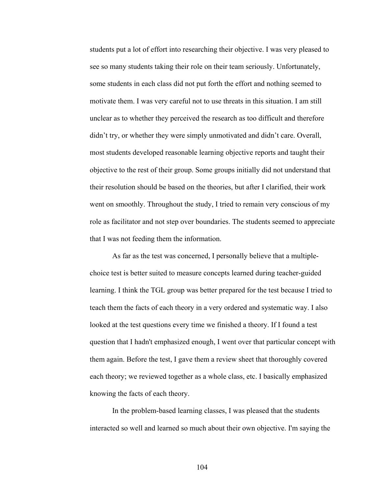students put a lot of effort into researching their objective. I was very pleased to see so many students taking their role on their team seriously. Unfortunately, some students in each class did not put forth the effort and nothing seemed to motivate them. I was very careful not to use threats in this situation. I am still unclear as to whether they perceived the research as too difficult and therefore didn't try, or whether they were simply unmotivated and didn't care. Overall, most students developed reasonable learning objective reports and taught their objective to the rest of their group. Some groups initially did not understand that their resolution should be based on the theories, but after I clarified, their work went on smoothly. Throughout the study, I tried to remain very conscious of my role as facilitator and not step over boundaries. The students seemed to appreciate that I was not feeding them the information.

As far as the test was concerned, I personally believe that a multiplechoice test is better suited to measure concepts learned during teacher-guided learning. I think the TGL group was better prepared for the test because I tried to teach them the facts of each theory in a very ordered and systematic way. I also looked at the test questions every time we finished a theory. If I found a test question that I hadn't emphasized enough, I went over that particular concept with them again. Before the test, I gave them a review sheet that thoroughly covered each theory; we reviewed together as a whole class, etc. I basically emphasized knowing the facts of each theory.

In the problem-based learning classes, I was pleased that the students interacted so well and learned so much about their own objective. I'm saying the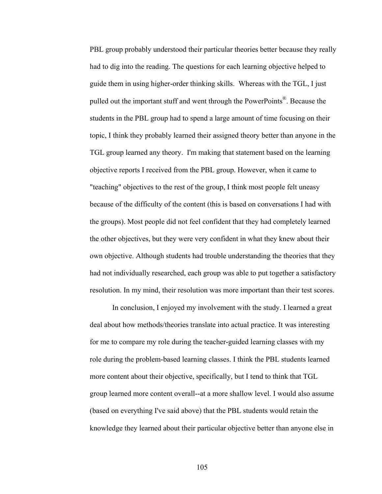PBL group probably understood their particular theories better because they really had to dig into the reading. The questions for each learning objective helped to guide them in using higher-order thinking skills. Whereas with the TGL, I just pulled out the important stuff and went through the PowerPoints®. Because the students in the PBL group had to spend a large amount of time focusing on their topic, I think they probably learned their assigned theory better than anyone in the TGL group learned any theory. I'm making that statement based on the learning objective reports I received from the PBL group. However, when it came to "teaching" objectives to the rest of the group, I think most people felt uneasy because of the difficulty of the content (this is based on conversations I had with the groups). Most people did not feel confident that they had completely learned the other objectives, but they were very confident in what they knew about their own objective. Although students had trouble understanding the theories that they had not individually researched, each group was able to put together a satisfactory resolution. In my mind, their resolution was more important than their test scores.

In conclusion, I enjoyed my involvement with the study. I learned a great deal about how methods/theories translate into actual practice. It was interesting for me to compare my role during the teacher-guided learning classes with my role during the problem-based learning classes. I think the PBL students learned more content about their objective, specifically, but I tend to think that TGL group learned more content overall--at a more shallow level. I would also assume (based on everything I've said above) that the PBL students would retain the knowledge they learned about their particular objective better than anyone else in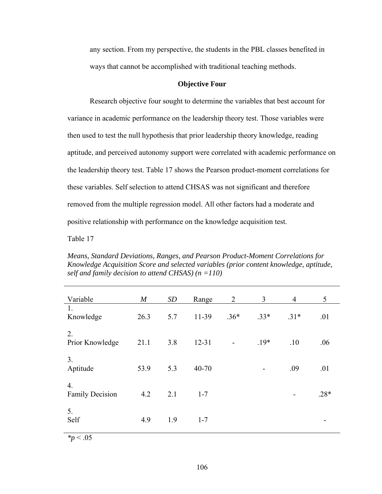any section. From my perspective, the students in the PBL classes benefited in ways that cannot be accomplished with traditional teaching methods.

## **Objective Four**

Research objective four sought to determine the variables that best account for variance in academic performance on the leadership theory test. Those variables were then used to test the null hypothesis that prior leadership theory knowledge, reading aptitude, and perceived autonomy support were correlated with academic performance on the leadership theory test. Table 17 shows the Pearson product-moment correlations for these variables. Self selection to attend CHSAS was not significant and therefore removed from the multiple regression model. All other factors had a moderate and positive relationship with performance on the knowledge acquisition test.

Table 17

*Means, Standard Deviations, Ranges, and Pearson Product-Moment Correlations for Knowledge Acquisition Score and selected variables (prior content knowledge, aptitude, self and family decision to attend CHSAS) (n =110)* 

| Variable                     | $\boldsymbol{M}$ | SD  | Range     | 2      | $\overline{3}$ | $\overline{4}$ | 5      |
|------------------------------|------------------|-----|-----------|--------|----------------|----------------|--------|
| 1.<br>Knowledge              | 26.3             | 5.7 | 11-39     | $.36*$ | $.33*$         | $.31*$         | .01    |
| 2.<br>Prior Knowledge        | 21.1             | 3.8 | $12 - 31$ |        | $.19*$         | .10            | .06    |
| 3.<br>Aptitude               | 53.9             | 5.3 | $40 - 70$ |        | -              | .09            | .01    |
| 4.<br><b>Family Decision</b> | 4.2              | 2.1 | $1 - 7$   |        |                | -              | $.28*$ |
| 5.<br>Self                   | 4.9              | 1.9 | $1 - 7$   |        |                |                |        |

*\*p* < .05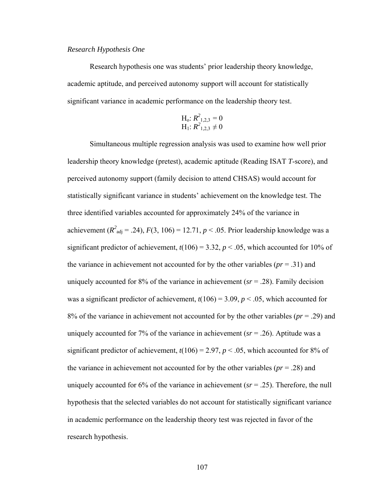## *Research Hypothesis One*

Research hypothesis one was students' prior leadership theory knowledge, academic aptitude, and perceived autonomy support will account for statistically significant variance in academic performance on the leadership theory test.

H<sub>0</sub>: 
$$
R^{2}_{1,2,3} = 0
$$
  
H<sub>1</sub>:  $R^{2}_{1,2,3} \neq 0$ 

Simultaneous multiple regression analysis was used to examine how well prior leadership theory knowledge (pretest), academic aptitude (Reading ISAT *T*-score), and perceived autonomy support (family decision to attend CHSAS) would account for statistically significant variance in students' achievement on the knowledge test. The three identified variables accounted for approximately 24% of the variance in achievement ( $R^2_{\text{adj}}$  = .24),  $F(3, 106)$  = 12.71,  $p < .05$ . Prior leadership knowledge was a significant predictor of achievement,  $t(106) = 3.32$ ,  $p < .05$ , which accounted for 10% of the variance in achievement not accounted for by the other variables ( $pr = .31$ ) and uniquely accounted for 8% of the variance in achievement ( $sr = .28$ ). Family decision was a significant predictor of achievement,  $t(106) = 3.09$ ,  $p < .05$ , which accounted for 8% of the variance in achievement not accounted for by the other variables (*pr* = .29) and uniquely accounted for 7% of the variance in achievement  $(sr = .26)$ . Aptitude was a significant predictor of achievement,  $t(106) = 2.97$ ,  $p < .05$ , which accounted for 8% of the variance in achievement not accounted for by the other variables (*pr* = .28) and uniquely accounted for  $6\%$  of the variance in achievement ( $sr = .25$ ). Therefore, the null hypothesis that the selected variables do not account for statistically significant variance in academic performance on the leadership theory test was rejected in favor of the research hypothesis.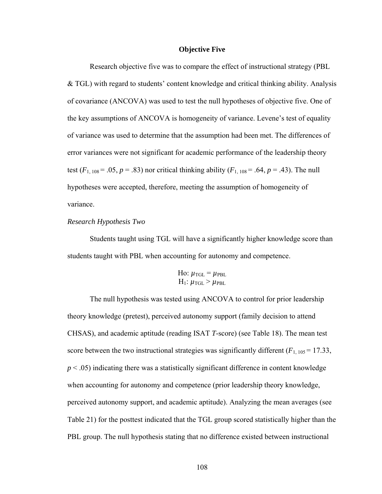#### **Objective Five**

Research objective five was to compare the effect of instructional strategy (PBL & TGL) with regard to students' content knowledge and critical thinking ability. Analysis of covariance (ANCOVA) was used to test the null hypotheses of objective five. One of the key assumptions of ANCOVA is homogeneity of variance. Levene's test of equality of variance was used to determine that the assumption had been met. The differences of error variances were not significant for academic performance of the leadership theory test  $(F_{1, 108} = .05, p = .83)$  nor critical thinking ability  $(F_{1, 108} = .64, p = .43)$ . The null hypotheses were accepted, therefore, meeting the assumption of homogeneity of variance.

#### *Research Hypothesis Two*

Students taught using TGL will have a significantly higher knowledge score than students taught with PBL when accounting for autonomy and competence.

$$
\text{Ho: } \mu_{\text{TGL}} = \mu_{\text{PBL}}
$$
\n
$$
\text{H}_1: \mu_{\text{TGL}} > \mu_{\text{PBL}}
$$

 The null hypothesis was tested using ANCOVA to control for prior leadership theory knowledge (pretest), perceived autonomy support (family decision to attend CHSAS), and academic aptitude (reading ISAT *T*-score) (see Table 18). The mean test score between the two instructional strategies was significantly different  $(F_{1, 105} = 17.33)$ ,  $p < .05$ ) indicating there was a statistically significant difference in content knowledge when accounting for autonomy and competence (prior leadership theory knowledge, perceived autonomy support, and academic aptitude). Analyzing the mean averages (see Table 21) for the posttest indicated that the TGL group scored statistically higher than the PBL group. The null hypothesis stating that no difference existed between instructional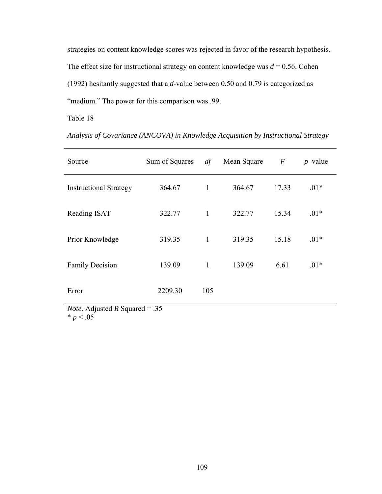strategies on content knowledge scores was rejected in favor of the research hypothesis. The effect size for instructional strategy on content knowledge was  $d = 0.56$ . Cohen (1992) hesitantly suggested that a *d-*value between 0.50 and 0.79 is categorized as "medium." The power for this comparison was .99.

## Table 18

| Source                                     | Sum of Squares | df           | Mean Square | $\boldsymbol{F}$ | $p$ -value |
|--------------------------------------------|----------------|--------------|-------------|------------------|------------|
| <b>Instructional Strategy</b>              | 364.67         | $\mathbf{1}$ | 364.67      | 17.33            | $.01*$     |
| Reading ISAT                               | 322.77         | 1            | 322.77      | 15.34            | $.01*$     |
| Prior Knowledge                            | 319.35         | 1            | 319.35      | 15.18            | $.01*$     |
| <b>Family Decision</b>                     | 139.09         | 1            | 139.09      | 6.61             | $.01*$     |
| Error<br>$Nota$ Adjusted $D$ Counted $-25$ | 2209.30        | 105          |             |                  |            |

*Analysis of Covariance (ANCOVA) in Knowledge Acquisition by Instructional Strategy* 

*Note*. Adjusted *R* Squared = .35  $* p < .05$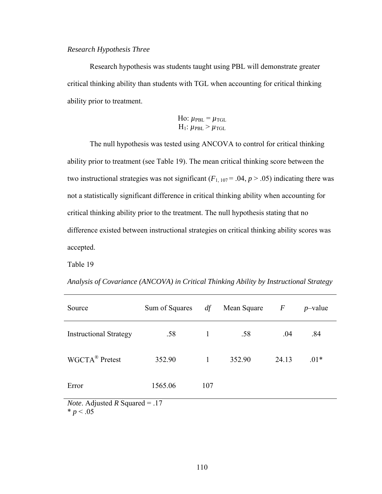## *Research Hypothesis Three*

Research hypothesis was students taught using PBL will demonstrate greater critical thinking ability than students with TGL when accounting for critical thinking ability prior to treatment.

$$
Ho: \mu_{PBL} = \mu_{TGL}
$$

$$
H_1: \mu_{PBL} > \mu_{TGL}
$$

The null hypothesis was tested using ANCOVA to control for critical thinking ability prior to treatment (see Table 19). The mean critical thinking score between the two instructional strategies was not significant  $(F_{1, 107} = .04, p > .05)$  indicating there was not a statistically significant difference in critical thinking ability when accounting for critical thinking ability prior to the treatment. The null hypothesis stating that no difference existed between instructional strategies on critical thinking ability scores was accepted.

Table 19

| Source                                 | Sum of Squares | df  | Mean Square | $\,F$ | $p$ -value |
|----------------------------------------|----------------|-----|-------------|-------|------------|
| <b>Instructional Strategy</b>          | .58            | 1   | .58         | .04   | .84        |
| WGCTA <sup>®</sup> Pretest             | 352.90         | 1   | 352.90      | 24.13 | $.01*$     |
| Error                                  | 1565.06        | 107 |             |       |            |
| <i>Note</i> . Adjusted R Squared = .17 |                |     |             |       |            |

| Analysis of Covariance (ANCOVA) in Critical Thinking Ability by Instructional Strategy |  |  |
|----------------------------------------------------------------------------------------|--|--|

\*  $p < .05$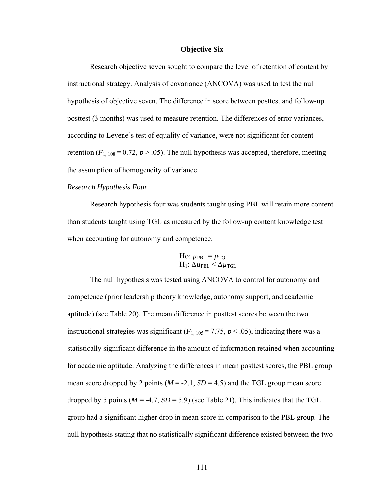#### **Objective Six**

Research objective seven sought to compare the level of retention of content by instructional strategy. Analysis of covariance (ANCOVA) was used to test the null hypothesis of objective seven. The difference in score between posttest and follow-up posttest (3 months) was used to measure retention. The differences of error variances, according to Levene's test of equality of variance, were not significant for content retention  $(F_{1, 108} = 0.72, p > .05)$ . The null hypothesis was accepted, therefore, meeting the assumption of homogeneity of variance.

## *Research Hypothesis Four*

Research hypothesis four was students taught using PBL will retain more content than students taught using TGL as measured by the follow-up content knowledge test when accounting for autonomy and competence.

Ho: 
$$
μ_{PBL} = μ_{TGL}
$$
  
H<sub>1</sub>:  $Δμ_{PBL} < Δμ_{TGL}$ 

The null hypothesis was tested using ANCOVA to control for autonomy and competence (prior leadership theory knowledge, autonomy support, and academic aptitude) (see Table 20). The mean difference in posttest scores between the two instructional strategies was significant  $(F_{1, 105} = 7.75, p < .05)$ , indicating there was a statistically significant difference in the amount of information retained when accounting for academic aptitude. Analyzing the differences in mean posttest scores, the PBL group mean score dropped by 2 points  $(M = -2.1, SD = 4.5)$  and the TGL group mean score dropped by 5 points  $(M = -4.7, SD = 5.9)$  (see Table 21). This indicates that the TGL group had a significant higher drop in mean score in comparison to the PBL group. The null hypothesis stating that no statistically significant difference existed between the two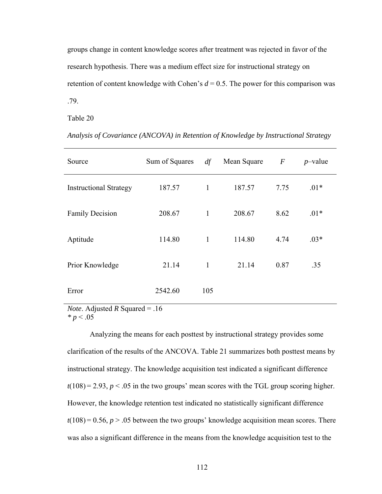groups change in content knowledge scores after treatment was rejected in favor of the research hypothesis. There was a medium effect size for instructional strategy on retention of content knowledge with Cohen's  $d = 0.5$ . The power for this comparison was .79.

Table 20

| Source                        | Sum of Squares | df           | Mean Square | $\boldsymbol{F}$ | $p$ -value |
|-------------------------------|----------------|--------------|-------------|------------------|------------|
| <b>Instructional Strategy</b> | 187.57         | $\mathbf{1}$ | 187.57      | 7.75             | $.01*$     |
| <b>Family Decision</b>        | 208.67         | $\mathbf{1}$ | 208.67      | 8.62             | $.01*$     |
| Aptitude                      | 114.80         | $\mathbf{1}$ | 114.80      | 4.74             | $.03*$     |
| Prior Knowledge               | 21.14          | 1            | 21.14       | 0.87             | .35        |
| Error                         | 2542.60        | 105          |             |                  |            |

*Analysis of Covariance (ANCOVA) in Retention of Knowledge by Instructional Strategy*

*Note*. Adjusted *R* Squared = .16 *\* p* < .05

Analyzing the means for each posttest by instructional strategy provides some clarification of the results of the ANCOVA. Table 21 summarizes both posttest means by instructional strategy. The knowledge acquisition test indicated a significant difference  $t(108) = 2.93$ ,  $p < .05$  in the two groups' mean scores with the TGL group scoring higher. However, the knowledge retention test indicated no statistically significant difference  $t(108) = 0.56$ ,  $p > 0.05$  between the two groups' knowledge acquisition mean scores. There was also a significant difference in the means from the knowledge acquisition test to the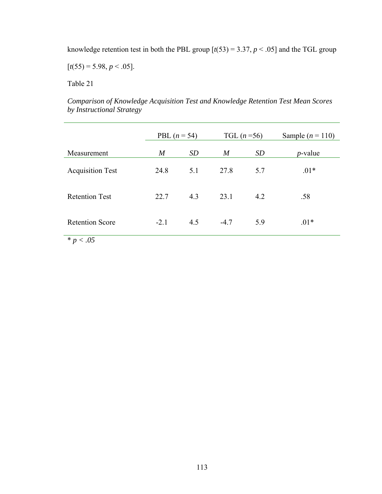knowledge retention test in both the PBL group  $[t(53) = 3.37, p < .05]$  and the TGL group

 $[t(55) = 5.98, p < .05]$ .

Table 21

*Comparison of Knowledge Acquisition Test and Knowledge Retention Test Mean Scores by Instructional Strategy* 

|                         |                  | PBL $(n = 54)$<br>TGL $(n=56)$ |                  |     | Sample $(n = 110)$ |
|-------------------------|------------------|--------------------------------|------------------|-----|--------------------|
| Measurement             | $\boldsymbol{M}$ | <b>SD</b>                      | $\boldsymbol{M}$ | SD  | <i>p</i> -value    |
| <b>Acquisition Test</b> | 24.8             | 5.1                            | 27.8             | 5.7 | $.01*$             |
| <b>Retention Test</b>   | 22.7             | 4.3                            | 23.1             | 4.2 | .58                |
| <b>Retention Score</b>  | $-2.1$           | 4.5                            | $-4.7$           | 5.9 | $.01*$             |
| * $p < .05$             |                  |                                |                  |     |                    |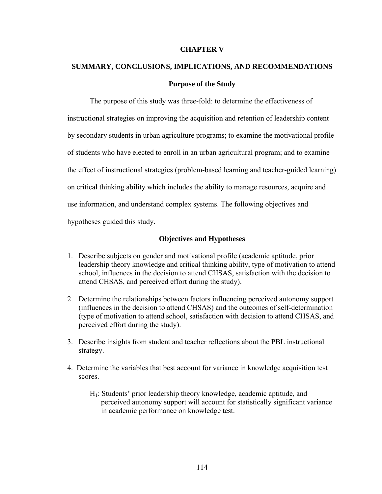## **CHAPTER V**

# **SUMMARY, CONCLUSIONS, IMPLICATIONS, AND RECOMMENDATIONS Purpose of the Study**

The purpose of this study was three-fold: to determine the effectiveness of instructional strategies on improving the acquisition and retention of leadership content by secondary students in urban agriculture programs; to examine the motivational profile of students who have elected to enroll in an urban agricultural program; and to examine the effect of instructional strategies (problem-based learning and teacher-guided learning) on critical thinking ability which includes the ability to manage resources, acquire and use information, and understand complex systems. The following objectives and hypotheses guided this study.

## **Objectives and Hypotheses**

- 1. Describe subjects on gender and motivational profile (academic aptitude, prior leadership theory knowledge and critical thinking ability, type of motivation to attend school, influences in the decision to attend CHSAS, satisfaction with the decision to attend CHSAS, and perceived effort during the study).
- 2. Determine the relationships between factors influencing perceived autonomy support (influences in the decision to attend CHSAS) and the outcomes of self-determination (type of motivation to attend school, satisfaction with decision to attend CHSAS, and perceived effort during the study).
- 3. Describe insights from student and teacher reflections about the PBL instructional strategy.
- 4. Determine the variables that best account for variance in knowledge acquisition test scores.
	- H1: Students' prior leadership theory knowledge, academic aptitude, and perceived autonomy support will account for statistically significant variance in academic performance on knowledge test.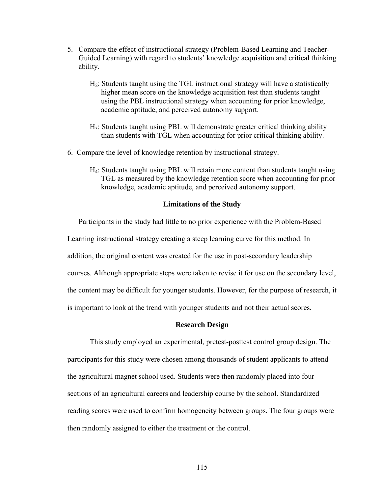- 5. Compare the effect of instructional strategy (Problem-Based Learning and Teacher-Guided Learning) with regard to students' knowledge acquisition and critical thinking ability.
	- $H<sub>2</sub>$ : Students taught using the TGL instructional strategy will have a statistically higher mean score on the knowledge acquisition test than students taught using the PBL instructional strategy when accounting for prior knowledge, academic aptitude, and perceived autonomy support.
	- H3: Students taught using PBL will demonstrate greater critical thinking ability than students with TGL when accounting for prior critical thinking ability.
- 6. Compare the level of knowledge retention by instructional strategy.
	- H4: Students taught using PBL will retain more content than students taught using TGL as measured by the knowledge retention score when accounting for prior knowledge, academic aptitude, and perceived autonomy support.

## **Limitations of the Study**

Participants in the study had little to no prior experience with the Problem-Based Learning instructional strategy creating a steep learning curve for this method. In addition, the original content was created for the use in post-secondary leadership courses. Although appropriate steps were taken to revise it for use on the secondary level, the content may be difficult for younger students. However, for the purpose of research, it is important to look at the trend with younger students and not their actual scores.

#### **Research Design**

 This study employed an experimental, pretest-posttest control group design. The participants for this study were chosen among thousands of student applicants to attend the agricultural magnet school used. Students were then randomly placed into four sections of an agricultural careers and leadership course by the school. Standardized reading scores were used to confirm homogeneity between groups. The four groups were then randomly assigned to either the treatment or the control.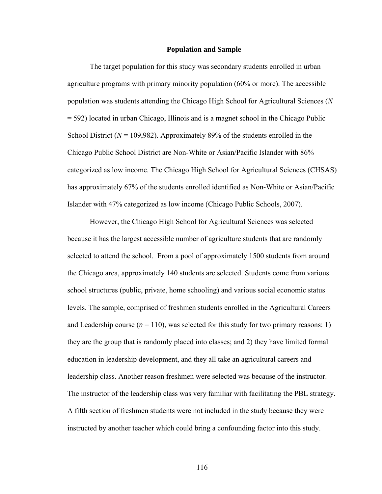#### **Population and Sample**

The target population for this study was secondary students enrolled in urban agriculture programs with primary minority population (60% or more). The accessible population was students attending the Chicago High School for Agricultural Sciences (*N* = 592) located in urban Chicago, Illinois and is a magnet school in the Chicago Public School District (*N* = 109,982). Approximately 89% of the students enrolled in the Chicago Public School District are Non-White or Asian/Pacific Islander with 86% categorized as low income. The Chicago High School for Agricultural Sciences (CHSAS) has approximately 67% of the students enrolled identified as Non-White or Asian/Pacific Islander with 47% categorized as low income (Chicago Public Schools, 2007).

However, the Chicago High School for Agricultural Sciences was selected because it has the largest accessible number of agriculture students that are randomly selected to attend the school. From a pool of approximately 1500 students from around the Chicago area, approximately 140 students are selected. Students come from various school structures (public, private, home schooling) and various social economic status levels. The sample, comprised of freshmen students enrolled in the Agricultural Careers and Leadership course  $(n = 110)$ , was selected for this study for two primary reasons: 1) they are the group that is randomly placed into classes; and 2) they have limited formal education in leadership development, and they all take an agricultural careers and leadership class. Another reason freshmen were selected was because of the instructor. The instructor of the leadership class was very familiar with facilitating the PBL strategy. A fifth section of freshmen students were not included in the study because they were instructed by another teacher which could bring a confounding factor into this study.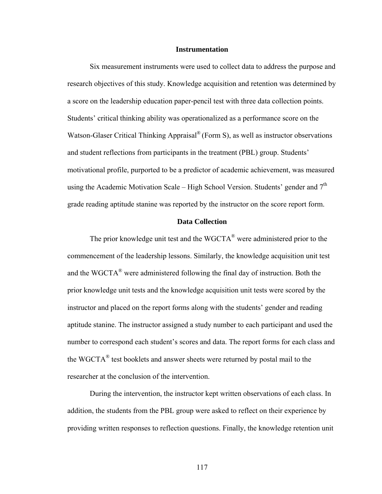#### **Instrumentation**

Six measurement instruments were used to collect data to address the purpose and research objectives of this study. Knowledge acquisition and retention was determined by a score on the leadership education paper-pencil test with three data collection points. Students' critical thinking ability was operationalized as a performance score on the Watson-Glaser Critical Thinking Appraisal<sup>®</sup> (Form S), as well as instructor observations and student reflections from participants in the treatment (PBL) group. Students' motivational profile, purported to be a predictor of academic achievement, was measured using the Academic Motivation Scale – High School Version. Students' gender and 7<sup>th</sup> grade reading aptitude stanine was reported by the instructor on the score report form.

#### **Data Collection**

The prior knowledge unit test and the WGCTA® were administered prior to the commencement of the leadership lessons. Similarly, the knowledge acquisition unit test and the WGCTA® were administered following the final day of instruction. Both the prior knowledge unit tests and the knowledge acquisition unit tests were scored by the instructor and placed on the report forms along with the students' gender and reading aptitude stanine. The instructor assigned a study number to each participant and used the number to correspond each student's scores and data. The report forms for each class and the WGCTA® test booklets and answer sheets were returned by postal mail to the researcher at the conclusion of the intervention.

During the intervention, the instructor kept written observations of each class. In addition, the students from the PBL group were asked to reflect on their experience by providing written responses to reflection questions. Finally, the knowledge retention unit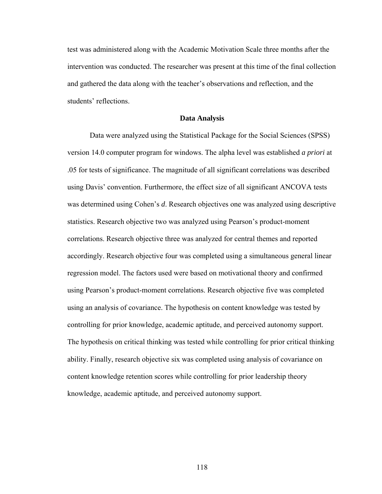test was administered along with the Academic Motivation Scale three months after the intervention was conducted. The researcher was present at this time of the final collection and gathered the data along with the teacher's observations and reflection, and the students' reflections.

#### **Data Analysis**

 Data were analyzed using the Statistical Package for the Social Sciences (SPSS) version 14.0 computer program for windows. The alpha level was established *a priori* at .05 for tests of significance. The magnitude of all significant correlations was described using Davis' convention. Furthermore, the effect size of all significant ANCOVA tests was determined using Cohen's *d*. Research objectives one was analyzed using descriptive statistics. Research objective two was analyzed using Pearson's product-moment correlations. Research objective three was analyzed for central themes and reported accordingly. Research objective four was completed using a simultaneous general linear regression model. The factors used were based on motivational theory and confirmed using Pearson's product-moment correlations. Research objective five was completed using an analysis of covariance. The hypothesis on content knowledge was tested by controlling for prior knowledge, academic aptitude, and perceived autonomy support. The hypothesis on critical thinking was tested while controlling for prior critical thinking ability. Finally, research objective six was completed using analysis of covariance on content knowledge retention scores while controlling for prior leadership theory knowledge, academic aptitude, and perceived autonomy support.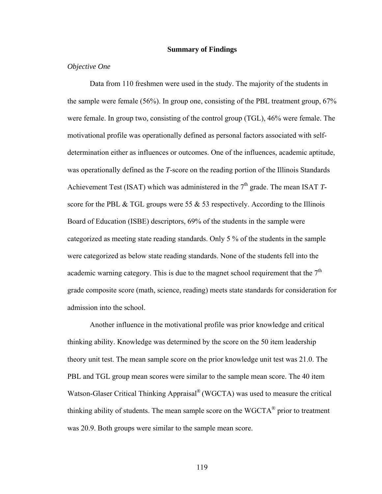#### **Summary of Findings**

### *Objective One*

Data from 110 freshmen were used in the study. The majority of the students in the sample were female (56%). In group one, consisting of the PBL treatment group, 67% were female. In group two, consisting of the control group (TGL), 46% were female. The motivational profile was operationally defined as personal factors associated with selfdetermination either as influences or outcomes. One of the influences, academic aptitude, was operationally defined as the *T*-score on the reading portion of the Illinois Standards Achievement Test (ISAT) which was administered in the 7<sup>th</sup> grade. The mean ISAT *T*score for the PBL  $& TGL$  groups were 55  $& 53$  respectively. According to the Illinois Board of Education (ISBE) descriptors, 69% of the students in the sample were categorized as meeting state reading standards. Only 5 % of the students in the sample were categorized as below state reading standards. None of the students fell into the academic warning category. This is due to the magnet school requirement that the  $7<sup>th</sup>$ grade composite score (math, science, reading) meets state standards for consideration for admission into the school.

Another influence in the motivational profile was prior knowledge and critical thinking ability. Knowledge was determined by the score on the 50 item leadership theory unit test. The mean sample score on the prior knowledge unit test was 21.0. The PBL and TGL group mean scores were similar to the sample mean score. The 40 item Watson-Glaser Critical Thinking Appraisal® (WGCTA) was used to measure the critical thinking ability of students. The mean sample score on the WGCTA® prior to treatment was 20.9. Both groups were similar to the sample mean score.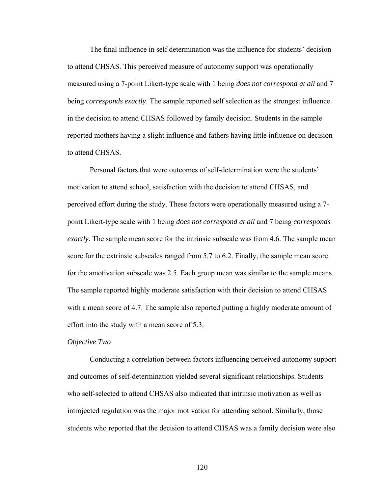The final influence in self determination was the influence for students' decision to attend CHSAS. This perceived measure of autonomy support was operationally measured using a 7-point Likert-type scale with 1 being *does not correspond at all* and 7 being *corresponds exactly*. The sample reported self selection as the strongest influence in the decision to attend CHSAS followed by family decision. Students in the sample reported mothers having a slight influence and fathers having little influence on decision to attend CHSAS.

 Personal factors that were outcomes of self-determination were the students' motivation to attend school, satisfaction with the decision to attend CHSAS, and perceived effort during the study. These factors were operationally measured using a 7 point Likert-type scale with 1 being *does not correspond at all* and 7 being *corresponds exactly*. The sample mean score for the intrinsic subscale was from 4.6. The sample mean score for the extrinsic subscales ranged from 5.7 to 6.2. Finally, the sample mean score for the amotivation subscale was 2.5. Each group mean was similar to the sample means. The sample reported highly moderate satisfaction with their decision to attend CHSAS with a mean score of 4.7. The sample also reported putting a highly moderate amount of effort into the study with a mean score of 5.3.

#### *Objective Two*

Conducting a correlation between factors influencing perceived autonomy support and outcomes of self-determination yielded several significant relationships. Students who self-selected to attend CHSAS also indicated that intrinsic motivation as well as introjected regulation was the major motivation for attending school. Similarly, those students who reported that the decision to attend CHSAS was a family decision were also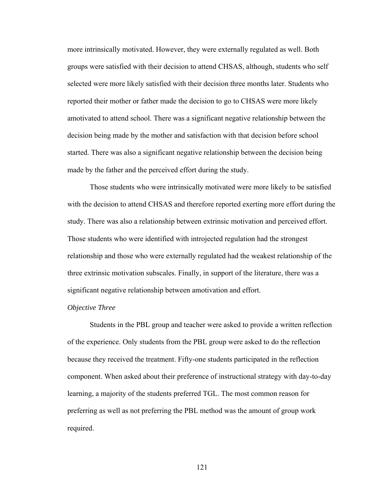more intrinsically motivated. However, they were externally regulated as well. Both groups were satisfied with their decision to attend CHSAS, although, students who self selected were more likely satisfied with their decision three months later. Students who reported their mother or father made the decision to go to CHSAS were more likely amotivated to attend school. There was a significant negative relationship between the decision being made by the mother and satisfaction with that decision before school started. There was also a significant negative relationship between the decision being made by the father and the perceived effort during the study.

Those students who were intrinsically motivated were more likely to be satisfied with the decision to attend CHSAS and therefore reported exerting more effort during the study. There was also a relationship between extrinsic motivation and perceived effort. Those students who were identified with introjected regulation had the strongest relationship and those who were externally regulated had the weakest relationship of the three extrinsic motivation subscales. Finally, in support of the literature, there was a significant negative relationship between amotivation and effort.

## *Objective Three*

Students in the PBL group and teacher were asked to provide a written reflection of the experience. Only students from the PBL group were asked to do the reflection because they received the treatment. Fifty-one students participated in the reflection component. When asked about their preference of instructional strategy with day-to-day learning, a majority of the students preferred TGL. The most common reason for preferring as well as not preferring the PBL method was the amount of group work required.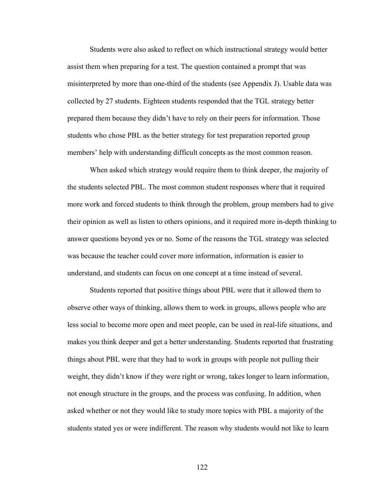Students were also asked to reflect on which instructional strategy would better assist them when preparing for a test. The question contained a prompt that was misinterpreted by more than one-third of the students (see Appendix J). Usable data was collected by 27 students. Eighteen students responded that the TGL strategy better prepared them because they didn't have to rely on their peers for information. Those students who chose PBL as the better strategy for test preparation reported group members' help with understanding difficult concepts as the most common reason.

 When asked which strategy would require them to think deeper, the majority of the students selected PBL. The most common student responses where that it required more work and forced students to think through the problem, group members had to give their opinion as well as listen to others opinions, and it required more in-depth thinking to answer questions beyond yes or no. Some of the reasons the TGL strategy was selected was because the teacher could cover more information, information is easier to understand, and students can focus on one concept at a time instead of several.

 Students reported that positive things about PBL were that it allowed them to observe other ways of thinking, allows them to work in groups, allows people who are less social to become more open and meet people, can be used in real-life situations, and makes you think deeper and get a better understanding. Students reported that frustrating things about PBL were that they had to work in groups with people not pulling their weight, they didn't know if they were right or wrong, takes longer to learn information, not enough structure in the groups, and the process was confusing. In addition, when asked whether or not they would like to study more topics with PBL a majority of the students stated yes or were indifferent. The reason why students would not like to learn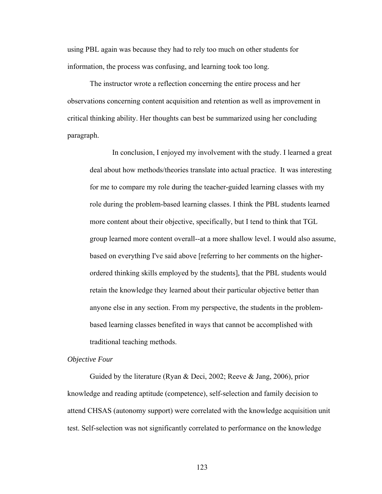using PBL again was because they had to rely too much on other students for information, the process was confusing, and learning took too long.

 The instructor wrote a reflection concerning the entire process and her observations concerning content acquisition and retention as well as improvement in critical thinking ability. Her thoughts can best be summarized using her concluding paragraph.

In conclusion, I enjoyed my involvement with the study. I learned a great deal about how methods/theories translate into actual practice. It was interesting for me to compare my role during the teacher-guided learning classes with my role during the problem-based learning classes. I think the PBL students learned more content about their objective, specifically, but I tend to think that TGL group learned more content overall--at a more shallow level. I would also assume, based on everything I've said above [referring to her comments on the higherordered thinking skills employed by the students], that the PBL students would retain the knowledge they learned about their particular objective better than anyone else in any section. From my perspective, the students in the problembased learning classes benefited in ways that cannot be accomplished with traditional teaching methods.

#### *Objective Four*

Guided by the literature (Ryan & Deci, 2002; Reeve & Jang, 2006), prior knowledge and reading aptitude (competence), self-selection and family decision to attend CHSAS (autonomy support) were correlated with the knowledge acquisition unit test. Self-selection was not significantly correlated to performance on the knowledge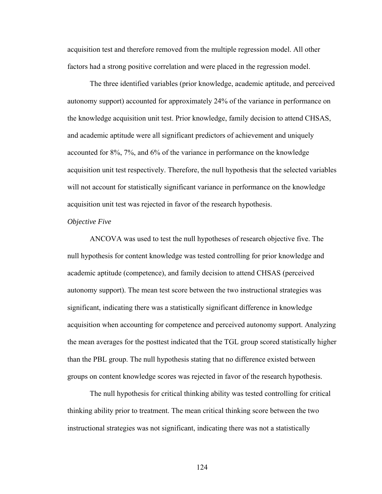acquisition test and therefore removed from the multiple regression model. All other factors had a strong positive correlation and were placed in the regression model.

The three identified variables (prior knowledge, academic aptitude, and perceived autonomy support) accounted for approximately 24% of the variance in performance on the knowledge acquisition unit test. Prior knowledge, family decision to attend CHSAS, and academic aptitude were all significant predictors of achievement and uniquely accounted for 8%, 7%, and 6% of the variance in performance on the knowledge acquisition unit test respectively. Therefore, the null hypothesis that the selected variables will not account for statistically significant variance in performance on the knowledge acquisition unit test was rejected in favor of the research hypothesis.

#### *Objective Five*

 ANCOVA was used to test the null hypotheses of research objective five. The null hypothesis for content knowledge was tested controlling for prior knowledge and academic aptitude (competence), and family decision to attend CHSAS (perceived autonomy support). The mean test score between the two instructional strategies was significant, indicating there was a statistically significant difference in knowledge acquisition when accounting for competence and perceived autonomy support. Analyzing the mean averages for the posttest indicated that the TGL group scored statistically higher than the PBL group. The null hypothesis stating that no difference existed between groups on content knowledge scores was rejected in favor of the research hypothesis.

The null hypothesis for critical thinking ability was tested controlling for critical thinking ability prior to treatment. The mean critical thinking score between the two instructional strategies was not significant, indicating there was not a statistically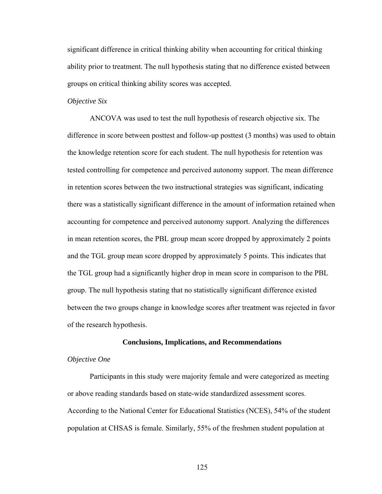significant difference in critical thinking ability when accounting for critical thinking ability prior to treatment. The null hypothesis stating that no difference existed between groups on critical thinking ability scores was accepted.

## *Objective Six*

ANCOVA was used to test the null hypothesis of research objective six. The difference in score between posttest and follow-up posttest (3 months) was used to obtain the knowledge retention score for each student. The null hypothesis for retention was tested controlling for competence and perceived autonomy support. The mean difference in retention scores between the two instructional strategies was significant, indicating there was a statistically significant difference in the amount of information retained when accounting for competence and perceived autonomy support. Analyzing the differences in mean retention scores, the PBL group mean score dropped by approximately 2 points and the TGL group mean score dropped by approximately 5 points. This indicates that the TGL group had a significantly higher drop in mean score in comparison to the PBL group. The null hypothesis stating that no statistically significant difference existed between the two groups change in knowledge scores after treatment was rejected in favor of the research hypothesis.

## **Conclusions, Implications, and Recommendations**

#### *Objective One*

 Participants in this study were majority female and were categorized as meeting or above reading standards based on state-wide standardized assessment scores. According to the National Center for Educational Statistics (NCES), 54% of the student population at CHSAS is female. Similarly, 55% of the freshmen student population at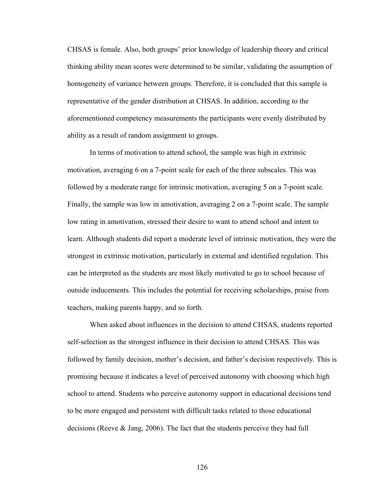CHSAS is female. Also, both groups' prior knowledge of leadership theory and critical thinking ability mean scores were determined to be similar, validating the assumption of homogeneity of variance between groups. Therefore, it is concluded that this sample is representative of the gender distribution at CHSAS. In addition, according to the aforementioned competency measurements the participants were evenly distributed by ability as a result of random assignment to groups.

 In terms of motivation to attend school, the sample was high in extrinsic motivation, averaging 6 on a 7-point scale for each of the three subscales. This was followed by a moderate range for intrinsic motivation, averaging 5 on a 7-point scale. Finally, the sample was low in amotivation, averaging 2 on a 7-point scale. The sample low rating in amotivation, stressed their desire to want to attend school and intent to learn. Although students did report a moderate level of intrinsic motivation, they were the strongest in extrinsic motivation, particularly in external and identified regulation. This can be interpreted as the students are most likely motivated to go to school because of outside inducements. This includes the potential for receiving scholarships, praise from teachers, making parents happy, and so forth.

When asked about influences in the decision to attend CHSAS, students reported self-selection as the strongest influence in their decision to attend CHSAS. This was followed by family decision, mother's decision, and father's decision respectively. This is promising because it indicates a level of perceived autonomy with choosing which high school to attend. Students who perceive autonomy support in educational decisions tend to be more engaged and persistent with difficult tasks related to those educational decisions (Reeve  $\&$  Jang, 2006). The fact that the students perceive they had full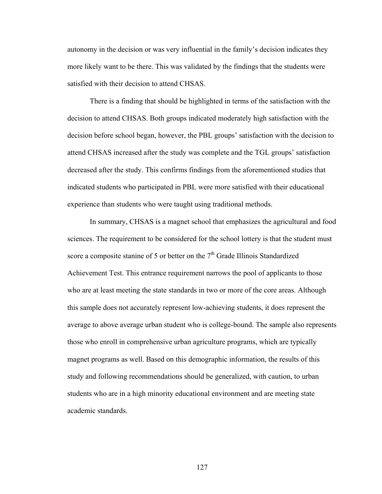autonomy in the decision or was very influential in the family's decision indicates they more likely want to be there. This was validated by the findings that the students were satisfied with their decision to attend CHSAS.

There is a finding that should be highlighted in terms of the satisfaction with the decision to attend CHSAS. Both groups indicated moderately high satisfaction with the decision before school began, however, the PBL groups' satisfaction with the decision to attend CHSAS increased after the study was complete and the TGL groups' satisfaction decreased after the study. This confirms findings from the aforementioned studies that indicated students who participated in PBL were more satisfied with their educational experience than students who were taught using traditional methods.

 In summary, CHSAS is a magnet school that emphasizes the agricultural and food sciences. The requirement to be considered for the school lottery is that the student must score a composite stanine of 5 or better on the  $7<sup>th</sup>$  Grade Illinois Standardized Achievement Test. This entrance requirement narrows the pool of applicants to those who are at least meeting the state standards in two or more of the core areas. Although this sample does not accurately represent low-achieving students, it does represent the average to above average urban student who is college-bound. The sample also represents those who enroll in comprehensive urban agriculture programs, which are typically magnet programs as well. Based on this demographic information, the results of this study and following recommendations should be generalized, with caution, to urban students who are in a high minority educational environment and are meeting state academic standards.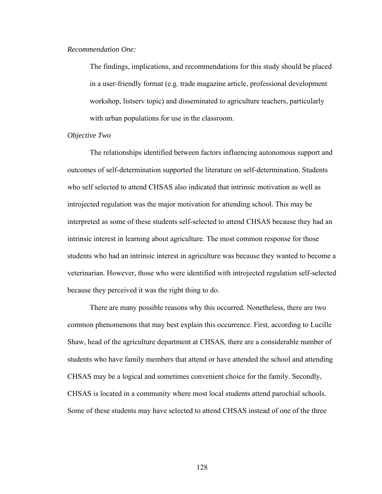## *Recommendation One:*

The findings, implications, and recommendations for this study should be placed in a user-friendly format (e.g. trade magazine article, professional development workshop, listserv topic) and disseminated to agriculture teachers, particularly with urban populations for use in the classroom.

## *Objective Two*

The relationships identified between factors influencing autonomous support and outcomes of self-determination supported the literature on self-determination. Students who self selected to attend CHSAS also indicated that intrinsic motivation as well as introjected regulation was the major motivation for attending school. This may be interpreted as some of these students self-selected to attend CHSAS because they had an intrinsic interest in learning about agriculture. The most common response for those students who had an intrinsic interest in agriculture was because they wanted to become a veterinarian. However, those who were identified with introjected regulation self-selected because they perceived it was the right thing to do.

There are many possible reasons why this occurred. Nonetheless, there are two common phenomenons that may best explain this occurrence. First, according to Lucille Shaw, head of the agriculture department at CHSAS, there are a considerable number of students who have family members that attend or have attended the school and attending CHSAS may be a logical and sometimes convenient choice for the family. Secondly, CHSAS is located in a community where most local students attend parochial schools. Some of these students may have selected to attend CHSAS instead of one of the three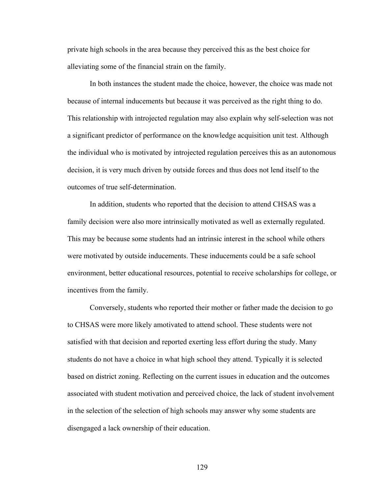private high schools in the area because they perceived this as the best choice for alleviating some of the financial strain on the family.

In both instances the student made the choice, however, the choice was made not because of internal inducements but because it was perceived as the right thing to do. This relationship with introjected regulation may also explain why self-selection was not a significant predictor of performance on the knowledge acquisition unit test. Although the individual who is motivated by introjected regulation perceives this as an autonomous decision, it is very much driven by outside forces and thus does not lend itself to the outcomes of true self-determination.

In addition, students who reported that the decision to attend CHSAS was a family decision were also more intrinsically motivated as well as externally regulated. This may be because some students had an intrinsic interest in the school while others were motivated by outside inducements. These inducements could be a safe school environment, better educational resources, potential to receive scholarships for college, or incentives from the family.

Conversely, students who reported their mother or father made the decision to go to CHSAS were more likely amotivated to attend school. These students were not satisfied with that decision and reported exerting less effort during the study. Many students do not have a choice in what high school they attend. Typically it is selected based on district zoning. Reflecting on the current issues in education and the outcomes associated with student motivation and perceived choice, the lack of student involvement in the selection of the selection of high schools may answer why some students are disengaged a lack ownership of their education.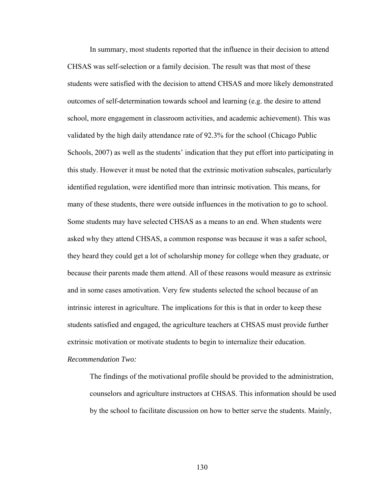In summary, most students reported that the influence in their decision to attend CHSAS was self-selection or a family decision. The result was that most of these students were satisfied with the decision to attend CHSAS and more likely demonstrated outcomes of self-determination towards school and learning (e.g. the desire to attend school, more engagement in classroom activities, and academic achievement). This was validated by the high daily attendance rate of 92.3% for the school (Chicago Public Schools, 2007) as well as the students' indication that they put effort into participating in this study. However it must be noted that the extrinsic motivation subscales, particularly identified regulation, were identified more than intrinsic motivation. This means, for many of these students, there were outside influences in the motivation to go to school. Some students may have selected CHSAS as a means to an end. When students were asked why they attend CHSAS, a common response was because it was a safer school, they heard they could get a lot of scholarship money for college when they graduate, or because their parents made them attend. All of these reasons would measure as extrinsic and in some cases amotivation. Very few students selected the school because of an intrinsic interest in agriculture. The implications for this is that in order to keep these students satisfied and engaged, the agriculture teachers at CHSAS must provide further extrinsic motivation or motivate students to begin to internalize their education.

#### *Recommendation Two:*

The findings of the motivational profile should be provided to the administration, counselors and agriculture instructors at CHSAS. This information should be used by the school to facilitate discussion on how to better serve the students. Mainly,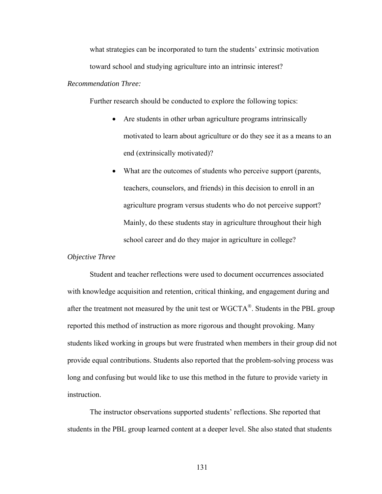what strategies can be incorporated to turn the students' extrinsic motivation toward school and studying agriculture into an intrinsic interest?

#### *Recommendation Three:*

Further research should be conducted to explore the following topics:

- Are students in other urban agriculture programs intrinsically motivated to learn about agriculture or do they see it as a means to an end (extrinsically motivated)?
- What are the outcomes of students who perceive support (parents, teachers, counselors, and friends) in this decision to enroll in an agriculture program versus students who do not perceive support? Mainly, do these students stay in agriculture throughout their high school career and do they major in agriculture in college?

#### *Objective Three*

Student and teacher reflections were used to document occurrences associated with knowledge acquisition and retention, critical thinking, and engagement during and after the treatment not measured by the unit test or WGCTA<sup>®</sup>. Students in the PBL group reported this method of instruction as more rigorous and thought provoking. Many students liked working in groups but were frustrated when members in their group did not provide equal contributions. Students also reported that the problem-solving process was long and confusing but would like to use this method in the future to provide variety in instruction.

The instructor observations supported students' reflections. She reported that students in the PBL group learned content at a deeper level. She also stated that students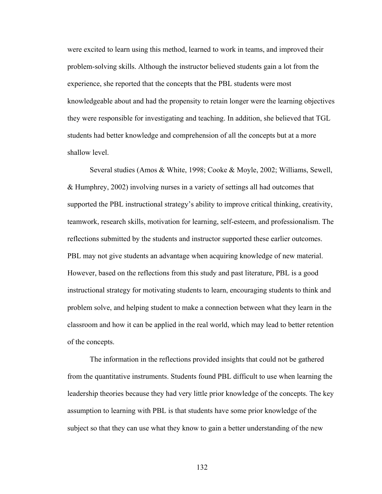were excited to learn using this method, learned to work in teams, and improved their problem-solving skills. Although the instructor believed students gain a lot from the experience, she reported that the concepts that the PBL students were most knowledgeable about and had the propensity to retain longer were the learning objectives they were responsible for investigating and teaching. In addition, she believed that TGL students had better knowledge and comprehension of all the concepts but at a more shallow level.

Several studies (Amos & White, 1998; Cooke & Moyle, 2002; Williams, Sewell, & Humphrey, 2002) involving nurses in a variety of settings all had outcomes that supported the PBL instructional strategy's ability to improve critical thinking, creativity, teamwork, research skills, motivation for learning, self-esteem, and professionalism. The reflections submitted by the students and instructor supported these earlier outcomes. PBL may not give students an advantage when acquiring knowledge of new material. However, based on the reflections from this study and past literature, PBL is a good instructional strategy for motivating students to learn, encouraging students to think and problem solve, and helping student to make a connection between what they learn in the classroom and how it can be applied in the real world, which may lead to better retention of the concepts.

The information in the reflections provided insights that could not be gathered from the quantitative instruments. Students found PBL difficult to use when learning the leadership theories because they had very little prior knowledge of the concepts. The key assumption to learning with PBL is that students have some prior knowledge of the subject so that they can use what they know to gain a better understanding of the new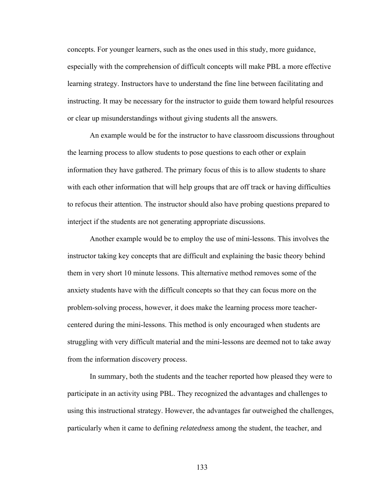concepts. For younger learners, such as the ones used in this study, more guidance, especially with the comprehension of difficult concepts will make PBL a more effective learning strategy. Instructors have to understand the fine line between facilitating and instructing. It may be necessary for the instructor to guide them toward helpful resources or clear up misunderstandings without giving students all the answers.

An example would be for the instructor to have classroom discussions throughout the learning process to allow students to pose questions to each other or explain information they have gathered. The primary focus of this is to allow students to share with each other information that will help groups that are off track or having difficulties to refocus their attention. The instructor should also have probing questions prepared to interject if the students are not generating appropriate discussions.

Another example would be to employ the use of mini-lessons. This involves the instructor taking key concepts that are difficult and explaining the basic theory behind them in very short 10 minute lessons. This alternative method removes some of the anxiety students have with the difficult concepts so that they can focus more on the problem-solving process, however, it does make the learning process more teachercentered during the mini-lessons. This method is only encouraged when students are struggling with very difficult material and the mini-lessons are deemed not to take away from the information discovery process.

In summary, both the students and the teacher reported how pleased they were to participate in an activity using PBL. They recognized the advantages and challenges to using this instructional strategy. However, the advantages far outweighed the challenges, particularly when it came to defining *relatedness* among the student, the teacher, and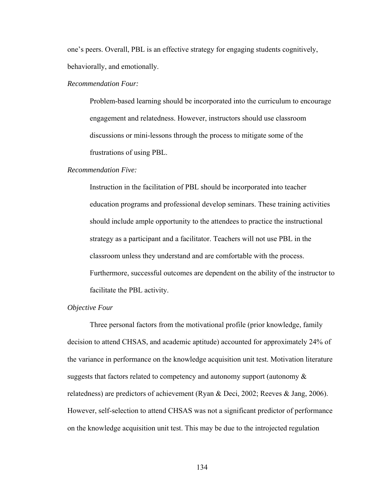one's peers. Overall, PBL is an effective strategy for engaging students cognitively, behaviorally, and emotionally.

#### *Recommendation Four:*

Problem-based learning should be incorporated into the curriculum to encourage engagement and relatedness. However, instructors should use classroom discussions or mini-lessons through the process to mitigate some of the frustrations of using PBL.

#### *Recommendation Five:*

Instruction in the facilitation of PBL should be incorporated into teacher education programs and professional develop seminars. These training activities should include ample opportunity to the attendees to practice the instructional strategy as a participant and a facilitator. Teachers will not use PBL in the classroom unless they understand and are comfortable with the process. Furthermore, successful outcomes are dependent on the ability of the instructor to facilitate the PBL activity.

#### *Objective Four*

Three personal factors from the motivational profile (prior knowledge, family decision to attend CHSAS, and academic aptitude) accounted for approximately 24% of the variance in performance on the knowledge acquisition unit test. Motivation literature suggests that factors related to competency and autonomy support (autonomy & relatedness) are predictors of achievement (Ryan & Deci, 2002; Reeves & Jang, 2006). However, self-selection to attend CHSAS was not a significant predictor of performance on the knowledge acquisition unit test. This may be due to the introjected regulation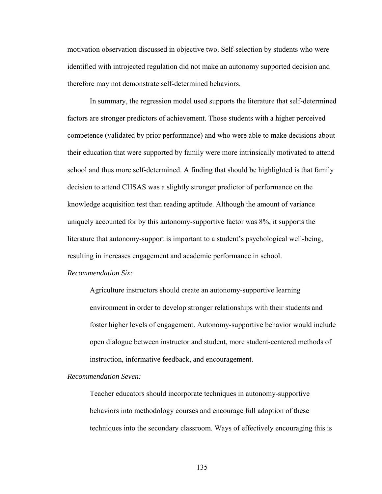motivation observation discussed in objective two. Self-selection by students who were identified with introjected regulation did not make an autonomy supported decision and therefore may not demonstrate self-determined behaviors.

In summary, the regression model used supports the literature that self-determined factors are stronger predictors of achievement. Those students with a higher perceived competence (validated by prior performance) and who were able to make decisions about their education that were supported by family were more intrinsically motivated to attend school and thus more self-determined. A finding that should be highlighted is that family decision to attend CHSAS was a slightly stronger predictor of performance on the knowledge acquisition test than reading aptitude. Although the amount of variance uniquely accounted for by this autonomy-supportive factor was 8%, it supports the literature that autonomy-support is important to a student's psychological well-being, resulting in increases engagement and academic performance in school.

#### *Recommendation Six:*

Agriculture instructors should create an autonomy-supportive learning environment in order to develop stronger relationships with their students and foster higher levels of engagement. Autonomy-supportive behavior would include open dialogue between instructor and student, more student-centered methods of instruction, informative feedback, and encouragement.

#### *Recommendation Seven:*

Teacher educators should incorporate techniques in autonomy-supportive behaviors into methodology courses and encourage full adoption of these techniques into the secondary classroom. Ways of effectively encouraging this is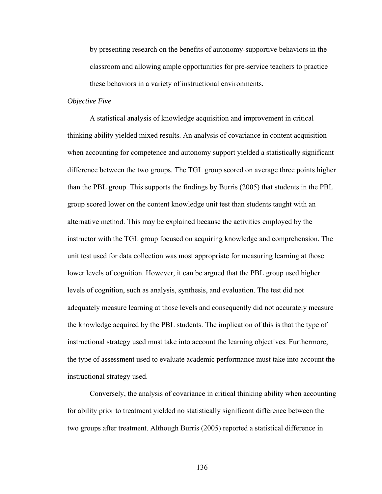by presenting research on the benefits of autonomy-supportive behaviors in the classroom and allowing ample opportunities for pre-service teachers to practice these behaviors in a variety of instructional environments.

#### *Objective Five*

 A statistical analysis of knowledge acquisition and improvement in critical thinking ability yielded mixed results. An analysis of covariance in content acquisition when accounting for competence and autonomy support yielded a statistically significant difference between the two groups. The TGL group scored on average three points higher than the PBL group. This supports the findings by Burris (2005) that students in the PBL group scored lower on the content knowledge unit test than students taught with an alternative method. This may be explained because the activities employed by the instructor with the TGL group focused on acquiring knowledge and comprehension. The unit test used for data collection was most appropriate for measuring learning at those lower levels of cognition. However, it can be argued that the PBL group used higher levels of cognition, such as analysis, synthesis, and evaluation. The test did not adequately measure learning at those levels and consequently did not accurately measure the knowledge acquired by the PBL students. The implication of this is that the type of instructional strategy used must take into account the learning objectives. Furthermore, the type of assessment used to evaluate academic performance must take into account the instructional strategy used.

Conversely, the analysis of covariance in critical thinking ability when accounting for ability prior to treatment yielded no statistically significant difference between the two groups after treatment. Although Burris (2005) reported a statistical difference in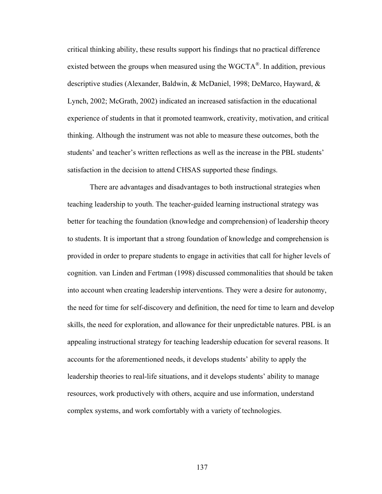critical thinking ability, these results support his findings that no practical difference existed between the groups when measured using the WGCTA®. In addition, previous descriptive studies (Alexander, Baldwin, & McDaniel, 1998; DeMarco, Hayward, & Lynch, 2002; McGrath, 2002) indicated an increased satisfaction in the educational experience of students in that it promoted teamwork, creativity, motivation, and critical thinking. Although the instrument was not able to measure these outcomes, both the students' and teacher's written reflections as well as the increase in the PBL students' satisfaction in the decision to attend CHSAS supported these findings.

There are advantages and disadvantages to both instructional strategies when teaching leadership to youth. The teacher-guided learning instructional strategy was better for teaching the foundation (knowledge and comprehension) of leadership theory to students. It is important that a strong foundation of knowledge and comprehension is provided in order to prepare students to engage in activities that call for higher levels of cognition. van Linden and Fertman (1998) discussed commonalities that should be taken into account when creating leadership interventions. They were a desire for autonomy, the need for time for self-discovery and definition, the need for time to learn and develop skills, the need for exploration, and allowance for their unpredictable natures. PBL is an appealing instructional strategy for teaching leadership education for several reasons. It accounts for the aforementioned needs, it develops students' ability to apply the leadership theories to real-life situations, and it develops students' ability to manage resources, work productively with others, acquire and use information, understand complex systems, and work comfortably with a variety of technologies.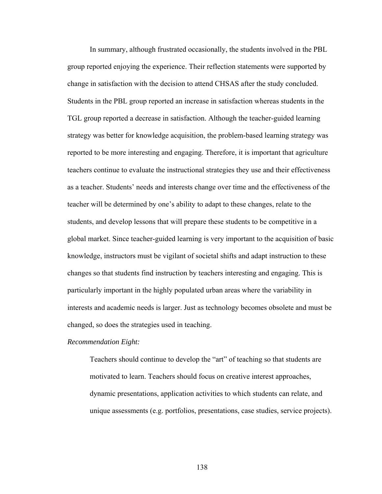In summary, although frustrated occasionally, the students involved in the PBL group reported enjoying the experience. Their reflection statements were supported by change in satisfaction with the decision to attend CHSAS after the study concluded. Students in the PBL group reported an increase in satisfaction whereas students in the TGL group reported a decrease in satisfaction. Although the teacher-guided learning strategy was better for knowledge acquisition, the problem-based learning strategy was reported to be more interesting and engaging. Therefore, it is important that agriculture teachers continue to evaluate the instructional strategies they use and their effectiveness as a teacher. Students' needs and interests change over time and the effectiveness of the teacher will be determined by one's ability to adapt to these changes, relate to the students, and develop lessons that will prepare these students to be competitive in a global market. Since teacher-guided learning is very important to the acquisition of basic knowledge, instructors must be vigilant of societal shifts and adapt instruction to these changes so that students find instruction by teachers interesting and engaging. This is particularly important in the highly populated urban areas where the variability in interests and academic needs is larger. Just as technology becomes obsolete and must be changed, so does the strategies used in teaching.

#### *Recommendation Eight:*

Teachers should continue to develop the "art" of teaching so that students are motivated to learn. Teachers should focus on creative interest approaches, dynamic presentations, application activities to which students can relate, and unique assessments (e.g. portfolios, presentations, case studies, service projects).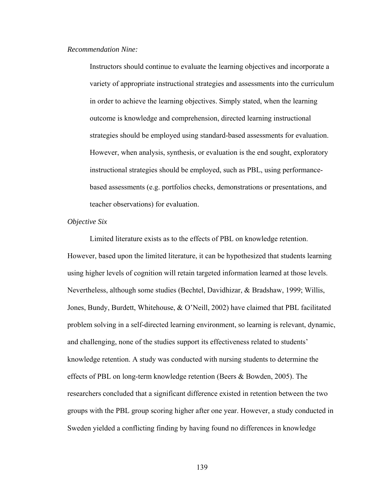#### *Recommendation Nine:*

Instructors should continue to evaluate the learning objectives and incorporate a variety of appropriate instructional strategies and assessments into the curriculum in order to achieve the learning objectives. Simply stated, when the learning outcome is knowledge and comprehension, directed learning instructional strategies should be employed using standard-based assessments for evaluation. However, when analysis, synthesis, or evaluation is the end sought, exploratory instructional strategies should be employed, such as PBL, using performancebased assessments (e.g. portfolios checks, demonstrations or presentations, and teacher observations) for evaluation.

#### *Objective Six*

 Limited literature exists as to the effects of PBL on knowledge retention. However, based upon the limited literature, it can be hypothesized that students learning using higher levels of cognition will retain targeted information learned at those levels. Nevertheless, although some studies (Bechtel, Davidhizar, & Bradshaw, 1999; Willis, Jones, Bundy, Burdett, Whitehouse, & O'Neill, 2002) have claimed that PBL facilitated problem solving in a self-directed learning environment, so learning is relevant, dynamic, and challenging, none of the studies support its effectiveness related to students' knowledge retention. A study was conducted with nursing students to determine the effects of PBL on long-term knowledge retention (Beers & Bowden, 2005). The researchers concluded that a significant difference existed in retention between the two groups with the PBL group scoring higher after one year. However, a study conducted in Sweden yielded a conflicting finding by having found no differences in knowledge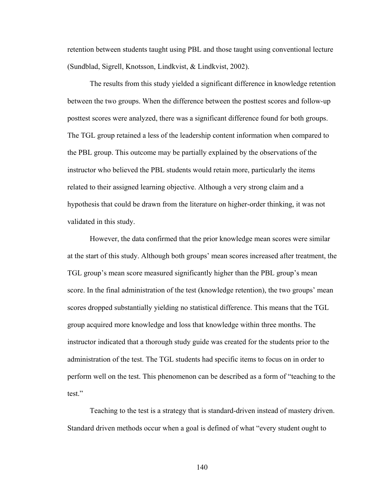retention between students taught using PBL and those taught using conventional lecture (Sundblad, Sigrell, Knotsson, Lindkvist, & Lindkvist, 2002).

 The results from this study yielded a significant difference in knowledge retention between the two groups. When the difference between the posttest scores and follow-up posttest scores were analyzed, there was a significant difference found for both groups. The TGL group retained a less of the leadership content information when compared to the PBL group. This outcome may be partially explained by the observations of the instructor who believed the PBL students would retain more, particularly the items related to their assigned learning objective. Although a very strong claim and a hypothesis that could be drawn from the literature on higher-order thinking, it was not validated in this study.

However, the data confirmed that the prior knowledge mean scores were similar at the start of this study. Although both groups' mean scores increased after treatment, the TGL group's mean score measured significantly higher than the PBL group's mean score. In the final administration of the test (knowledge retention), the two groups' mean scores dropped substantially yielding no statistical difference. This means that the TGL group acquired more knowledge and loss that knowledge within three months. The instructor indicated that a thorough study guide was created for the students prior to the administration of the test. The TGL students had specific items to focus on in order to perform well on the test. This phenomenon can be described as a form of "teaching to the test."

Teaching to the test is a strategy that is standard-driven instead of mastery driven. Standard driven methods occur when a goal is defined of what "every student ought to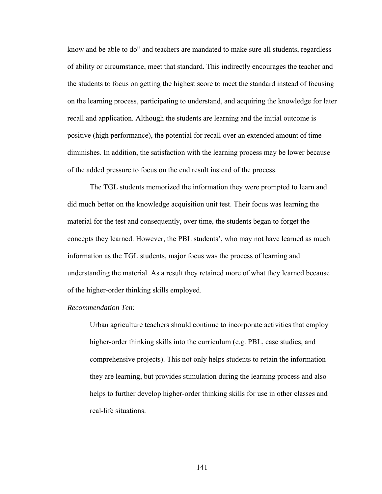know and be able to do" and teachers are mandated to make sure all students, regardless of ability or circumstance, meet that standard. This indirectly encourages the teacher and the students to focus on getting the highest score to meet the standard instead of focusing on the learning process, participating to understand, and acquiring the knowledge for later recall and application. Although the students are learning and the initial outcome is positive (high performance), the potential for recall over an extended amount of time diminishes. In addition, the satisfaction with the learning process may be lower because of the added pressure to focus on the end result instead of the process.

The TGL students memorized the information they were prompted to learn and did much better on the knowledge acquisition unit test. Their focus was learning the material for the test and consequently, over time, the students began to forget the concepts they learned. However, the PBL students', who may not have learned as much information as the TGL students, major focus was the process of learning and understanding the material. As a result they retained more of what they learned because of the higher-order thinking skills employed.

#### *Recommendation Ten:*

Urban agriculture teachers should continue to incorporate activities that employ higher-order thinking skills into the curriculum (e.g. PBL, case studies, and comprehensive projects). This not only helps students to retain the information they are learning, but provides stimulation during the learning process and also helps to further develop higher-order thinking skills for use in other classes and real-life situations.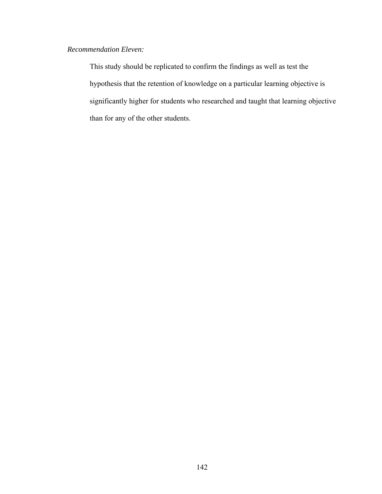# *Recommendation Eleven:*

This study should be replicated to confirm the findings as well as test the hypothesis that the retention of knowledge on a particular learning objective is significantly higher for students who researched and taught that learning objective than for any of the other students.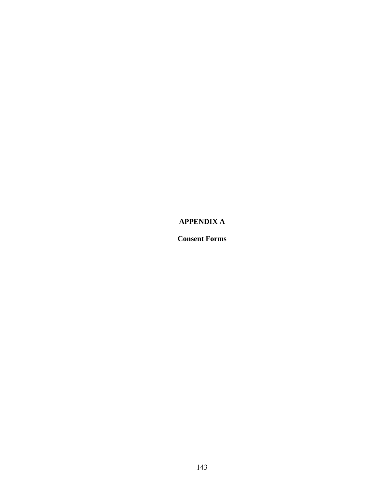# **APPENDIX A**

**Consent Forms**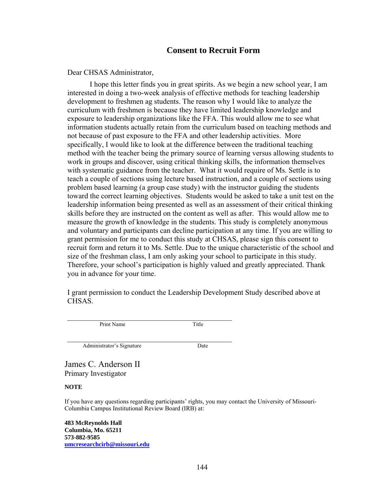# **Consent to Recruit Form**

Dear CHSAS Administrator,

 I hope this letter finds you in great spirits. As we begin a new school year, I am interested in doing a two-week analysis of effective methods for teaching leadership development to freshmen ag students. The reason why I would like to analyze the curriculum with freshmen is because they have limited leadership knowledge and exposure to leadership organizations like the FFA. This would allow me to see what information students actually retain from the curriculum based on teaching methods and not because of past exposure to the FFA and other leadership activities. More specifically, I would like to look at the difference between the traditional teaching method with the teacher being the primary source of learning versus allowing students to work in groups and discover, using critical thinking skills, the information themselves with systematic guidance from the teacher. What it would require of Ms. Settle is to teach a couple of sections using lecture based instruction, and a couple of sections using problem based learning (a group case study) with the instructor guiding the students toward the correct learning objectives. Students would be asked to take a unit test on the leadership information being presented as well as an assessment of their critical thinking skills before they are instructed on the content as well as after. This would allow me to measure the growth of knowledge in the students. This study is completely anonymous and voluntary and participants can decline participation at any time. If you are willing to grant permission for me to conduct this study at CHSAS, please sign this consent to recruit form and return it to Ms. Settle. Due to the unique characteristic of the school and size of the freshman class, I am only asking your school to participate in this study. Therefore, your school's participation is highly valued and greatly appreciated. Thank you in advance for your time.

I grant permission to conduct the Leadership Development Study described above at CHSAS.

 $\mathcal{L}_\text{max}$  , and the set of the set of the set of the set of the set of the set of the set of the set of the set of the set of the set of the set of the set of the set of the set of the set of the set of the set of the Print Name Title

Administrator's Signature Date

 $\mathcal{L}_\text{max}$  , and the set of the set of the set of the set of the set of the set of the set of the set of the set of the set of the set of the set of the set of the set of the set of the set of the set of the set of the

James C. Anderson II Primary Investigator

#### **NOTE**

If you have any questions regarding participants' rights, you may contact the University of Missouri-Columbia Campus Institutional Review Board (IRB) at:

**483 McReynolds Hall Columbia, Mo. 65211 573-882-9585 [umcresearchcirb@missouri.edu](mailto:umcresearchcirb@missouri.edu)**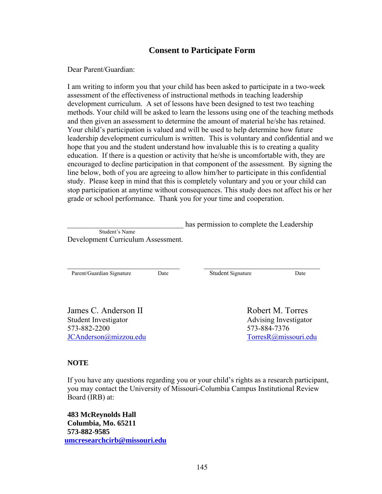# **Consent to Participate Form**

Dear Parent/Guardian:

I am writing to inform you that your child has been asked to participate in a two-week assessment of the effectiveness of instructional methods in teaching leadership development curriculum. A set of lessons have been designed to test two teaching methods. Your child will be asked to learn the lessons using one of the teaching methods and then given an assessment to determine the amount of material he/she has retained. Your child's participation is valued and will be used to help determine how future leadership development curriculum is written. This is voluntary and confidential and we hope that you and the student understand how invaluable this is to creating a quality education. If there is a question or activity that he/she is uncomfortable with, they are encouraged to decline participation in that component of the assessment. By signing the line below, both of you are agreeing to allow him/her to participate in this confidential study. Please keep in mind that this is completely voluntary and you or your child can stop participation at anytime without consequences. This study does not affect his or her grade or school performance. Thank you for your time and cooperation.

|                                    |      | has permission to complete the Leadership |                   |                       |  |
|------------------------------------|------|-------------------------------------------|-------------------|-----------------------|--|
| Student's Name                     |      |                                           |                   |                       |  |
| Development Curriculum Assessment. |      |                                           |                   |                       |  |
|                                    |      |                                           |                   |                       |  |
|                                    |      |                                           |                   |                       |  |
| Parent/Guardian Signature          | Date |                                           | Student Signature | Date                  |  |
|                                    |      |                                           |                   |                       |  |
| James C. Anderson II               |      |                                           |                   | Robert M. Torres      |  |
| Student Investigator               |      |                                           |                   | Advising Investigator |  |
| 573-882-2200                       |      |                                           | 573-884-7376      |                       |  |
| JCAnderson@mizzou.edu              |      |                                           |                   | TorresR@missouri.edu  |  |
|                                    |      |                                           |                   |                       |  |

## **NOTE**

If you have any questions regarding you or your child's rights as a research participant, you may contact the University of Missouri-Columbia Campus Institutional Review Board (IRB) at:

**483 McReynolds Hall Columbia, Mo. 65211 573-882-9585 [umcresearchcirb@missouri.edu](mailto:umcresearchcirb@missouri.edu)**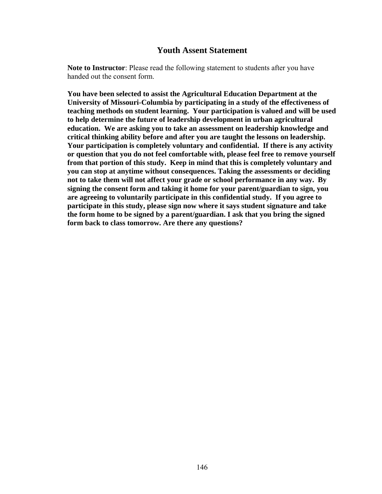# **Youth Assent Statement**

**Note to Instructor**: Please read the following statement to students after you have handed out the consent form.

**You have been selected to assist the Agricultural Education Department at the University of Missouri-Columbia by participating in a study of the effectiveness of teaching methods on student learning. Your participation is valued and will be used to help determine the future of leadership development in urban agricultural education. We are asking you to take an assessment on leadership knowledge and critical thinking ability before and after you are taught the lessons on leadership. Your participation is completely voluntary and confidential. If there is any activity or question that you do not feel comfortable with, please feel free to remove yourself from that portion of this study. Keep in mind that this is completely voluntary and you can stop at anytime without consequences. Taking the assessments or deciding not to take them will not affect your grade or school performance in any way. By signing the consent form and taking it home for your parent/guardian to sign, you are agreeing to voluntarily participate in this confidential study. If you agree to participate in this study, please sign now where it says student signature and take the form home to be signed by a parent/guardian. I ask that you bring the signed form back to class tomorrow. Are there any questions?**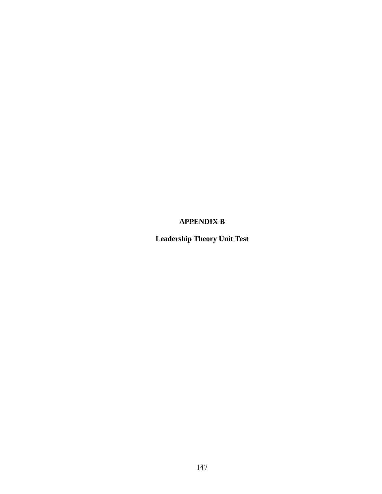# **APPENDIX B**

**Leadership Theory Unit Test**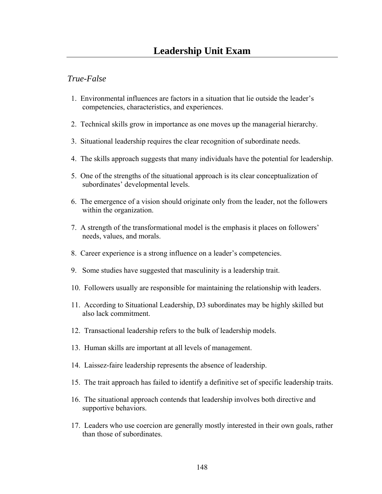# *True-False*

- 1. Environmental influences are factors in a situation that lie outside the leader's competencies, characteristics, and experiences.
- 2. Technical skills grow in importance as one moves up the managerial hierarchy.
- 3. Situational leadership requires the clear recognition of subordinate needs.
- 4. The skills approach suggests that many individuals have the potential for leadership.
- 5. One of the strengths of the situational approach is its clear conceptualization of subordinates' developmental levels.
- 6. The emergence of a vision should originate only from the leader, not the followers within the organization.
- 7. A strength of the transformational model is the emphasis it places on followers' needs, values, and morals.
- 8. Career experience is a strong influence on a leader's competencies.
- 9. Some studies have suggested that masculinity is a leadership trait.
- 10. Followers usually are responsible for maintaining the relationship with leaders.
- 11. According to Situational Leadership, D3 subordinates may be highly skilled but also lack commitment.
- 12. Transactional leadership refers to the bulk of leadership models.
- 13. Human skills are important at all levels of management.
- 14. Laissez-faire leadership represents the absence of leadership.
- 15. The trait approach has failed to identify a definitive set of specific leadership traits.
- 16. The situational approach contends that leadership involves both directive and supportive behaviors.
- 17. Leaders who use coercion are generally mostly interested in their own goals, rather than those of subordinates.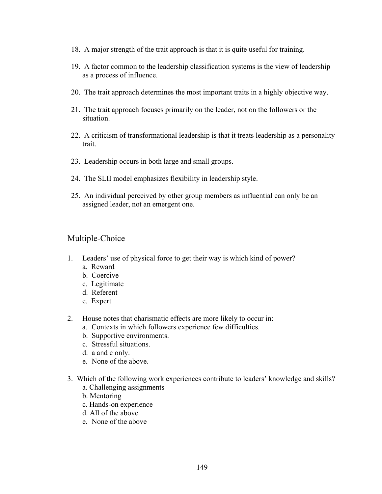- 18. A major strength of the trait approach is that it is quite useful for training.
- 19. A factor common to the leadership classification systems is the view of leadership as a process of influence.
- 20. The trait approach determines the most important traits in a highly objective way.
- 21. The trait approach focuses primarily on the leader, not on the followers or the situation.
- 22. A criticism of transformational leadership is that it treats leadership as a personality trait.
- 23. Leadership occurs in both large and small groups.
- 24. The SLII model emphasizes flexibility in leadership style.
- 25. An individual perceived by other group members as influential can only be an assigned leader, not an emergent one.

# Multiple-Choice

- 1. Leaders' use of physical force to get their way is which kind of power?
	- a. Reward
	- b. Coercive
	- c. Legitimate
	- d. Referent
	- e. Expert
- 2. House notes that charismatic effects are more likely to occur in:
	- a. Contexts in which followers experience few difficulties.
	- b. Supportive environments.
	- c. Stressful situations.
	- d. a and c only.
	- e. None of the above.
- 3. Which of the following work experiences contribute to leaders' knowledge and skills?
	- a. Challenging assignments
	- b. Mentoring
	- c. Hands-on experience
	- d. All of the above
	- e. None of the above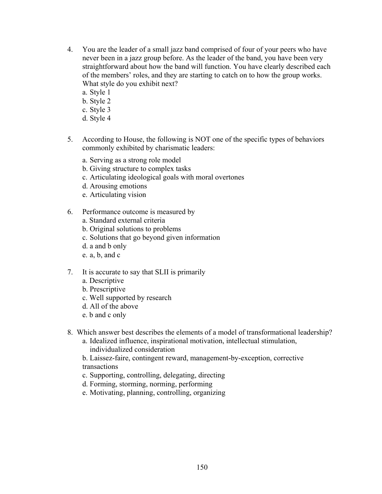- 4. You are the leader of a small jazz band comprised of four of your peers who have never been in a jazz group before. As the leader of the band, you have been very straightforward about how the band will function. You have clearly described each of the members' roles, and they are starting to catch on to how the group works. What style do you exhibit next?
	- a. Style 1
	- b. Style 2
	- c. Style 3
	- d. Style 4
- 5. According to House, the following is NOT one of the specific types of behaviors commonly exhibited by charismatic leaders:
	- a. Serving as a strong role model
	- b. Giving structure to complex tasks
	- c. Articulating ideological goals with moral overtones
	- d. Arousing emotions
	- e. Articulating vision
- 6. Performance outcome is measured by
	- a. Standard external criteria
	- b. Original solutions to problems
	- c. Solutions that go beyond given information
	- d. a and b only
	- e. a, b, and c
- 7. It is accurate to say that SLII is primarily
	- a. Descriptive
	- b. Prescriptive
	- c. Well supported by research
	- d. All of the above
	- e. b and c only
- 8. Which answer best describes the elements of a model of transformational leadership?
	- a. Idealized influence, inspirational motivation, intellectual stimulation, individualized consideration
	- b. Laissez-faire, contingent reward, management-by-exception, corrective transactions
	- c. Supporting, controlling, delegating, directing
	- d. Forming, storming, norming, performing
	- e. Motivating, planning, controlling, organizing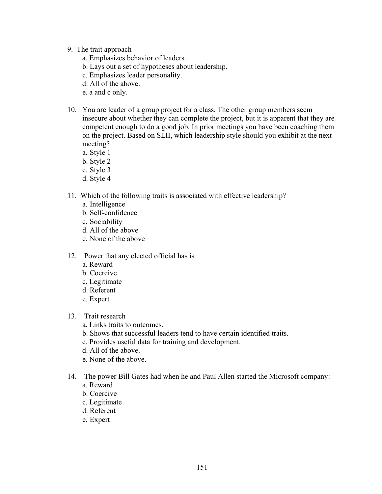- 9. The trait approach
	- a. Emphasizes behavior of leaders.
	- b. Lays out a set of hypotheses about leadership.
	- c. Emphasizes leader personality.
	- d. All of the above.
	- e. a and c only.
- 10. You are leader of a group project for a class. The other group members seem insecure about whether they can complete the project, but it is apparent that they are competent enough to do a good job. In prior meetings you have been coaching them on the project. Based on SLII, which leadership style should you exhibit at the next meeting?
	- a. Style 1
	- b. Style 2
	- c. Style 3
	- d. Style 4
- 11. Which of the following traits is associated with effective leadership?
	- a. Intelligence
	- b. Self-confidence
	- c. Sociability
	- d. All of the above
	- e. None of the above
- 12. Power that any elected official has is
	- a. Reward
	- b. Coercive
	- c. Legitimate
	- d. Referent
	- e. Expert
- 13. Trait research
	- a. Links traits to outcomes.
	- b. Shows that successful leaders tend to have certain identified traits.
	- c. Provides useful data for training and development.
	- d. All of the above.
	- e. None of the above.
- 14. The power Bill Gates had when he and Paul Allen started the Microsoft company: a. Reward
	- b. Coercive
	-
	- c. Legitimate d. Referent
	- e. Expert
-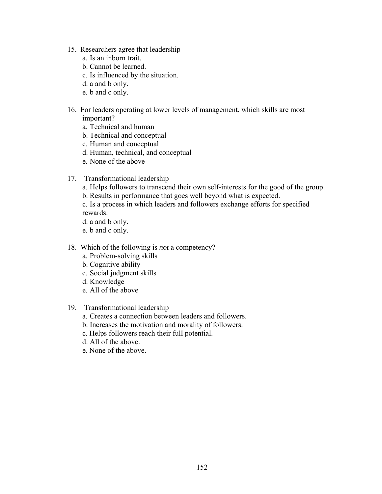- 15. Researchers agree that leadership
	- a. Is an inborn trait.
	- b. Cannot be learned.
	- c. Is influenced by the situation.
	- d. a and b only.
	- e. b and c only.
- 16. For leaders operating at lower levels of management, which skills are most important?
	- a. Technical and human
	- b. Technical and conceptual
	- c. Human and conceptual
	- d. Human, technical, and conceptual
	- e. None of the above
- 17. Transformational leadership
	- a. Helps followers to transcend their own self-interests for the good of the group.
	- b. Results in performance that goes well beyond what is expected.

 c. Is a process in which leaders and followers exchange efforts for specified rewards.

- d. a and b only.
- e. b and c only.
- 18. Which of the following is *not* a competency?
	- a. Problem-solving skills
	- b. Cognitive ability
	- c. Social judgment skills
	- d. Knowledge
	- e. All of the above
- 19. Transformational leadership
	- a. Creates a connection between leaders and followers.
	- b. Increases the motivation and morality of followers.
	- c. Helps followers reach their full potential.
	- d. All of the above.
	- e. None of the above.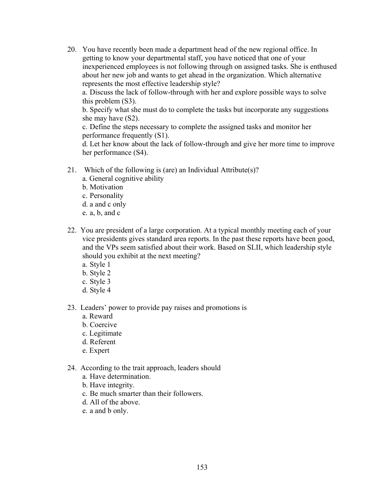20. You have recently been made a department head of the new regional office. In getting to know your departmental staff, you have noticed that one of your inexperienced employees is not following through on assigned tasks. She is enthused about her new job and wants to get ahead in the organization. Which alternative represents the most effective leadership style?

 a. Discuss the lack of follow-through with her and explore possible ways to solve this problem (S3).

 b. Specify what she must do to complete the tasks but incorporate any suggestions she may have (S2).

 c. Define the steps necessary to complete the assigned tasks and monitor her performance frequently (S1).

 d. Let her know about the lack of follow-through and give her more time to improve her performance (S4).

- 21. Which of the following is (are) an Individual Attribute(s)?
	- a. General cognitive ability
	- b. Motivation
	- c. Personality
	- d. a and c only
	- e. a, b, and c
- 22. You are president of a large corporation. At a typical monthly meeting each of your vice presidents gives standard area reports. In the past these reports have been good, and the VPs seem satisfied about their work. Based on SLII, which leadership style should you exhibit at the next meeting?
	- a. Style 1
	- b. Style 2
	- c. Style 3
	- d. Style 4

23. Leaders' power to provide pay raises and promotions is

- a. Reward
- b. Coercive
- c. Legitimate
- d. Referent
- e. Expert
- 24. According to the trait approach, leaders should
	- a. Have determination.
	- b. Have integrity.
	- c. Be much smarter than their followers.
	- d. All of the above.
	- e. a and b only.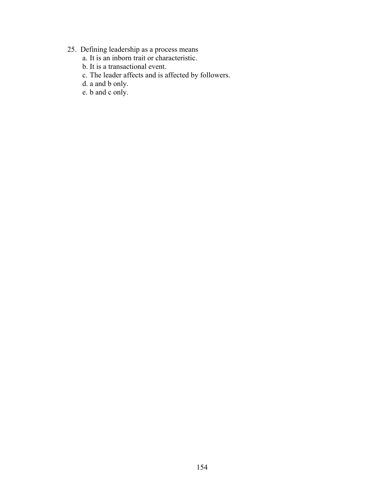- 25. Defining leadership as a process means
- a. It is an inborn trait or characteristic.
	- b. It is a transactional event.
	- c. The leader affects and is affected by followers.
	- d. a and b only.
	- e. b and c only.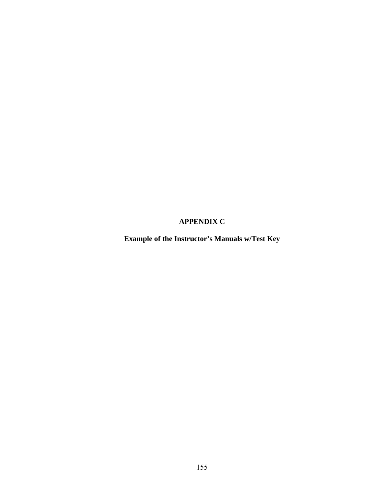**APPENDIX C** 

**Example of the Instructor's Manuals w/Test Key**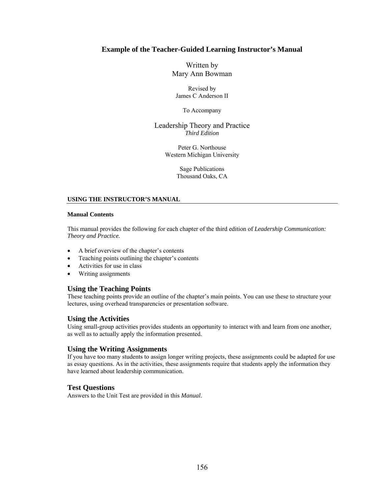#### **Example of the Teacher-Guided Learning Instructor's Manual**

Written by Mary Ann Bowman

Revised by James C Anderson II

To Accompany

Leadership Theory and Practice *Third Edition* 

> Peter G. Northouse Western Michigan University

> > Sage Publications Thousand Oaks, CA

#### **USING THE INSTRUCTOR'S MANUAL**

#### **Manual Contents**

This manual provides the following for each chapter of the third edition of *Leadership Communication: Theory and Practice.* 

- A brief overview of the chapter's contents
- Teaching points outlining the chapter's contents
- Activities for use in class
- Writing assignments

#### **Using the Teaching Points**

These teaching points provide an outline of the chapter's main points. You can use these to structure your lectures, using overhead transparencies or presentation software.

#### **Using the Activities**

Using small-group activities provides students an opportunity to interact with and learn from one another, as well as to actually apply the information presented.

#### **Using the Writing Assignments**

If you have too many students to assign longer writing projects, these assignments could be adapted for use as essay questions. As in the activities, these assignments require that students apply the information they have learned about leadership communication.

#### **Test Questions**

Answers to the Unit Test are provided in this *Manual*.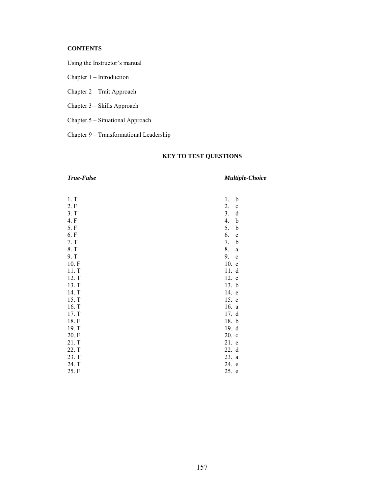## **CONTENTS**

Using the Instructor's manual

Chapter 1 – Introduction

Chapter 2 – Trait Approach

Chapter 3 – Skills Approach

Chapter 5 – Situational Approach

Chapter 9 – Transformational Leadership

# **KEY TO TEST QUESTIONS**

## *True-False Multiple-Choice*

| 1. T  | 1.    | $\mathbf b$ |
|-------|-------|-------------|
| 2. F  | 2.    | $\mathbf c$ |
| 3. T  | 3.    | d           |
| 4. F  | 4.    | $\mathbf b$ |
| 5. F  | 5.    | $\mathbf b$ |
| 6. F  | 6.    | e           |
| 7. T  | 7.    | $\mathbf b$ |
| 8. T  | 8.    | $\rm{a}$    |
| 9. T  | 9.    | $\mathbf c$ |
| 10.F  | 10. c |             |
| 11. T | 11. d |             |
| 12. T | 12. c |             |
| 13. T | 13. b |             |
| 14. T | 14. e |             |
| 15. T | 15. c |             |
| 16. T | 16. a |             |
| 17. T | 17. d |             |
| 18. F | 18. b |             |
| 19. T | 19. d |             |
| 20. F | 20. c |             |
| 21. T | 21. e |             |
| 22. T | 22. d |             |
| 23. T | 23. a |             |
| 24. T | 24. e |             |
| 25. F | 25. e |             |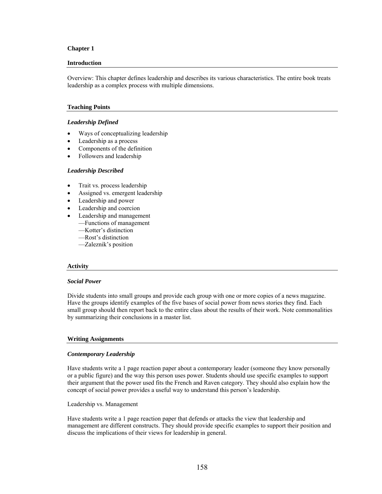#### **Chapter 1**

#### **Introduction**

Overview: This chapter defines leadership and describes its various characteristics. The entire book treats leadership as a complex process with multiple dimensions.

#### **Teaching Points**

#### *Leadership Defined*

- Ways of conceptualizing leadership
- Leadership as a process
- Components of the definition
- Followers and leadership

#### *Leadership Described*

- Trait vs. process leadership
- Assigned vs. emergent leadership
- Leadership and power
- Leadership and coercion
- Leadership and management
	- —Functions of management
	- —Kotter's distinction
	- —Rost's distinction
	- —Zaleznik's position

#### **Activity**

#### *Social Power*

Divide students into small groups and provide each group with one or more copies of a news magazine. Have the groups identify examples of the five bases of social power from news stories they find. Each small group should then report back to the entire class about the results of their work. Note commonalities by summarizing their conclusions in a master list.

#### **Writing Assignments**

#### *Contemporary Leadership*

Have students write a 1 page reaction paper about a contemporary leader (someone they know personally or a public figure) and the way this person uses power. Students should use specific examples to support their argument that the power used fits the French and Raven category. They should also explain how the concept of social power provides a useful way to understand this person's leadership.

#### Leadership vs. Management

Have students write a 1 page reaction paper that defends or attacks the view that leadership and management are different constructs. They should provide specific examples to support their position and discuss the implications of their views for leadership in general.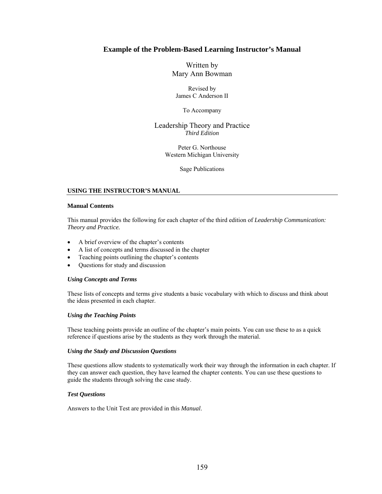## **Example of the Problem-Based Learning Instructor's Manual**

Written by Mary Ann Bowman

Revised by James C Anderson II

To Accompany

Leadership Theory and Practice *Third Edition* 

> Peter G. Northouse Western Michigan University

> > Sage Publications

#### **USING THE INSTRUCTOR'S MANUAL**

#### **Manual Contents**

This manual provides the following for each chapter of the third edition of *Leadership Communication: Theory and Practice.* 

- A brief overview of the chapter's contents
- A list of concepts and terms discussed in the chapter
- Teaching points outlining the chapter's contents
- Questions for study and discussion

#### *Using Concepts and Terms*

These lists of concepts and terms give students a basic vocabulary with which to discuss and think about the ideas presented in each chapter.

#### *Using the Teaching Points*

These teaching points provide an outline of the chapter's main points. You can use these to as a quick reference if questions arise by the students as they work through the material.

#### *Using the Study and Discussion Questions*

These questions allow students to systematically work their way through the information in each chapter. If they can answer each question, they have learned the chapter contents. You can use these questions to guide the students through solving the case study.

#### *Test Questions*

Answers to the Unit Test are provided in this *Manual*.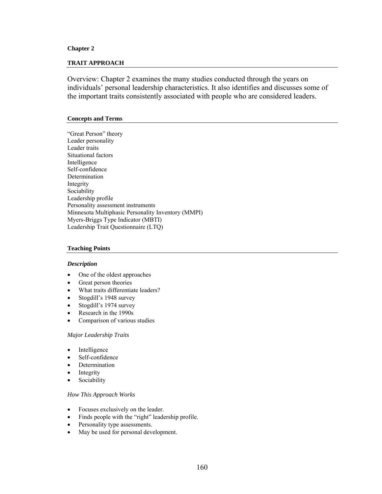#### **Chapter 2**

#### **TRAIT APPROACH**

Overview: Chapter 2 examines the many studies conducted through the years on individuals' personal leadership characteristics. It also identifies and discusses some of the important traits consistently associated with people who are considered leaders.

#### **Concepts and Terms**

"Great Person" theory Leader personality Leader traits Situational factors Intelligence Self-confidence **Determination** Integrity Sociability Leadership profile Personality assessment instruments Minnesota Multiphasic Personality Inventory (MMPI) Myers-Briggs Type Indicator (MBTI) Leadership Trait Questionnaire (LTQ)

#### **Teaching Points**

#### *Description*

- One of the oldest approaches
- Great person theories
- What traits differentiate leaders?
- Stogdill's 1948 survey
- Stogdill's 1974 survey
- Research in the 1990s
- Comparison of various studies

#### *Major Leadership Traits*

- Intelligence
- Self-confidence
- **Determination**
- Integrity
- **Sociability**

#### *How This Approach Works*

- Focuses exclusively on the leader.
- Finds people with the "right" leadership profile.
- Personality type assessments.
- May be used for personal development.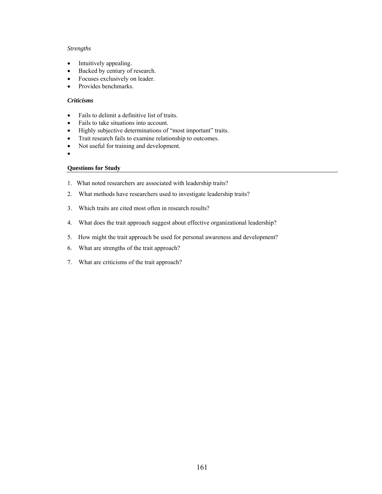#### *Strengths*

- Intuitively appealing.
- Backed by century of research.
- Focuses exclusively on leader.
- Provides benchmarks.

#### *Criticisms*

- Fails to delimit a definitive list of traits.
- Fails to take situations into account.
- Highly subjective determinations of "most important" traits.
- Trait research fails to examine relationship to outcomes.
- Not useful for training and development.
- •

#### **Questions for Study**

- 1. What noted researchers are associated with leadership traits?
- 2. What methods have researchers used to investigate leadership traits?
- 3. Which traits are cited most often in research results?
- 4. What does the trait approach suggest about effective organizational leadership?
- 5. How might the trait approach be used for personal awareness and development?
- 6. What are strengths of the trait approach?
- 7. What are criticisms of the trait approach?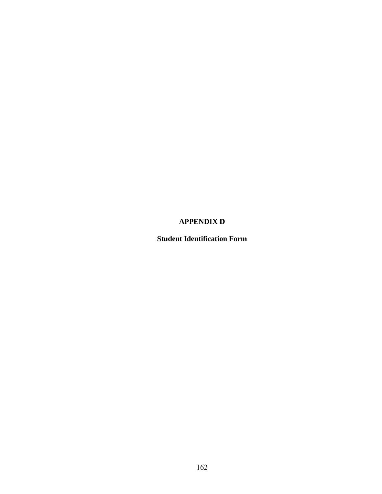# **APPENDIX D**

**Student Identification Form**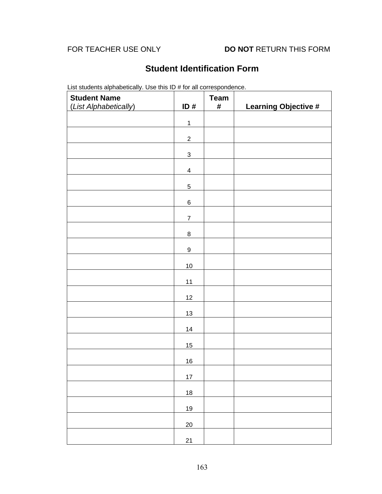# FOR TEACHER USE ONLY **DO NOT** RETURN THIS FORM

# **Student Identification Form**

List students alphabetically. Use this ID # for all correspondence.

| <b>Student Name</b>   |                           | <b>Team</b> |                             |
|-----------------------|---------------------------|-------------|-----------------------------|
| (List Alphabetically) | ID#                       | #           | <b>Learning Objective #</b> |
|                       | $\mathbf{1}$              |             |                             |
|                       |                           |             |                             |
|                       | $\boldsymbol{2}$          |             |                             |
|                       | $\ensuremath{\mathsf{3}}$ |             |                             |
|                       | $\overline{\mathbf{4}}$   |             |                             |
|                       | $\,$ 5 $\,$               |             |                             |
|                       | $6\phantom{a}$            |             |                             |
|                       | $\boldsymbol{7}$          |             |                             |
|                       | $\bf 8$                   |             |                             |
|                       | $\boldsymbol{9}$          |             |                             |
|                       |                           |             |                             |
|                       | $10$                      |             |                             |
|                       | $11$                      |             |                             |
|                       | 12                        |             |                             |
|                       | 13                        |             |                             |
|                       | 14                        |             |                             |
|                       | 15                        |             |                             |
|                       | 16                        |             |                             |
|                       |                           |             |                             |
|                       | $17$                      |             |                             |
|                       | 18                        |             |                             |
|                       | 19                        |             |                             |
|                       | $20\,$                    |             |                             |
|                       | 21                        |             |                             |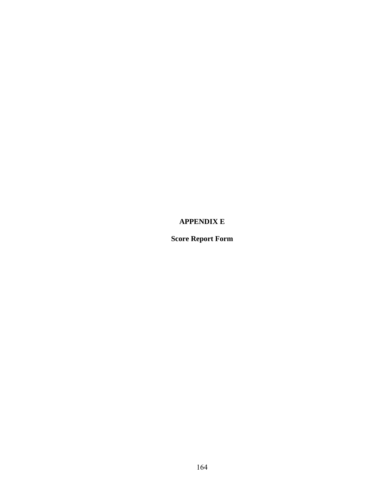# **APPENDIX E**

**Score Report Form**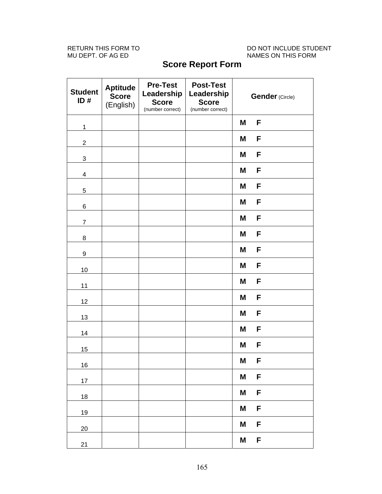#### RETURN THIS FORM TO DO NOT INCLUDE STUDENT<br>
MU DEPT. OF AG ED NAMES ON THIS FORM

# **Score Report Form**

| <b>Student</b><br>ID#     | <b>Aptitude</b><br><b>Score</b><br>(English) | <b>Pre-Test</b><br>Leadership<br><b>Score</b><br>(number correct) | <b>Post-Test</b><br>Leadership<br><b>Score</b><br>(number correct) | <b>Gender</b> (Circle) |
|---------------------------|----------------------------------------------|-------------------------------------------------------------------|--------------------------------------------------------------------|------------------------|
| $\mathbf{1}$              |                                              |                                                                   |                                                                    | M<br>F                 |
| $\boldsymbol{2}$          |                                              |                                                                   |                                                                    | M<br>F                 |
| $\ensuremath{\mathsf{3}}$ |                                              |                                                                   |                                                                    | M<br>F                 |
| $\overline{\mathcal{A}}$  |                                              |                                                                   |                                                                    | M<br>F                 |
| 5                         |                                              |                                                                   |                                                                    | M<br>F                 |
| 6                         |                                              |                                                                   |                                                                    | M<br>F                 |
| $\overline{7}$            |                                              |                                                                   |                                                                    | M<br>F                 |
| 8                         |                                              |                                                                   |                                                                    | M<br>F                 |
| $\boldsymbol{9}$          |                                              |                                                                   |                                                                    | M<br>F                 |
| 10                        |                                              |                                                                   |                                                                    | M<br>F                 |
| 11                        |                                              |                                                                   |                                                                    | M<br>F                 |
| 12                        |                                              |                                                                   |                                                                    | M<br>F                 |
| 13                        |                                              |                                                                   |                                                                    | M<br>F                 |
| 14                        |                                              |                                                                   |                                                                    | M<br>F                 |
| 15                        |                                              |                                                                   |                                                                    | M<br>F                 |
| 16                        |                                              |                                                                   |                                                                    | M<br>F                 |
| 17                        |                                              |                                                                   |                                                                    | M<br>F                 |
| 18                        |                                              |                                                                   |                                                                    | M<br>F                 |
| 19                        |                                              |                                                                   |                                                                    | M<br>F                 |
| 20                        |                                              |                                                                   |                                                                    | M<br>F                 |
| 21                        |                                              |                                                                   |                                                                    | M<br>F                 |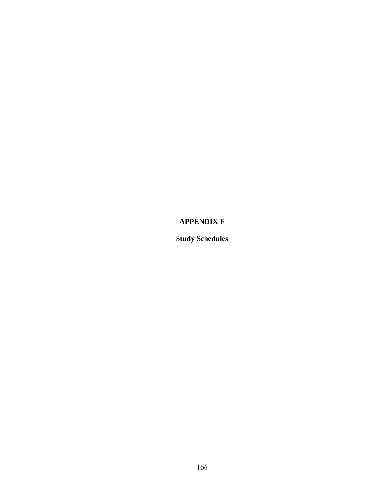# **APPENDIX F**

**Study Schedules**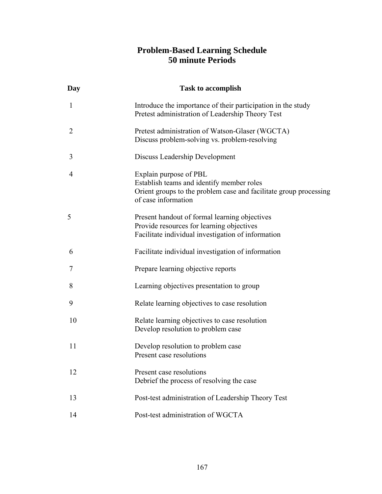# **Problem-Based Learning Schedule 50 minute Periods**

| Day | <b>Task to accomplish</b>                                                                                                                                       |
|-----|-----------------------------------------------------------------------------------------------------------------------------------------------------------------|
| 1   | Introduce the importance of their participation in the study<br>Pretest administration of Leadership Theory Test                                                |
| 2   | Pretest administration of Watson-Glaser (WGCTA)<br>Discuss problem-solving vs. problem-resolving                                                                |
| 3   | Discuss Leadership Development                                                                                                                                  |
| 4   | Explain purpose of PBL<br>Establish teams and identify member roles<br>Orient groups to the problem case and facilitate group processing<br>of case information |
| 5   | Present handout of formal learning objectives<br>Provide resources for learning objectives<br>Facilitate individual investigation of information                |
| 6   | Facilitate individual investigation of information                                                                                                              |
| 7   | Prepare learning objective reports                                                                                                                              |
| 8   | Learning objectives presentation to group                                                                                                                       |
| 9   | Relate learning objectives to case resolution                                                                                                                   |
| 10  | Relate learning objectives to case resolution<br>Develop resolution to problem case                                                                             |
| 11  | Develop resolution to problem case<br>Present case resolutions                                                                                                  |
| 12  | Present case resolutions<br>Debrief the process of resolving the case                                                                                           |
| 13  | Post-test administration of Leadership Theory Test                                                                                                              |
| 14  | Post-test administration of WGCTA                                                                                                                               |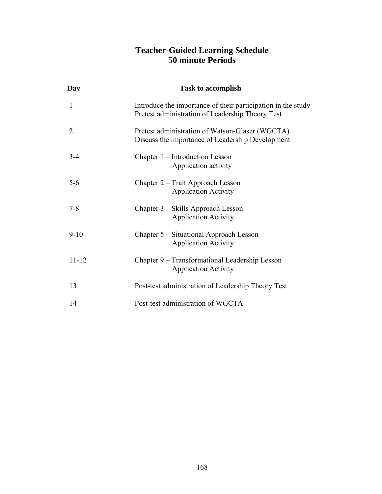# **Teacher-Guided Learning Schedule 50 minute Periods**

| Day            | <b>Task to accomplish</b>                                                                                        |  |  |  |  |  |  |  |
|----------------|------------------------------------------------------------------------------------------------------------------|--|--|--|--|--|--|--|
| 1              | Introduce the importance of their participation in the study<br>Pretest administration of Leadership Theory Test |  |  |  |  |  |  |  |
| $\overline{2}$ | Pretest administration of Watson-Glaser (WGCTA)<br>Discuss the importance of Leadership Development              |  |  |  |  |  |  |  |
| $3 - 4$        | Chapter 1 – Introduction Lesson<br>Application activity                                                          |  |  |  |  |  |  |  |
| $5 - 6$        | Chapter 2 – Trait Approach Lesson<br><b>Application Activity</b>                                                 |  |  |  |  |  |  |  |
| $7 - 8$        | Chapter 3 – Skills Approach Lesson<br><b>Application Activity</b>                                                |  |  |  |  |  |  |  |
| $9 - 10$       | Chapter 5 – Situational Approach Lesson<br><b>Application Activity</b>                                           |  |  |  |  |  |  |  |
| $11 - 12$      | Chapter 9 – Transformational Leadership Lesson<br><b>Application Activity</b>                                    |  |  |  |  |  |  |  |
| 13             | Post-test administration of Leadership Theory Test                                                               |  |  |  |  |  |  |  |
| 14             | Post-test administration of WGCTA                                                                                |  |  |  |  |  |  |  |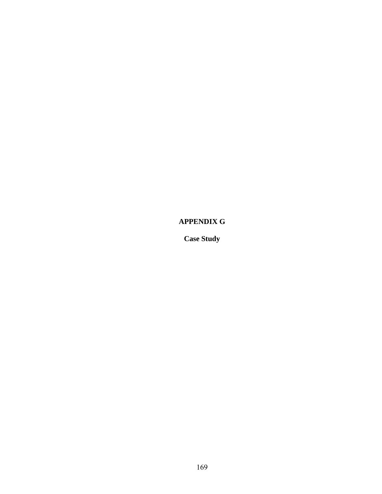## **APPENDIX G**

**Case Study**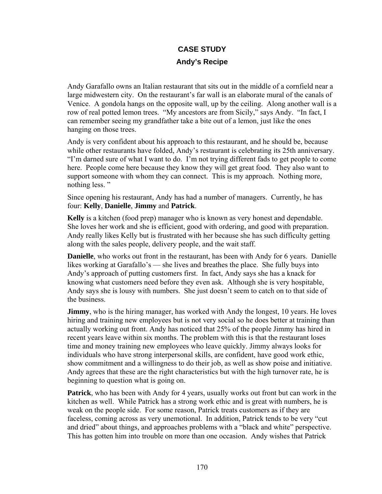# **CASE STUDY Andy's Recipe**

Andy Garafallo owns an Italian restaurant that sits out in the middle of a cornfield near a large midwestern city. On the restaurant's far wall is an elaborate mural of the canals of Venice. A gondola hangs on the opposite wall, up by the ceiling. Along another wall is a row of real potted lemon trees. "My ancestors are from Sicily," says Andy. "In fact, I can remember seeing my grandfather take a bite out of a lemon, just like the ones hanging on those trees.

Andy is very confident about his approach to this restaurant, and he should be, because while other restaurants have folded, Andy's restaurant is celebrating its 25th anniversary. "I'm darned sure of what I want to do. I'm not trying different fads to get people to come here. People come here because they know they will get great food. They also want to support someone with whom they can connect. This is my approach. Nothing more, nothing less. "

Since opening his restaurant, Andy has had a number of managers. Currently, he has four: **Kelly**, **Danielle**, **Jimmy** and **Patrick**.

**Kelly** is a kitchen (food prep) manager who is known as very honest and dependable. She loves her work and she is efficient, good with ordering, and good with preparation. Andy really likes Kelly but is frustrated with her because she has such difficulty getting along with the sales people, delivery people, and the wait staff.

**Danielle**, who works out front in the restaurant, has been with Andy for 6 years. Danielle likes working at Garafallo's — she lives and breathes the place. She fully buys into Andy's approach of putting customers first. In fact, Andy says she has a knack for knowing what customers need before they even ask. Although she is very hospitable, Andy says she is lousy with numbers. She just doesn't seem to catch on to that side of the business.

**Jimmy**, who is the hiring manager, has worked with Andy the longest, 10 years. He loves hiring and training new employees but is not very social so he does better at training than actually working out front. Andy has noticed that 25% of the people Jimmy has hired in recent years leave within six months. The problem with this is that the restaurant loses time and money training new employees who leave quickly. Jimmy always looks for individuals who have strong interpersonal skills, are confident, have good work ethic, show commitment and a willingness to do their job, as well as show poise and initiative. Andy agrees that these are the right characteristics but with the high turnover rate, he is beginning to question what is going on.

**Patrick**, who has been with Andy for 4 years, usually works out front but can work in the kitchen as well. While Patrick has a strong work ethic and is great with numbers, he is weak on the people side. For some reason, Patrick treats customers as if they are faceless, coming across as very unemotional. In addition, Patrick tends to be very "cut and dried" about things, and approaches problems with a "black and white" perspective. This has gotten him into trouble on more than one occasion. Andy wishes that Patrick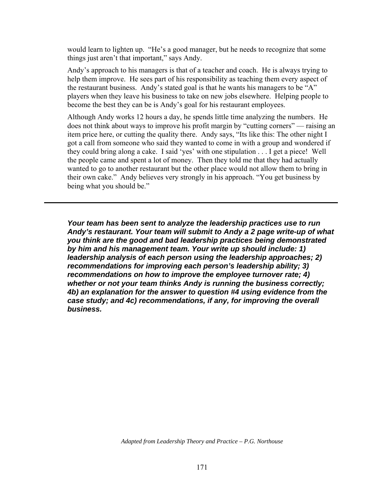would learn to lighten up. "He's a good manager, but he needs to recognize that some things just aren't that important," says Andy.

Andy's approach to his managers is that of a teacher and coach. He is always trying to help them improve. He sees part of his responsibility as teaching them every aspect of the restaurant business. Andy's stated goal is that he wants his managers to be "A" players when they leave his business to take on new jobs elsewhere. Helping people to become the best they can be is Andy's goal for his restaurant employees.

Although Andy works 12 hours a day, he spends little time analyzing the numbers. He does not think about ways to improve his profit margin by "cutting corners" — raising an item price here, or cutting the quality there. Andy says, "Its like this: The other night I got a call from someone who said they wanted to come in with a group and wondered if they could bring along a cake. I said 'yes' with one stipulation . . . I get a piece! Well the people came and spent a lot of money. Then they told me that they had actually wanted to go to another restaurant but the other place would not allow them to bring in their own cake." Andy believes very strongly in his approach. "You get business by being what you should be."

*Your team has been sent to analyze the leadership practices use to run Andy's restaurant. Your team will submit to Andy a 2 page write-up of what you think are the good and bad leadership practices being demonstrated by him and his management team. Your write up should include: 1) leadership analysis of each person using the leadership approaches; 2) recommendations for improving each person's leadership ability; 3) recommendations on how to improve the employee turnover rate; 4) whether or not your team thinks Andy is running the business correctly; 4b) an explanation for the answer to question #4 using evidence from the case study; and 4c) recommendations, if any, for improving the overall business.*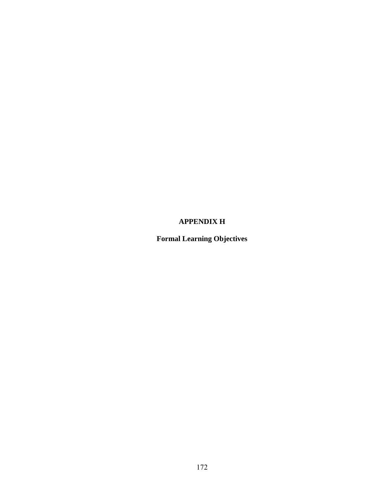## **APPENDIX H**

**Formal Learning Objectives**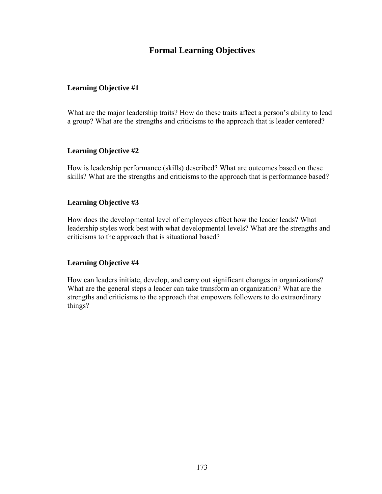## **Formal Learning Objectives**

#### **Learning Objective #1**

What are the major leadership traits? How do these traits affect a person's ability to lead a group? What are the strengths and criticisms to the approach that is leader centered?

#### **Learning Objective #2**

How is leadership performance (skills) described? What are outcomes based on these skills? What are the strengths and criticisms to the approach that is performance based?

#### **Learning Objective #3**

How does the developmental level of employees affect how the leader leads? What leadership styles work best with what developmental levels? What are the strengths and criticisms to the approach that is situational based?

#### **Learning Objective #4**

How can leaders initiate, develop, and carry out significant changes in organizations? What are the general steps a leader can take transform an organization? What are the strengths and criticisms to the approach that empowers followers to do extraordinary things?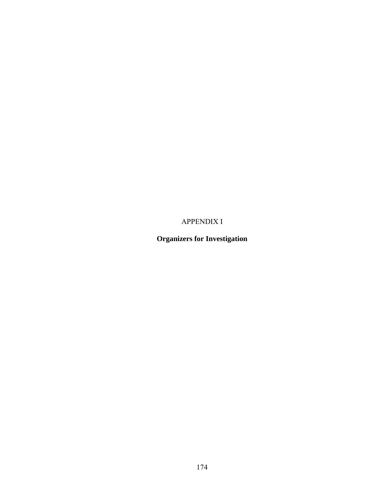APPENDIX I

**Organizers for Investigation**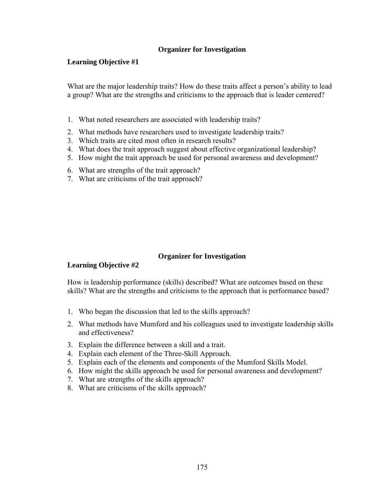### **Organizer for Investigation**

#### **Learning Objective #1**

What are the major leadership traits? How do these traits affect a person's ability to lead a group? What are the strengths and criticisms to the approach that is leader centered?

- 1. What noted researchers are associated with leadership traits?
- 2. What methods have researchers used to investigate leadership traits?
- 3. Which traits are cited most often in research results?
- 4. What does the trait approach suggest about effective organizational leadership?
- 5. How might the trait approach be used for personal awareness and development?
- 6. What are strengths of the trait approach?
- 7. What are criticisms of the trait approach?

#### **Organizer for Investigation**

#### **Learning Objective #2**

How is leadership performance (skills) described? What are outcomes based on these skills? What are the strengths and criticisms to the approach that is performance based?

- 1. Who began the discussion that led to the skills approach?
- 2. What methods have Mumford and his colleagues used to investigate leadership skills and effectiveness?
- 3. Explain the difference between a skill and a trait.
- 4. Explain each element of the Three-Skill Approach.
- 5. Explain each of the elements and components of the Mumford Skills Model.
- 6. How might the skills approach be used for personal awareness and development?
- 7. What are strengths of the skills approach?
- 8. What are criticisms of the skills approach?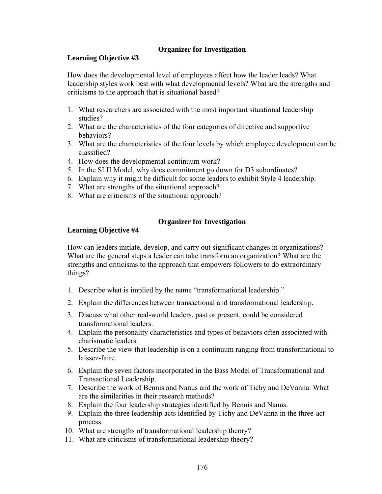### **Organizer for Investigation**

### **Learning Objective #3**

How does the developmental level of employees affect how the leader leads? What leadership styles work best with what developmental levels? What are the strengths and criticisms to the approach that is situational based?

- 1. What researchers are associated with the most important situational leadership studies?
- 2. What are the characteristics of the four categories of directive and supportive behaviors?
- 3. What are the characteristics of the four levels by which employee development can be classified?
- 4. How does the developmental continuum work?
- 5. In the SLII Model, why does commitment go down for D3 subordinates?
- 6. Explain why it might be difficult for some leaders to exhibit Style 4 leadership.
- 7. What are strengths of the situational approach?
- 8. What are criticisms of the situational approach?

## **Organizer for Investigation**

## **Learning Objective #4**

How can leaders initiate, develop, and carry out significant changes in organizations? What are the general steps a leader can take transform an organization? What are the strengths and criticisms to the approach that empowers followers to do extraordinary things?

- 1. Describe what is implied by the name "transformational leadership."
- 2. Explain the differences between transactional and transformational leadership.
- 3. Discuss what other real-world leaders, past or present, could be considered transformational leaders.
- 4. Explain the personality characteristics and types of behaviors often associated with charismatic leaders.
- 5. Describe the view that leadership is on a continuum ranging from transformational to laissez-faire.
- 6. Explain the seven factors incorporated in the Bass Model of Transformational and Transactional Leadership.
- 7. Describe the work of Bennis and Nanus and the work of Tichy and DeVanna. What are the similarities in their research methods?
- 8. Explain the four leadership strategies identified by Bennis and Nanus.
- 9. Explain the three leadership acts identified by Tichy and DeVanna in the three-act process.
- 10. What are strengths of transformational leadership theory?
- 11. What are criticisms of transformational leadership theory?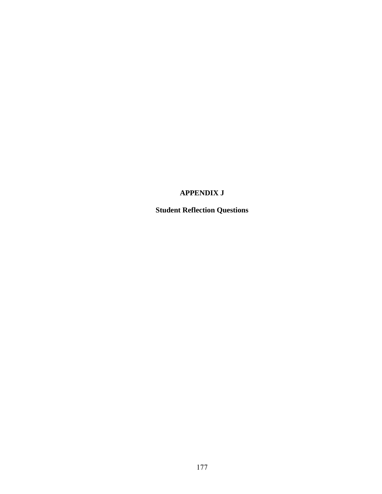## **APPENDIX J**

**Student Reflection Questions**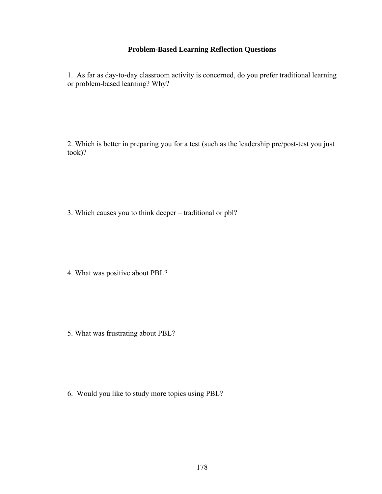### **Problem-Based Learning Reflection Questions**

1. As far as day-to-day classroom activity is concerned, do you prefer traditional learning or problem-based learning? Why?

2. Which is better in preparing you for a test (such as the leadership pre/post-test you just took)?

3. Which causes you to think deeper – traditional or pbl?

4. What was positive about PBL?

5. What was frustrating about PBL?

6. Would you like to study more topics using PBL?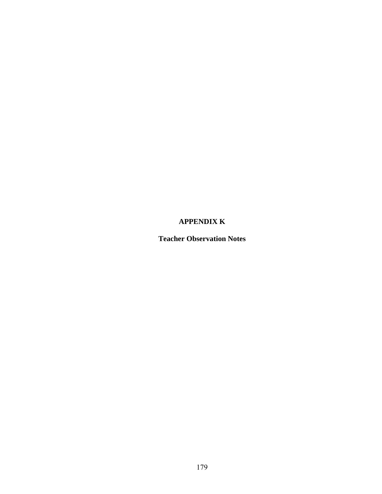## **APPENDIX K**

**Teacher Observation Notes**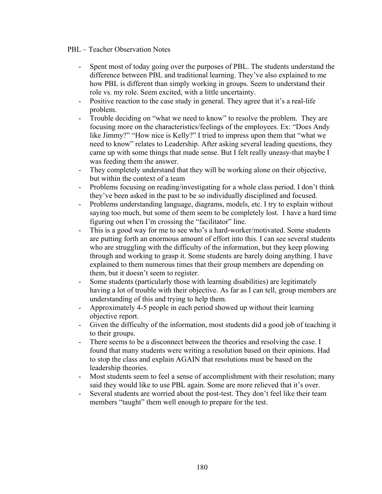#### PBL – Teacher Observation Notes

- Spent most of today going over the purposes of PBL. The students understand the difference between PBL and traditional learning. They've also explained to me how PBL is different than simply working in groups. Seem to understand their role vs. my role. Seem excited, with a little uncertainty.
- Positive reaction to the case study in general. They agree that it's a real-life problem.
- Trouble deciding on "what we need to know" to resolve the problem. They are focusing more on the characteristics/feelings of the employees. Ex: "Does Andy like Jimmy?" "How nice is Kelly?" I tried to impress upon them that "what we need to know" relates to Leadership. After asking several leading questions, they came up with some things that made sense. But I felt really uneasy-that maybe I was feeding them the answer.
- They completely understand that they will be working alone on their objective, but within the context of a team
- Problems focusing on reading/investigating for a whole class period. I don't think they've been asked in the past to be so individually disciplined and focused.
- Problems understanding language, diagrams, models, etc. I try to explain without saying too much, but some of them seem to be completely lost. I have a hard time figuring out when I'm crossing the "facilitator" line.
- This is a good way for me to see who's a hard-worker/motivated. Some students are putting forth an enormous amount of effort into this. I can see several students who are struggling with the difficulty of the information, but they keep plowing through and working to grasp it. Some students are barely doing anything. I have explained to them numerous times that their group members are depending on them, but it doesn't seem to register.
- Some students (particularly those with learning disabilities) are legitimately having a lot of trouble with their objective. As far as I can tell, group members are understanding of this and trying to help them.
- Approximately 4-5 people in each period showed up without their learning objective report.
- Given the difficulty of the information, most students did a good job of teaching it to their groups.
- There seems to be a disconnect between the theories and resolving the case. I found that many students were writing a resolution based on their opinions. Had to stop the class and explain AGAIN that resolutions must be based on the leadership theories.
- Most students seem to feel a sense of accomplishment with their resolution; many said they would like to use PBL again. Some are more relieved that it's over.
- Several students are worried about the post-test. They don't feel like their team members "taught" them well enough to prepare for the test.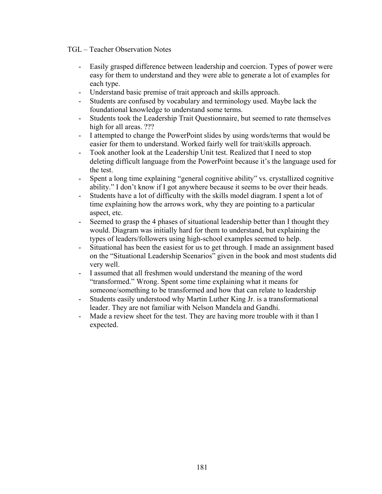#### TGL – Teacher Observation Notes

- Easily grasped difference between leadership and coercion. Types of power were easy for them to understand and they were able to generate a lot of examples for each type.
- Understand basic premise of trait approach and skills approach.
- Students are confused by vocabulary and terminology used. Maybe lack the foundational knowledge to understand some terms.
- Students took the Leadership Trait Questionnaire, but seemed to rate themselves high for all areas. ???
- I attempted to change the PowerPoint slides by using words/terms that would be easier for them to understand. Worked fairly well for trait/skills approach.
- Took another look at the Leadership Unit test. Realized that I need to stop deleting difficult language from the PowerPoint because it's the language used for the test.
- Spent a long time explaining "general cognitive ability" vs. crystallized cognitive ability." I don't know if I got anywhere because it seems to be over their heads.
- Students have a lot of difficulty with the skills model diagram. I spent a lot of time explaining how the arrows work, why they are pointing to a particular aspect, etc.
- Seemed to grasp the 4 phases of situational leadership better than I thought they would. Diagram was initially hard for them to understand, but explaining the types of leaders/followers using high-school examples seemed to help.
- Situational has been the easiest for us to get through. I made an assignment based on the "Situational Leadership Scenarios" given in the book and most students did very well.
- I assumed that all freshmen would understand the meaning of the word "transformed." Wrong. Spent some time explaining what it means for someone/something to be transformed and how that can relate to leadership
- Students easily understood why Martin Luther King Jr. is a transformational leader. They are not familiar with Nelson Mandela and Gandhi.
- Made a review sheet for the test. They are having more trouble with it than I expected.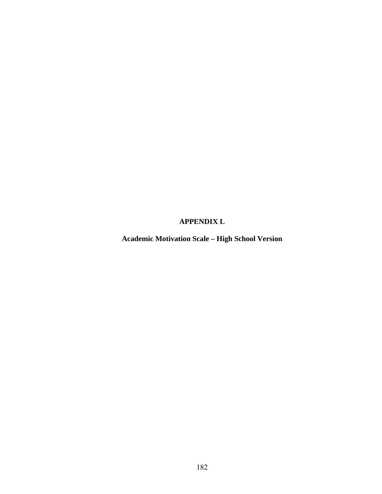**APPENDIX L** 

**Academic Motivation Scale – High School Version**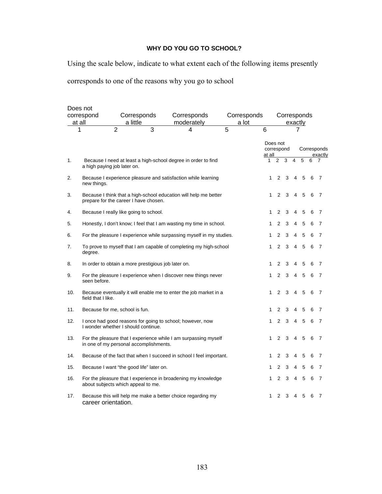### **WHY DO YOU GO TO SCHOOL?**

Using the scale below, indicate to what extent each of the following items presently

corresponds to one of the reasons why you go to school

|             | Does not                            |                            |                                                     |                                                                      |             |              |                |   |                                      |   |   |                |  |
|-------------|-------------------------------------|----------------------------|-----------------------------------------------------|----------------------------------------------------------------------|-------------|--------------|----------------|---|--------------------------------------|---|---|----------------|--|
| correspond  |                                     |                            | Corresponds                                         | Corresponds                                                          | Corresponds |              | Corresponds    |   |                                      |   |   |                |  |
| at all<br>1 |                                     | a little<br>$\overline{2}$ | 3                                                   | moderately<br>4                                                      | a lot<br>5  | 6            |                |   | exactly<br>7                         |   |   |                |  |
|             |                                     |                            |                                                     |                                                                      |             |              |                |   |                                      |   |   |                |  |
|             |                                     |                            |                                                     |                                                                      |             |              |                |   | Corresponds<br>correspond<br>exactly |   |   |                |  |
| 1.          | a high paying job later on.         |                            |                                                     | Because I need at least a high-school degree in order to find        |             | at all<br>1. | $\overline{2}$ | 3 | $\overline{4}$                       | 5 | 6 |                |  |
| 2.          | new things.                         |                            |                                                     | Because I experience pleasure and satisfaction while learning        |             | 1            | 2              | 3 | 4                                    | 5 | 6 | 7              |  |
| 3.          |                                     |                            | prepare for the career I have chosen.               | Because I think that a high-school education will help me better     |             | 1            | $\overline{2}$ | 3 | 4                                    | 5 | 6 | 7              |  |
| 4.          |                                     |                            | Because I really like going to school.              |                                                                      |             | 1            | 2              | 3 | 4                                    | 5 | 6 | 7              |  |
| 5.          |                                     |                            |                                                     | Honestly, I don't know; I feel that I am wasting my time in school.  |             | 1            | 2              | 3 | 4                                    | 5 | 6 | 7              |  |
| 6.          |                                     |                            |                                                     | For the pleasure I experience while surpassing myself in my studies. |             | 1            | 2              | 3 | 4                                    | 5 | 6 | 7              |  |
| 7.          | degree.                             |                            |                                                     | To prove to myself that I am capable of completing my high-school    |             | 1            | 2              | 3 | 4                                    | 5 | 6 | 7              |  |
| 8.          |                                     |                            | In order to obtain a more prestigious job later on. |                                                                      |             | 1            | 2              | 3 | 4                                    | 5 | 6 | 7              |  |
| 9.          | seen before.                        |                            |                                                     | For the pleasure I experience when I discover new things never       |             | 1            | $\overline{2}$ | 3 | 4                                    | 5 | 6 | - 7            |  |
| 10.         | field that I like.                  |                            |                                                     | Because eventually it will enable me to enter the job market in a    |             | 1            | 2              | 3 | 4                                    | 5 | 6 | - 7            |  |
| 11.         | Because for me, school is fun.      |                            |                                                     |                                                                      |             | 1            | 2              | 3 | 4                                    | 5 | 6 | 7              |  |
| 12.         | I wonder whether I should continue. |                            |                                                     | I once had good reasons for going to school; however, now            |             | 1            | $\overline{2}$ | 3 | 4                                    | 5 | 6 | 7              |  |
| 13.         |                                     |                            | in one of my personal accomplishments.              | For the pleasure that I experience while I am surpassing myself      |             | 1            | $\overline{2}$ | 3 | 4                                    | 5 | 6 | -7             |  |
| 14.         |                                     |                            |                                                     | Because of the fact that when I succeed in school I feel important.  |             | 1            | 2              | 3 | 4                                    | 5 | 6 | 7              |  |
| 15.         |                                     |                            | Because I want "the good life" later on.            |                                                                      |             | 1            | 2              | 3 | 4                                    | 5 | 6 | 7              |  |
| 16.         | about subjects which appeal to me.  |                            |                                                     | For the pleasure that I experience in broadening my knowledge        |             | 1            | 2              | 3 | 4                                    | 5 | 6 | $\overline{7}$ |  |
| 17.         | career orientation.                 |                            |                                                     | Because this will help me make a better choice regarding my          |             | 1            | 2              | 3 | 4                                    | 5 | 6 | 7              |  |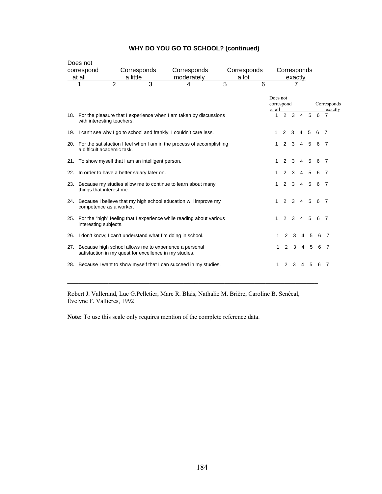| $\overline{2}$<br>3<br>5<br>6<br>1<br>4<br>7<br>Does not<br>correspond<br>at all<br>3<br>18. For the pleasure that I experience when I am taken by discussions<br>2<br>$\overline{4}$<br>1<br>with interesting teachers.<br>$\overline{2}$<br>3<br>1<br>$\overline{4}$<br>3<br>1<br>2<br>4<br>a difficult academic task.<br>1<br>3<br>2<br>4<br>3<br>1<br>2<br>$\overline{4}$<br>3<br>1<br>2<br>$\overline{4}$<br>things that interest me.<br>1<br>$2 \quad 3$<br>$\overline{4}$<br>competence as a worker.<br>$\mathbf{1}$<br>$2 \quad 3$<br>interesting subjects.<br>I don't know; I can't understand what I'm doing in school.<br>3<br>1<br>$\overline{2}$<br>$\overline{4}$<br>3<br>1<br>2<br>$\overline{4}$<br>satisfaction in my quest for excellence in my studies. |             | Corresponds<br>exactly |                |  |  |  | Corresponds<br>a lot | Corresponds<br>Corresponds<br>moderately<br>a little |  | Does not<br>correspond<br>at all |  |  |  |
|----------------------------------------------------------------------------------------------------------------------------------------------------------------------------------------------------------------------------------------------------------------------------------------------------------------------------------------------------------------------------------------------------------------------------------------------------------------------------------------------------------------------------------------------------------------------------------------------------------------------------------------------------------------------------------------------------------------------------------------------------------------------------|-------------|------------------------|----------------|--|--|--|----------------------|------------------------------------------------------|--|----------------------------------|--|--|--|
|                                                                                                                                                                                                                                                                                                                                                                                                                                                                                                                                                                                                                                                                                                                                                                            |             |                        |                |  |  |  |                      |                                                      |  |                                  |  |  |  |
| 19. I can't see why I go to school and frankly, I couldn't care less.<br>20. For the satisfaction I feel when I am in the process of accomplishing<br>21. To show myself that I am an intelligent person.<br>22. In order to have a better salary later on.<br>23. Because my studies allow me to continue to learn about many<br>24. Because I believe that my high school education will improve my<br>25. For the "high" feeling that I experience while reading about various<br>26.                                                                                                                                                                                                                                                                                   | Corresponds |                        |                |  |  |  |                      |                                                      |  |                                  |  |  |  |
|                                                                                                                                                                                                                                                                                                                                                                                                                                                                                                                                                                                                                                                                                                                                                                            | 6           | 5                      |                |  |  |  |                      |                                                      |  |                                  |  |  |  |
|                                                                                                                                                                                                                                                                                                                                                                                                                                                                                                                                                                                                                                                                                                                                                                            | 6           | -5                     |                |  |  |  |                      |                                                      |  |                                  |  |  |  |
|                                                                                                                                                                                                                                                                                                                                                                                                                                                                                                                                                                                                                                                                                                                                                                            | 6           | -5                     |                |  |  |  |                      |                                                      |  |                                  |  |  |  |
|                                                                                                                                                                                                                                                                                                                                                                                                                                                                                                                                                                                                                                                                                                                                                                            | 6           | 5                      |                |  |  |  |                      |                                                      |  |                                  |  |  |  |
|                                                                                                                                                                                                                                                                                                                                                                                                                                                                                                                                                                                                                                                                                                                                                                            | 6           | 5                      |                |  |  |  |                      |                                                      |  |                                  |  |  |  |
|                                                                                                                                                                                                                                                                                                                                                                                                                                                                                                                                                                                                                                                                                                                                                                            | 6           | 5                      |                |  |  |  |                      |                                                      |  |                                  |  |  |  |
|                                                                                                                                                                                                                                                                                                                                                                                                                                                                                                                                                                                                                                                                                                                                                                            | 6           | 5                      |                |  |  |  |                      |                                                      |  |                                  |  |  |  |
| 27. Because high school allows me to experience a personal                                                                                                                                                                                                                                                                                                                                                                                                                                                                                                                                                                                                                                                                                                                 | 6           | -5                     | $\overline{4}$ |  |  |  |                      |                                                      |  |                                  |  |  |  |
|                                                                                                                                                                                                                                                                                                                                                                                                                                                                                                                                                                                                                                                                                                                                                                            | 6           | -5                     |                |  |  |  |                      |                                                      |  |                                  |  |  |  |
|                                                                                                                                                                                                                                                                                                                                                                                                                                                                                                                                                                                                                                                                                                                                                                            | 6           | 5                      |                |  |  |  |                      |                                                      |  |                                  |  |  |  |
| 28. Because I want to show myself that I can succeed in my studies.<br>1<br>3<br>2<br>4                                                                                                                                                                                                                                                                                                                                                                                                                                                                                                                                                                                                                                                                                    | 6           | 5                      |                |  |  |  |                      |                                                      |  |                                  |  |  |  |

#### **WHY DO YOU GO TO SCHOOL? (continued)**

Robert J. Vallerand, Luc G.Pelletier, Marc R. Blais, Nathalie M. Brière, Caroline B. Senècal, Èvelyne F. Vallières, 1992

**\_\_\_\_\_\_\_\_\_\_\_\_\_\_\_\_\_\_\_\_\_\_\_\_\_\_\_\_\_\_\_\_\_\_\_\_\_\_\_\_\_\_\_\_\_\_\_\_\_\_\_\_\_\_\_\_\_\_\_\_\_\_\_\_\_\_\_**

**Note:** To use this scale only requires mention of the complete reference data.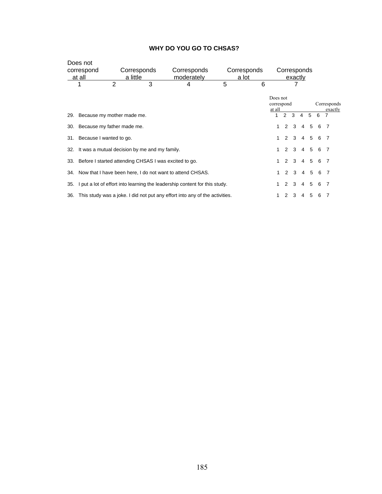|     | Does not<br>correspond<br>at all                                                                                              |                | Corresponds<br>a little | Corresponds<br>Corresponds<br>moderately<br>a lot |   |   |                        | Corresponds<br>exactly |                 |                 |   |     |                        |
|-----|-------------------------------------------------------------------------------------------------------------------------------|----------------|-------------------------|---------------------------------------------------|---|---|------------------------|------------------------|-----------------|-----------------|---|-----|------------------------|
|     | 1                                                                                                                             | $\mathfrak{p}$ | 3                       | 4                                                 | 5 | 6 |                        |                        |                 |                 |   |     |                        |
|     |                                                                                                                               |                |                         |                                                   |   |   | Does not<br>correspond |                        |                 |                 |   |     | Corresponds<br>exactly |
|     | at all<br>2 3 4 5<br>29. Because my mother made me.<br>1.                                                                     |                |                         |                                                   |   |   |                        |                        |                 |                 |   | 6   | $\overline{7}$         |
|     | 3 4 5<br>2<br>30. Because my father made me.<br>1                                                                             |                |                         |                                                   |   |   |                        |                        |                 |                 |   | 6   | $\overline{7}$         |
|     | 3 4 5<br>31. Because I wanted to go.<br>2                                                                                     |                |                         |                                                   |   |   |                        |                        |                 |                 |   | 6   | $\overline{7}$         |
|     | 3 4 5<br>32. It was a mutual decision by me and my family.<br>2                                                               |                |                         |                                                   |   |   |                        |                        |                 |                 |   | 6 7 |                        |
|     | 3 <sup>1</sup><br>33. Before I started attending CHSAS I was excited to go.<br>$\mathcal{P}$                                  |                |                         |                                                   |   |   |                        |                        | $\overline{4}$  | 5               |   | 6 7 |                        |
|     | 34. Now that I have been here, I do not want to attend CHSAS.<br>$2 \quad 3$<br>$\overline{4}$                                |                |                         |                                                   |   |   |                        |                        | $5\overline{)}$ | 6               |   |     |                        |
| 35. | I put a lot of effort into learning the leadership content for this study.<br>-3<br>$\mathcal{P}$<br>$\overline{4}$           |                |                         |                                                   |   |   |                        |                        |                 | $5\overline{5}$ | 6 |     |                        |
| 36. | This study was a joke. I did not put any effort into any of the activities.<br>$\mathbf{3}$<br>-5<br>$\mathcal{P} \quad$<br>4 |                |                         |                                                   |   |   |                        |                        |                 | 6               |   |     |                        |

## **WHY DO YOU GO TO CHSAS?**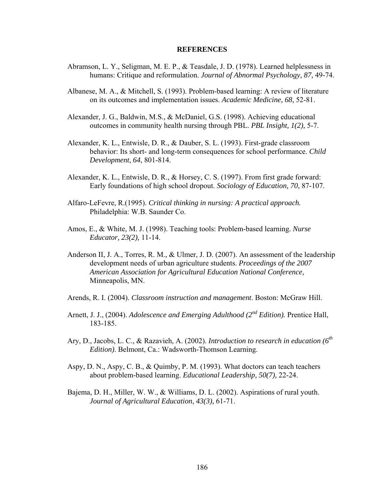#### **REFERENCES**

- Abramson, L. Y., Seligman, M. E. P., & Teasdale, J. D. (1978). Learned helplessness in humans: Critique and reformulation. *Journal of Abnormal Psychology, 87,* 49-74.
- Albanese, M. A., & Mitchell, S. (1993). Problem-based learning: A review of literature on its outcomes and implementation issues. *Academic Medicine, 68,* 52-81.
- Alexander, J. G., Baldwin, M.S., & McDaniel, G.S. (1998). Achieving educational outcomes in community health nursing through PBL. *PBL Insight, 1(2),* 5-7.
- Alexander, K. L., Entwisle, D. R., & Dauber, S. L. (1993). First-grade classroom behavior: Its short- and long-term consequences for school performance. *Child Development*, *64*, 801-814.
- Alexander, K. L., Entwisle, D. R., & Horsey, C. S. (1997). From first grade forward: Early foundations of high school dropout. *Sociology of Education, 70*, 87-107.
- Alfaro-LeFevre, R.(1995). *Critical thinking in nursing: A practical approach.* Philadelphia: W.B. Saunder Co.
- Amos, E., & White, M. J. (1998). Teaching tools: Problem-based learning. *Nurse Educator, 23(2),* 11-14.
- Anderson II, J. A., Torres, R. M., & Ulmer, J. D. (2007). An assessment of the leadership development needs of urban agriculture students. *Proceedings of the 2007 American Association for Agricultural Education National Conference*, Minneapolis, MN.
- Arends, R. I. (2004). *Classroom instruction and management*. Boston: McGraw Hill.
- Arnett, J. J., (2004). *Adolescence and Emerging Adulthood (2nd Edition).* Prentice Hall, 183-185.
- Ary, D., Jacobs, L. C., & Razavieh, A. (2002). *Introduction to research in education (6th Edition)*. Belmont, Ca.: Wadsworth-Thomson Learning.
- Aspy, D. N., Aspy, C. B., & Quimby, P. M. (1993). What doctors can teach teachers about problem-based learning. *Educational Leadership, 50(7),* 22-24.
- Bajema, D. H., Miller, W. W., & Williams, D. L. (2002). Aspirations of rural youth. *Journal of Agricultural Education*, *43(3),* 61-71.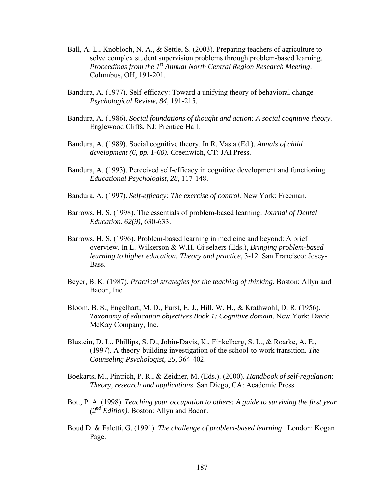- Ball, A. L., Knobloch, N. A., & Settle, S. (2003). Preparing teachers of agriculture to solve complex student supervision problems through problem-based learning. *Proceedings from the 1st Annual North Central Region Research Meeting*. Columbus, OH, 191-201.
- Bandura, A. (1977). Self-efficacy: Toward a unifying theory of behavioral change. *Psychological Review, 84,* 191-215.
- Bandura, A. (1986). *Social foundations of thought and action: A social cognitive theory.* Englewood Cliffs, NJ: Prentice Hall.
- Bandura, A. (1989). Social cognitive theory. In R. Vasta (Ed.), *Annals of child development (6, pp. 1-60).* Greenwich, CT: JAI Press.
- Bandura, A. (1993). Perceived self-efficacy in cognitive development and functioning. *Educational Psychologist, 28,* 117-148.
- Bandura, A. (1997). *Self-efficacy: The exercise of control.* New York: Freeman.
- Barrows, H. S. (1998). The essentials of problem-based learning. *Journal of Dental Education*, *62(9),* 630-633.
- Barrows, H. S. (1996). Problem-based learning in medicine and beyond: A brief overview. In L. Wilkerson & W.H. Gijselaers (Eds.), *Bringing problem-based learning to higher education: Theory and practice*, 3-12. San Francisco: Josey-Bass.
- Beyer, B. K. (1987). *Practical strategies for the teaching of thinking*. Boston: Allyn and Bacon, Inc.
- Bloom, B. S., Engelhart, M. D., Furst, E. J., Hill, W. H., & Krathwohl, D. R. (1956). *Taxonomy of education objectives Book 1: Cognitive domain*. New York: David McKay Company, Inc.
- Blustein, D. L., Phillips, S. D., Jobin-Davis, K., Finkelberg, S. L., & Roarke, A. E., (1997). A theory-building investigation of the school-to-work transition. *The Counseling Psychologist, 25,* 364-402.
- Boekarts, M., Pintrich, P. R., & Zeidner, M. (Eds.). (2000). *Handbook of self-regulation: Theory, research and applications*. San Diego, CA: Academic Press.
- Bott, P. A. (1998). *Teaching your occupation to others: A guide to surviving the first year (2nd Edition)*. Boston: Allyn and Bacon.
- Boud D. & Faletti, G. (1991). *The challenge of problem-based learning*. London: Kogan Page.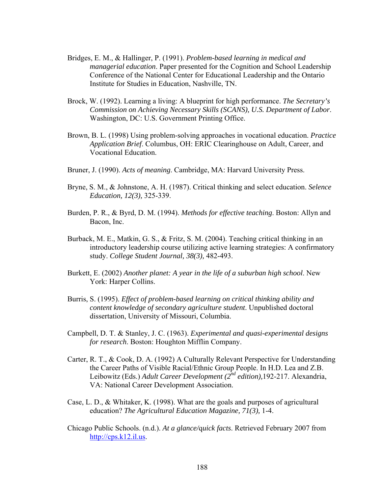- Bridges, E. M., & Hallinger, P. (1991). *Problem-based learning in medical and managerial education*. Paper presented for the Cognition and School Leadership Conference of the National Center for Educational Leadership and the Ontario Institute for Studies in Education, Nashville, TN.
- Brock, W. (1992). Learning a living: A blueprint for high performance. *The Secretary's Commission on Achieving Necessary Skills (SCANS), U.S. Department of Labor*. Washington, DC: U.S. Government Printing Office.
- Brown, B. L. (1998) Using problem-solving approaches in vocational education. *Practice Application Brief*. Columbus, OH: ERIC Clearinghouse on Adult, Career, and Vocational Education.
- Bruner, J. (1990). *Acts of meaning*. Cambridge, MA: Harvard University Press.
- Bryne, S. M., & Johnstone, A. H. (1987). Critical thinking and select education. *Selence Education, 12(3),* 325-339.
- Burden, P. R., & Byrd, D. M. (1994). *Methods for effective teaching*. Boston: Allyn and Bacon, Inc.
- Burback, M. E., Matkin, G. S., & Fritz, S. M. (2004). Teaching critical thinking in an introductory leadership course utilizing active learning strategies: A confirmatory study. *College Student Journal, 38(3),* 482-493.
- Burkett, E. (2002) *Another planet: A year in the life of a suburban high school*. New York: Harper Collins.
- Burris, S. (1995). *Effect of problem-based learning on critical thinking ability and content knowledge of secondary agriculture student*. Unpublished doctoral dissertation, University of Missouri, Columbia.
- Campbell, D. T. & Stanley, J. C. (1963). *Experimental and quasi-experimental designs for research*. Boston: Houghton Mifflin Company.
- Carter, R. T., & Cook, D. A. (1992) A Culturally Relevant Perspective for Understanding the Career Paths of Visible Racial/Ethnic Group People. In H.D. Lea and Z.B. Leibowitz (Eds.) *Adult Career Development (2nd edition),*192-217. Alexandria, VA: National Career Development Association.
- Case, L. D., & Whitaker, K. (1998). What are the goals and purposes of agricultural education? *The Agricultural Education Magazine, 71(3),* 1-4.
- Chicago Public Schools. (n.d.). *At a glance/*q*uick facts*. Retrieved February 2007 from [http://cps.k12.il.us.](http://cps.k12.il.us/)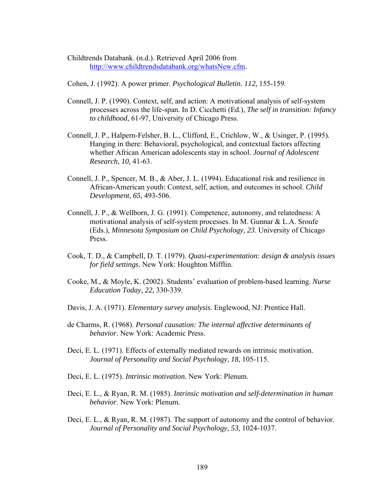- Childtrends Databank. (n.d.). Retrieved April 2006 from [http://www.childtrendsdatabank.org/whatsNew.cfm.](http://www.childtrendsdatabank.org/whatsNew.cfm)
- Cohen, J. (1992). A power primer. *Psychological Bulletin. 112,* 155-159.
- Connell, J. P. (1990). Context, self, and action: A motivational analysis of self-system processes across the life-span. In D. Cicchetti (Ed.), *The self in transition: Infancy to childhood*, 61-97, University of Chicago Press.
- Connell, J. P., Halpern-Felsher, B. L., Clifford, E., Crichlow, W., & Usinger, P. (1995). Hanging in there: Behavioral, psychological, and contextual factors affecting whether African American adolescents stay in school. *Journal of Adolescent Research, 10,* 41-63.
- Connell, J. P., Spencer, M. B., & Aber, J. L. (1994). Educational risk and resilience in African-American youth: Context, self, action, and outcomes in school. *Child Development*, *65,* 493-506.
- Connell, J. P., & Wellborn, J. G. (1991). Competence, autonomy, and relatedness: A motivational analysis of self-system processes. In M. Gunnar & L.A. Sroufe (Eds.), *Minnesota Symposium on Child Psychology, 23*. University of Chicago Press.
- Cook, T. D., & Campbell, D. T. (1979). *Quasi-experimentation: design & analysis issues for field settings*. New York: Houghton Mifflin.
- Cooke, M., & Moyle, K. (2002). Students' evaluation of problem-based learning. *Nurse Education Today, 22,* 330-339.
- Davis, J. A. (1971). *Elementary survey analysis.* Englewood, NJ: Prentice Hall.
- de Charms, R. (1968). *Personal causation: The internal affective determinants of behavior*. New York: Academic Press.
- Deci, E. L. (1971). Effects of externally mediated rewards on intrinsic motivation. *Journal of Personality and Social Psychology*, *18,* 105-115.
- Deci, E. L. (1975). *Intrinsic motivation.* New York: Plenum.
- Deci, E. L., & Ryan, R. M. (1985). *Intrinsic motivation and self-determination in human behavior*. New York: Plenum.
- Deci, E. L., & Ryan, R. M. (1987). The support of autonomy and the control of behavior. *Journal of Personality and Social Psychology, 53,* 1024-1037.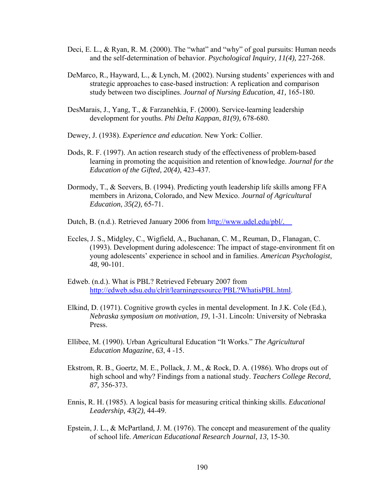- Deci, E. L., & Ryan, R. M. (2000). The "what" and "why" of goal pursuits: Human needs and the self-determination of behavior. *Psychological Inquiry, 11(4),* 227-268.
- DeMarco, R., Hayward, L., & Lynch, M. (2002). Nursing students' experiences with and strategic approaches to case-based instruction: A replication and comparison study between two disciplines. *Journal of Nursing Education, 41,* 165-180.
- DesMarais, J., Yang, T., & Farzanehkia, F. (2000). Service-learning leadership development for youths. *Phi Delta Kappan*, *81(9),* 678-680.
- Dewey, J. (1938). *Experience and education*. New York: Collier.
- Dods, R. F. (1997). An action research study of the effectiveness of problem-based learning in promoting the acquisition and retention of knowledge. *Journal for the Education of the Gifted, 20(4),* 423-437.
- Dormody, T., & Seevers, B. (1994). Predicting youth leadership life skills among FFA members in Arizona, Colorado, and New Mexico. *Journal of Agricultural Education*, *35(2),* 65-71.
- Dutch, B. (n.d.). Retrieved January 2006 from http://www.udel.edu/pbl/.
- Eccles, J. S., Midgley, C., Wigfield, A., Buchanan, C. M., Reuman, D., Flanagan, C. (1993). Development during adolescence: The impact of stage-environment fit on young adolescents' experience in school and in families. *American Psychologist*, *48,* 90-101.
- Edweb. (n.d.). What is PBL? Retrieved February 2007 from <http://edweb.sdsu.edu/clrit/learningresource/PBL?WhatisPBL.html>.
- Elkind, D. (1971). Cognitive growth cycles in mental development. In J.K. Cole (Ed.), *Nebraska symposium on motivation*, *19*, 1-31. Lincoln: University of Nebraska Press.
- Ellibee, M. (1990). Urban Agricultural Education "It Works." *The Agricultural Education Magazine*, *63*, 4 -15.
- Ekstrom, R. B., Goertz, M. E., Pollack, J. M., & Rock, D. A. (1986). Who drops out of high school and why? Findings from a national study. *Teachers College Record*, *87,* 356-373*.*
- Ennis, R. H. (1985). A logical basis for measuring critical thinking skills. *Educational Leadership, 43(2),* 44-49.
- Epstein, J. L., & McPartland, J. M. (1976). The concept and measurement of the quality of school life. *American Educational Research Journal*, *13,* 15-30.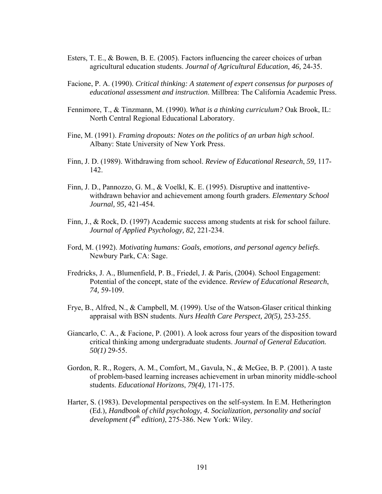- Esters, T. E., & Bowen, B. E. (2005). Factors influencing the career choices of urban agricultural education students. *Journal of Agricultural Education, 46,* 24-35.
- Facione, P. A. (1990). *Critical thinking: A statement of expert consensus for purposes of educational assessment and instruction*. Millbrea: The California Academic Press.
- Fennimore, T., & Tinzmann, M. (1990). *What is a thinking curriculum?* Oak Brook, IL: North Central Regional Educational Laboratory.
- Fine, M. (1991). *Framing dropouts: Notes on the politics of an urban high school*. Albany: State University of New York Press.
- Finn, J. D. (1989). Withdrawing from school. *Review of Educational Research*, *59,* 117- 142.
- Finn, J. D., Pannozzo, G. M., & Voelkl, K. E. (1995). Disruptive and inattentivewithdrawn behavior and achievement among fourth graders. *Elementary School Journal, 95,* 421-454.
- Finn, J., & Rock, D. (1997) Academic success among students at risk for school failure. *Journal of Applied Psychology, 82,* 221-234.
- Ford, M. (1992). *Motivating humans: Goals, emotions, and personal agency beliefs*. Newbury Park, CA: Sage.
- Fredricks, J. A., Blumenfield, P. B., Friedel, J. & Paris, (2004). School Engagement: Potential of the concept, state of the evidence. *Review of Educational Research*, *74,* 59-109.
- Frye, B., Alfred, N., & Campbell, M. (1999). Use of the Watson-Glaser critical thinking appraisal with BSN students. *Nurs Health Care Perspect, 20(5),* 253-255.
- Giancarlo, C. A., & Facione, P. (2001). A look across four years of the disposition toward critical thinking among undergraduate students. *Journal of General Education. 50(1)* 29-55.
- Gordon, R. R., Rogers, A. M., Comfort, M., Gavula, N., & McGee, B. P. (2001). A taste of problem-based learning increases achievement in urban minority middle-school students. *Educational Horizons*, *79(4),* 171-175.
- Harter, S. (1983). Developmental perspectives on the self-system. In E.M. Hetherington (Ed.)*, Handbook of child psychology, 4. Socialization, personality and social development (4th edition)*, 275-386. New York: Wiley.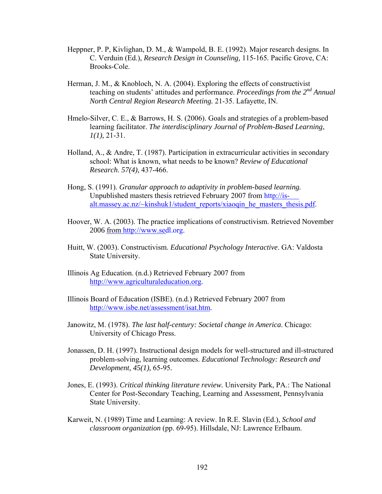- Heppner, P. P, Kivlighan, D. M., & Wampold, B. E. (1992). Major research designs. In C. Verduin (Ed.), *Research Design in Counseling,* 115-165*.* Pacific Grove, CA: Brooks-Cole.
- Herman, J. M., & Knobloch, N. A. (2004). Exploring the effects of constructivist teaching on students' attitudes and performance. *Proceedings from the 2nd Annual North Central Region Research Meeting.* 21-35. Lafayette, IN.
- Hmelo-Silver, C. E., & Barrows, H. S. (2006). Goals and strategies of a problem-based learning facilitator. *The interdisciplinary Journal of Problem-Based Learning*, *1(1),* 21-31.
- Holland, A., & Andre, T. (1987). Participation in extracurricular activities in secondary school: What is known, what needs to be known? *Review of Educational Research*. *57(4),* 437-466.
- Hong, S. (1991). *Granular approach to adaptivity in problem-based learning.*  Unpublished masters thesis retrieved February 2007 from htt[p://is](http://is-alt.massey.ac.nz/%7Ekinshuk1/student_reports/xiaoqin_he_masters_thesis.pdf)[alt.massey.ac.nz/~kinshuk1/student\\_reports/xiaoqin\\_he\\_masters\\_thesis.pdf](http://is-alt.massey.ac.nz/%7Ekinshuk1/student_reports/xiaoqin_he_masters_thesis.pdf).
- Hoover, W. A. (2003). The practice implications of constructivism. Retrieved November 2006 [from http://www.sed](http://www.sedl.org/)l.org.
- Huitt, W. (2003). Constructivism. *Educational Psychology Interactive*. GA: Valdosta State University.
- Illinois Ag Education. (n.d.) Retrieved February 2007 from [http://www.agriculturaleducation.org.](http://www.agriculturaleducation.org/)
- Illinois Board of Education (ISBE). (n.d.) Retrieved February 2007 from [http://www.isbe.net/assessment/isat.htm.](http://www.isbe.net/assessment/isat.htm)
- Janowitz, M. (1978). *The last half-century: Societal change in America*. Chicago: University of Chicago Press.
- Jonassen, D. H. (1997). Instructional design models for well-structured and ill-structured problem-solving, learning outcomes. *Educational Technology: Research and Development, 45(1),* 65-95*.*
- Jones, E. (1993). *Critical thinking literature review.* University Park, PA.: The National Center for Post-Secondary Teaching, Learning and Assessment, Pennsylvania State University.
- Karweit, N. (1989) Time and Learning: A review. In R.E. Slavin (Ed.), *School and classroom organization* (pp. 69-95). Hillsdale, NJ: Lawrence Erlbaum.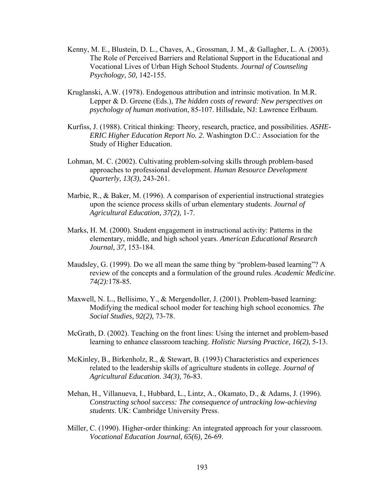- Kenny, M. E., Blustein, D. L., Chaves, A., Grossman, J. M., & Gallagher, L. A. (2003). The Role of Perceived Barriers and Relational Support in the Educational and Vocational Lives of Urban High School Students. *Journal of Counseling Psychology, 50,* 142-155*.*
- Kruglanski, A.W. (1978). Endogenous attribution and intrinsic motivation. In M.R. Lepper & D. Greene (Eds.), *The hidden costs of reward: New perspectives on psychology of human motivation*, 85-107. Hillsdale, NJ: Lawrence Erlbaum.
- Kurfiss, J. (1988). Critical thinking: Theory, research, practice, and possibilities. *ASHE-ERIC Higher Education Report No. 2*. Washington D.C.: Association for the Study of Higher Education.
- Lohman, M. C. (2002). Cultivating problem-solving skills through problem-based approaches to professional development. *Human Resource Development Quarterly, 13(3),* 243-261.
- Marbie, R., & Baker, M. (1996). A comparison of experiential instructional strategies upon the science process skills of urban elementary students. *Journal of Agricultural Education, 37(2),* 1-7.
- Marks, H. M. (2000). Student engagement in instructional activity: Patterns in the elementary, middle, and high school years. *American Educational Research Journal, 37,* 153-184.
- Maudsley, G. (1999). Do we all mean the same thing by "problem-based learning"? A review of the concepts and a formulation of the ground rules. *Academic Medicine*. *74(2):*178-85*.*
- Maxwell, N. L., Bellisimo, Y., & Mergendoller, J. (2001). Problem-based learning: Modifying the medical school moder for teaching high school economics. *The Social Studies, 92(2),* 73-78.
- McGrath, D. (2002). Teaching on the front lines: Using the internet and problem-based learning to enhance classroom teaching. *Holistic Nursing Practice, 16(2),* 5-13.
- McKinley, B., Birkenholz, R., & Stewart, B. (1993) Characteristics and experiences related to the leadership skills of agriculture students in college. *Journal of Agricultural Education. 34(3),* 76-83.
- Mehan, H., Villanueva, I., Hubbard, L., Lintz, A., Okamato, D., & Adams, J. (1996). *Constructing school success: The consequence of untracking low-achieving students*. UK: Cambridge University Press.
- Miller, C. (1990). Higher-order thinking: An integrated approach for your classroom. *Vocational Education Journal, 65(6),* 26-69.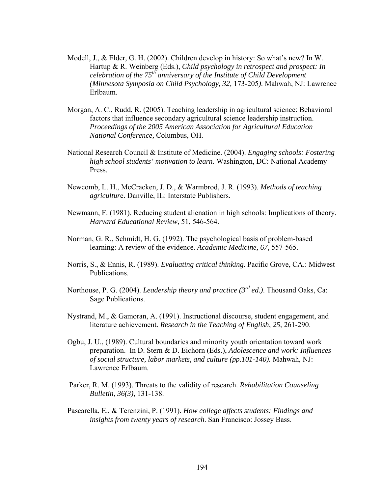- Modell, J., & Elder, G. H. (2002). Children develop in history: So what's new? In W. Hartup & R. Weinberg (Eds.), *Child psychology in retrospect and prospect: In celebration of the 75th anniversary of the Institute of Child Development (Minnesota Symposia on Child Psychology, 32,* 173-205*)*. Mahwah, NJ: Lawrence Erlbaum.
- Morgan, A. C., Rudd, R. (2005). Teaching leadership in agricultural science: Behavioral factors that influence secondary agricultural science leadership instruction. *Proceedings of the 2005 American Association for Agricultural Education National Conference,* Columbus, OH.
- National Research Council & Institute of Medicine. (2004). *Engaging schools: Fostering high school students' motivation to learn*. Washington, DC: National Academy Press.
- Newcomb, L. H., McCracken, J. D., & Warmbrod, J. R. (1993). *Methods of teaching agricultur*e. Danville, IL: Interstate Publishers.
- Newmann, F. (1981). Reducing student alienation in high schools: Implications of theory. *Harvard Educational Review*, 51, 546-564.
- Norman, G. R., Schmidt, H. G. (1992). The psychological basis of problem-based learning: A review of the evidence. *Academic Medicine, 67,* 557-565.
- Norris, S., & Ennis, R. (1989). *Evaluating critical thinking.* Pacific Grove, CA.: Midwest Publications.
- Northouse, P. G. (2004). *Leadership theory and practice (3rd ed.)*. Thousand Oaks, Ca: Sage Publications.
- Nystrand, M., & Gamoran, A. (1991). Instructional discourse, student engagement, and literature achievement. *Research in the Teaching of English*, *25,* 261-290.
- Ogbu, J. U., (1989). Cultural boundaries and minority youth orientation toward work preparation. In D. Stern & D. Eichorn (Eds.), *Adolescence and work: Influences of social structure, labor markets, and culture (pp.101-140).* Mahwah, NJ: Lawrence Erlbaum.
- Parker, R. M. (1993). Threats to the validity of research. *Rehabilitation Counseling Bulletin*, *36(3),* 131-138.
- Pascarella, E., & Terenzini, P. (1991). *How college affects students: Findings and insights from twenty years of research*. San Francisco: Jossey Bass.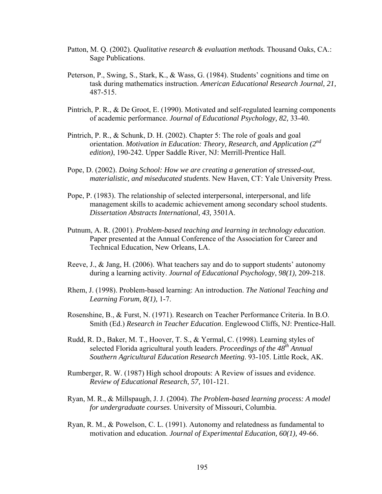- Patton, M. Q. (2002). *Qualitative research & evaluation methods.* Thousand Oaks, CA.: Sage Publications.
- Peterson, P., Swing, S., Stark, K., & Wass, G. (1984). Students' cognitions and time on task during mathematics instruction. *American Educational Research Journal, 21,*  487-515.
- Pintrich, P. R., & De Groot, E. (1990). Motivated and self-regulated learning components of academic performance. *Journal of Educational Psychology, 82,* 33-40.
- Pintrich, P. R., & Schunk, D. H. (2002). Chapter 5: The role of goals and goal orientation. *Motivation in Education: Theory, Research, and Application (2nd edition)*, 190-242. Upper Saddle River, NJ: Merrill-Prentice Hall.
- Pope, D. (2002). *Doing School: How we are creating a generation of stressed-out, materialistic, and miseducated students*. New Haven, CT: Yale University Press.
- Pope, P. (1983). The relationship of selected interpersonal, interpersonal, and life management skills to academic achievement among secondary school students. *Dissertation Abstracts International, 43,* 3501A.
- Putnum, A. R. (2001). *Problem-based teaching and learning in technology education*. Paper presented at the Annual Conference of the Association for Career and Technical Education, New Orleans, LA.
- Reeve, J., & Jang, H. (2006). What teachers say and do to support students' autonomy during a learning activity. *Journal of Educational Psychology*, *98(1),* 209-218.
- Rhem, J. (1998). Problem-based learning: An introduction. *The National Teaching and Learning Forum, 8(1),* 1-7.
- Rosenshine, B., & Furst, N. (1971). Research on Teacher Performance Criteria. In B.O. Smith (Ed.) *Research in Teacher Education*. Englewood Cliffs, NJ: Prentice-Hall.
- Rudd, R. D., Baker, M. T., Hoover, T. S., & Yermal, C. (1998). Learning styles of selected Florida agricultural youth leaders. *Proceedings of the 48th Annual Southern Agricultural Education Research Meeting*. 93-105. Little Rock, AK.
- Rumberger, R. W. (1987) High school dropouts: A Review of issues and evidence. *Review of Educational Research*, *57,* 101-121.
- Ryan, M. R., & Millspaugh, J. J. (2004). *The Problem-based learning process: A model for undergraduate courses*. University of Missouri, Columbia.
- Ryan, R. M., & Powelson, C. L. (1991). Autonomy and relatedness as fundamental to motivation and education. *Journal of Experimental Education, 60(1),* 49-66.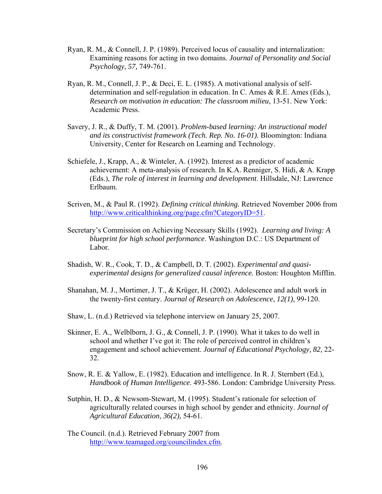- Ryan, R. M., & Connell, J. P. (1989). Perceived locus of causality and internalization: Examining reasons for acting in two domains. *Journal of Personality and Social Psychology*, *57,* 749-761.
- Ryan, R. M., Connell, J. P., & Deci, E. L. (1985). A motivational analysis of selfdetermination and self-regulation in education. In C. Ames & R.E. Ames (Eds.), *Research on motivation in education: The classroom milieu*, 13-51. New York: Academic Press.
- Savery, J. R., & Duffy, T. M. (2001). *Problem-based learning: An instructional model and its constructivist framework (Tech. Rep. No. 16-01).* Bloomington: Indiana University, Center for Research on Learning and Technology.
- Schiefele, J., Krapp, A., & Winteler, A. (1992). Interest as a predictor of academic achievement: A meta-analysis of research. In K.A. Renniger, S. Hidi, & A. Krapp (Eds.), *The role of interest in learning and development*. Hillsdale, NJ: Lawrence Erlbaum.
- Scriven, M., & Paul R. (1992). *Defining critical thinking.* Retrieved November 2006 from <http://www.criticalthinking.org/page.cfm?CategoryID=51>.
- Secretary's Commission on Achieving Necessary Skills (1992). *Learning and living: A blueprint for high school performance*. Washington D.C.: US Department of Labor.
- Shadish, W. R., Cook, T. D., & Campbell, D. T. (2002). *Experimental and quasiexperimental designs for generalized causal inference.* Boston: Houghton Mifflin.
- Shanahan, M. J., Mortimer, J. T., & Krüger, H. (2002). Adolescence and adult work in the twenty-first century. *Journal of Research on Adolescence*, *12(1),* 99-120.
- Shaw, L. (n.d.) Retrieved via telephone interview on January 25, 2007.
- Skinner, E. A., Welblborn, J. G., & Connell, J. P. (1990). What it takes to do well in school and whether I've got it: The role of perceived control in children's engagement and school achievement. *Journal of Educational Psychology, 82,* 22- 32.
- Snow, R. E. & Yallow, E. (1982). Education and intelligence. In R. J. Sternbert (Ed.), *Handbook of Human Intelligence*. 493-586. London: Cambridge University Press.
- Sutphin, H. D., & Newsom-Stewart, M. (1995). Student's rationale for selection of agriculturally related courses in high school by gender and ethnicity. *Journal of Agricultural Education*, *36(2),* 54-61.
- The Council. (n.d.). Retrieved February 2007 from [http://www.teamaged.org/councilindex.cfm.](http://www.teamaged.org/councilindex.cfm)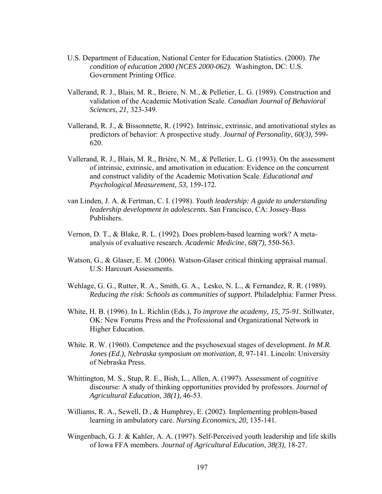- U.S. Department of Education, National Center for Education Statistics. (2000). *The condition of education 2000 (NCES 2000-062).* Washington, DC: U.S. Government Printing Office.
- Vallerand, R. J., Blais, M. R., Briere, N. M., & Pelletier, L. G. (1989). Construction and validation of the Academic Motivation Scale. *Canadian Journal of Behavioral Sciences, 21,* 323-349.
- Vallerand, R. J., & Bissonnette, R. (1992). Intrinsic, extrinsic, and amotivational styles as predictors of behavior: A prospective study. *Journal of Personality, 60(3),* 599- 620.
- Vallerand, R. J., Blais, M. R., Brière, N. M., & Pelletier, L. G. (1993). On the assessment of intrinsic, extrinsic, and amotivation in education: Evidence on the concurrent and construct validity of the Academic Motivation Scale. *Educational and Psychological Measurement, 53,* 159-172.
- van Linden, J. A. & Fertman, C. I. (1998). *Youth leadership: A guide to understanding leadership development in adolescents.* San Francisco, CA: Jossey-Bass Publishers.
- Vernon, D. T., & Blake, R. L. (1992). Does problem-based learning work? A metaanalysis of evaluative research. *Academic Medicine*, *68(7),* 550-563.
- Watson, G., & Glaser, E. M. (2006). Watson-Glaser critical thinking appraisal manual. U.S: Harcourt Assessments.
- Wehlage, G. G., Rutter, R. A., Smith, G. A., Lesko, N. L., & Fernandez, R. R. (1989)*. Reducing the risk: Schools as communities of support*. Philadelphia: Farmer Press.
- White, H. B. (1996). In L. Richlin (Eds.), *To improve the academy, 15, 75-91.* Stillwater, OK: New Forums Press and the Professional and Organizational Network in Higher Education.
- White. R. W. (1960). Competence and the psychosexual stages of development. *In M.R. Jones (Ed.), Nebraska symposium on motivation*, *8,* 97-141. Lincoln: University of Nebraska Press.
- Whittington, M. S., Stup, R. E., Bish, L., Allen, A. (1997). Assessment of cognitive discourse: A study of thinking opportunities provided by professors. *Journal of Agricultural Education*, *38(1),* 46-53.
- Williams, R. A., Sewell, D., & Humphrey, E. (2002). Implementing problem-based learning in ambulatory care. *Nursing Economics, 20,* 135-141.
- Wingenbach, G. J. & Kahler, A. A. (1997). Self-Perceived youth leadership and life skills of Iowa FFA members. *Journal of Agricultural Education*, *38(3),* 18-27.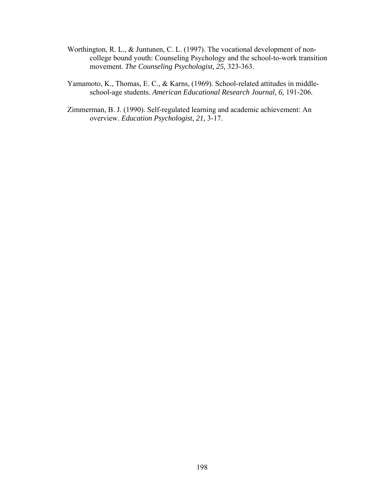- Worthington, R. L., & Juntunen, C. L. (1997). The vocational development of noncollege bound youth: Counseling Psychology and the school-to-work transition movement. *The Counseling Psychologist, 25,* 323-363.
- Yamamoto, K., Thomas, E. C., & Karns, (1969). School-related attitudes in middleschool-age students. *American Educational Research Journal, 6,* 191-206.
- Zimmerman, B. J. (1990). Self-regulated learning and academic achievement: An overview. *Education Psychologist, 21,* 3-17.